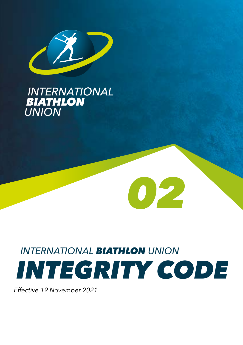

# **INTERNATIONAL<br>BIATHLON<br>UNION**

# *INTERNATIONAL BIATHLON UNION INTEGRITY CODE*

*02*

*Effective 19 November 2021*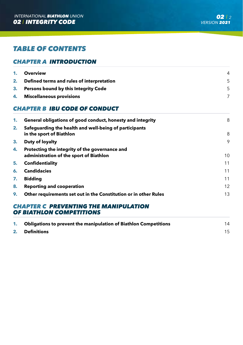# *TABLE OF CONTENTS*

#### *CHAPTER A INTRODUCTION*

| 1. Overview                                  | 4 |
|----------------------------------------------|---|
| 2. Defined terms and rules of interpretation |   |
| 3. Persons bound by this Integrity Code      |   |
| 4. Miscellaneous provisions                  |   |

# *CHAPTER B IBU CODE OF CONDUCT*

| 1. | General obligations of good conduct, honesty and integrity                                | 8  |
|----|-------------------------------------------------------------------------------------------|----|
| 2. | Safeguarding the health and well-being of participants<br>in the sport of Biathlon        | 8  |
| 3. | Duty of loyalty                                                                           | 9  |
| 4. | Protecting the integrity of the governance and<br>administration of the sport of Biathlon | 10 |
| 5. | <b>Confidentiality</b>                                                                    | 11 |
| 6. | <b>Candidacies</b>                                                                        | 11 |
| 7. | <b>Biddina</b>                                                                            | 11 |
| 8. | <b>Reporting and cooperation</b>                                                          | 12 |
| 9. | Other requirements set out in the Constitution or in other Rules                          | 13 |

#### *CHAPTER C PREVENTING THE MANIPULATION OF BIATHLON COMPETITIONS*

| 1. Obligations to prevent the manipulation of Biathlon Competitions | 14 |
|---------------------------------------------------------------------|----|
| 2. Definitions                                                      |    |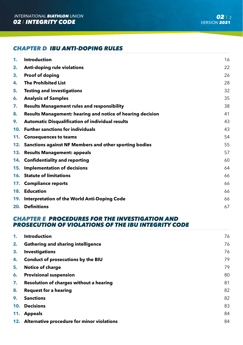# *CHAPTER D IBU ANTI-DOPING RULES*

| 1. | <b>Introduction</b>                                        | 16 |
|----|------------------------------------------------------------|----|
| 2. | Anti-doping rule violations                                | 22 |
| 3. | Proof of doping                                            | 26 |
| 4. | <b>The Prohibited List</b>                                 | 28 |
| 5. | <b>Testing and investigations</b>                          | 32 |
| 6. | <b>Analysis of Samples</b>                                 | 35 |
| 7. | <b>Results Management rules and responsibility</b>         | 38 |
| 8. | Results Management: hearing and notice of hearing decision | 41 |
| 9. | <b>Automatic Disqualification of individual results</b>    | 43 |
|    | 10. Further sanctions for individuals                      | 43 |
|    | 11. Consequences to teams                                  | 54 |
|    | 12. Sanctions against NF Members and other sporting bodies | 55 |
|    | 13. Results Management: appeals                            | 57 |
|    | 14. Confidentiality and reporting                          | 60 |
|    | 15. Implementation of decisions                            | 64 |
|    | <b>16. Statute of limitations</b>                          | 66 |
|    | 17. Compliance reports                                     | 66 |
|    | 18. Education                                              | 66 |
|    | 19. Interpretation of the World Anti-Doping Code           | 66 |
|    | 20. Definitions                                            | 67 |

## **CHAPTER E PROCEDURES FOR THE INVESTIGATION AND** *PROSECUTION OF VIOLATIONS OF THE IBU INTEGRITY CODE*

| 1. | <b>Introduction</b>                            | 76 |
|----|------------------------------------------------|----|
| 2. | <b>Gathering and sharing intelligence</b>      | 76 |
| 3. | <b>Investigations</b>                          | 76 |
| 4. | Conduct of prosecutions by the BIU             | 79 |
| 5. | <b>Notice of charge</b>                        | 79 |
| 6. | <b>Provisional suspension</b>                  | 80 |
| 7. | Resolution of charges without a hearing        | 81 |
| 8. | <b>Request for a hearing</b>                   | 82 |
| 9. | <b>Sanctions</b>                               | 82 |
|    | 10. Decisions                                  | 83 |
|    | 11. Appeals                                    | 84 |
|    | 12. Alternative procedure for minor violations | 84 |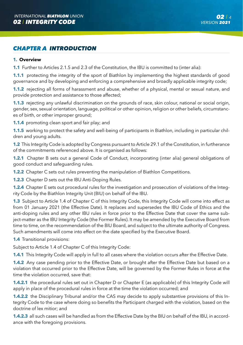# *CHAPTER A INTRODUCTION*

#### **1. Overview**

**1.1** Further to Articles 2.1.5 and 2.3 of the Constitution, the IBU is committed to (inter alia):

**1.1.1** protecting the integrity of the sport of Biathlon by implementing the highest standards of good governance and by developing and enforcing a comprehensive and broadly applicable integrity code;

**1.1.2** rejecting all forms of harassment and abuse, whether of a physical, mental or sexual nature, and provide protection and assistance to those affected;

**1.1.3** rejecting any unlawful discrimination on the grounds of race, skin colour, national or social origin, gender, sex, sexual orientation, language, political or other opinion, religion or other beliefs, circumstances of birth, or other improper ground;

**1.1.4** promoting clean sport and fair play; and

**1.1.5** working to protect the safety and well-being of participants in Biathlon, including in particular children and young adults.

**1.2** This Integrity Code is adopted by Congress pursuant to Article 29.1 of the Constitution, in furtherance of the commitments referenced above. It is organised as follows:

**1.2.1** Chapter B sets out a general Code of Conduct, incorporating (inter alia) general obligations of good conduct and safeguarding rules.

**1.2.2** Chapter C sets out rules preventing the manipulation of Biathlon Competitions.

**1.2.3** Chapter D sets out the IBU Anti-Doping Rules.

**1.2.4** Chapter E sets out procedural rules for the investigation and prosecution of violations of the Integrity Code by the Biathlon Integrity Unit (BIU) on behalf of the IBU.

**1.3** Subject to Article 1.4 of Chapter C of this Integrity Code, this Integrity Code will come into effect as from 01 January 2021 (the Effective Date). It replaces and supersedes the IBU Code of Ethics and the anti-doping rules and any other IBU rules in force prior to the Effective Date that cover the same subject-matter as the IBU Integrity Code (the Former Rules). It may be amended by the Executive Board from time to time, on the recommendation of the BIU Board, and subject to the ultimate authority of Congress. Such amendments will come into effect on the date specified by the Executive Board.

**1.4** Transitional provisions:

Subject to Article 1.4 of Chapter C of this Integrity Code:

**1.4.1** This Integrity Code will apply in full to all cases where the violation occurs after the Effective Date.

**1.4.2** Any case pending prior to the Effective Date, or brought after the Effective Date but based on a violation that occurred prior to the Effective Date, will be governed by the Former Rules in force at the time the violation occurred, save that:

**1.4.2.1** the procedural rules set out in Chapter D or Chapter E (as applicable) of this Integrity Code will apply in place of the procedural rules in force at the time the violation occurred; and

**1.4.2.2** the Disciplinary Tribunal and/or the CAS may decide to apply substantive provisions of this Integrity Code to the case where doing so benefits the Participant charged with the violation, based on the doctrine of lex mitior; and

**1.4.2.3** all such cases will be handled as from the Effective Date by the BIU on behalf of the IBU, in accordance with the foregoing provisions.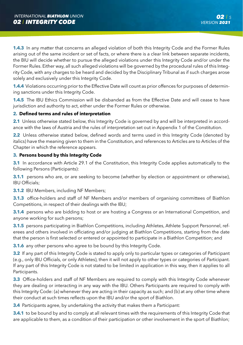**1.4.3** In any matter that concerns an alleged violation of both this Integrity Code and the Former Rules arising out of the same incident or set of facts, or where there is a clear link between separate incidents, the BIU will decide whether to pursue the alleged violations under this Integrity Code and/or under the Former Rules. Either way, all such alleged violations will be governed by the procedural rules of this Integrity Code, with any charges to be heard and decided by the Disciplinary Tribunal as if such charges arose solely and exclusively under this Integrity Code.

**1.4.4** Violations occurring prior to the Effective Date will count as prior offences for purposes of determining sanctions under this Integrity Code.

**1.4.5** The IBU Ethics Commission will be disbanded as from the Effective Date and will cease to have jurisdiction and authority to act, either under the Former Rules or otherwise.

#### **2. Defined terms and rules of interpretation**

**2.1** Unless otherwise stated below, this Integrity Code is governed by and will be interpreted in accordance with the laws of Austria and the rules of interpretation set out in Appendix 1 of the Constitution.

**2.2** Unless otherwise stated below, defined words and terms used in this Integrity Code (denoted by italics) have the meaning given to them in the Constitution, and references to Articles are to Articles of the Chapter in which the reference appears.

#### **3. Persons bound by this Integrity Code**

**3.1** In accordance with Article 29.1 of the Constitution, this Integrity Code applies automatically to the following Persons (Participants):

**3.1.1** persons who are, or are seeking to become (whether by election or appointment or otherwise), IBU Officials;

**3.1.2** IBU Members, including NF Members;

**3.1.3** office-holders and staff of NF Members and/or members of organising committees of Biathlon Competitions, in respect of their dealings with the IBU;

**3.1.4** persons who are bidding to host or are hosting a Congress or an International Competition, and anyone working for such persons;

**3.1.5** persons participating in Biathlon Competitions, including Athletes, Athlete Support Personnel, referees and others involved in officiating and/or judging at Biathlon Competitions, starting from the date that the person is first selected or entered or appointed to participate in a Biathlon Competition; and

**3.1.6** any other persons who agree to be bound by this Integrity Code.

**3.2** If any part of this Integrity Code is stated to apply only to particular types or categories of Participant (e.g., only IBU Officials, or only Athletes), then it will not apply to other types or categories of Participant. If any part of this Integrity Code is not stated to be limited in application in this way, then it applies to all Participants.

**3.3** Office-holders and staff of NF Members are required to comply with this Integrity Code whenever they are dealing or interacting in any way with the IBU. Others Participants are required to comply with this Integrity Code: (a) whenever they are acting in their capacity as such; and (b) at any other time where their conduct at such times reflects upon the IBU and/or the sport of Biathlon.

**3.4** Participants agree, by undertaking the activity that makes them a Participant:

**3.4.1** to be bound by and to comply at all relevant times with the requirements of this Integrity Code that are applicable to them, as a condition of their participation or other involvement in the sport of Biathlon;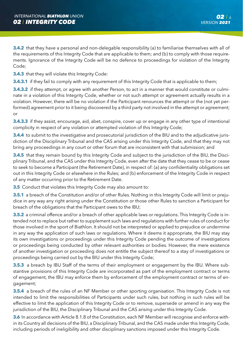**3.4.2** that they have a personal and non-delegable responsibility (a) to familiarise themselves with all of the requirements of this Integrity Code that are applicable to them; and (b) to comply with those requirements. Ignorance of the Integrity Code will be no defence to proceedings for violation of the Integrity Code;

**3.4.3** that they will violate this Integrity Code:

**3.4.3.1** if they fail to comply with any requirement of this Integrity Code that is applicable to them;

**3.4.3.2** if they attempt, or agree with another Person, to act in a manner that would constitute or culminate in a violation of this Integrity Code, whether or not such attempt or agreement actually results in a violation. However, there will be no violation if the Participant renounces the attempt or the (not yet performed) agreement prior to it being discovered by a third party not involved in the attempt or agreement: or

**3.4.3.3** if they assist, encourage, aid, abet, conspire, cover up or engage in any other type of intentional complicity in respect of any violation or attempted violation of this Integrity Code;

**3.4.4** to submit to the investigative and prosecutorial jurisdiction of the BIU and to the adjudicative jurisdiction of the Disciplinary Tribunal and the CAS arising under this Integrity Code, and that they may not bring any proceedings in any court or other forum that are inconsistent with that submission; and

**3.4.5** that they remain bound by this Integrity Code and subject to the jurisdiction of the BIU, the Disciplinary Tribunal, and the CAS under this Integrity Code, even after the date that they cease to be or cease to seek to become a Participant (the Retirement Date), in respect of: (a) any confidentiality obligations set out in this Integrity Code or elsewhere in the Rules; and (b) enforcement of the Integrity Code in respect of any matter occurring prior to the Retirement Date.

**3.5** Conduct that violates this Integrity Code may also amount to:

**3.5.1** a breach of the Constitution and/or of other Rules. Nothing in this Integrity Code will limit or prejudice in any way any right arising under the Constitution or those other Rules to sanction a Participant for breach of the obligations that the Participant owes to the IBU;

**3.5.2** a criminal offence and/or a breach of other applicable laws or regulations. This Integrity Code is intended not to replace but rather to supplement such laws and regulations with further rules of conduct for those involved in the sport of Biathlon. It should not be interpreted or applied to prejudice or undermine in any way the application of such laws or regulations. Where it deems it appropriate, the BIU may stay its own investigations or proceedings under this Integrity Code pending the outcome of investigations or proceedings being conducted by other relevant authorities or bodies. However, the mere existence of another investigation or proceeding does not entitle the subject thereof to a stay of investigations or proceedings being carried out by the BIU under this Integrity Code;

**3.5.3** a breach by IBU Staff of the terms of their employment or engagement by the IBU. Where substantive provisions of this Integrity Code are incorporated as part of the employment contract or terms of engagement, the IBU may enforce them by enforcement of the employment contract or terms of engagement;

**3.5.4** a breach of the rules of an NF Member or other sporting organisation. This Integrity Code is not intended to limit the responsibilities of Participants under such rules, but nothing in such rules will be effective to limit the application of this Integrity Code or to remove, supersede or amend in any way the jurisdiction of the BIU, the Disciplinary Tribunal and the CAS arising under this Integrity Code.

**3.6** In accordance with Article 8.1.8 of the Constitution, each NF Member will recognise and enforce within its Country all decisions of the BIU, a Disciplinary Tribunal, and the CAS made under this Integrity Code, including periods of ineligibility and other disciplinary sanctions imposed under this Integrity Code.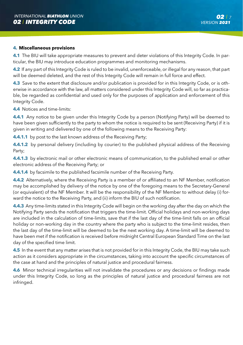#### **4. Miscellaneous provisions**

**4.1** The BIU will take appropriate measures to prevent and deter violations of this Integrity Code. In particular, the BIU may introduce education programmes and monitoring mechanisms.

**4.2** If any part of this Integrity Code is ruled to be invalid, unenforceable, or illegal for any reason, that part will be deemed deleted, and the rest of this Integrity Code will remain in full force and effect.

**4.3** Save to the extent that disclosure and/or publication is provided for in this Integrity Code, or is otherwise in accordance with the law, all matters considered under this Integrity Code will, so far as practicable, be regarded as confidential and used only for the purposes of application and enforcement of this Integrity Code.

**4.4** Notices and time-limits:

**4.4.1** Any notice to be given under this Integrity Code by a person (Notifying Party) will be deemed to have been given sufficiently to the party to whom the notice is required to be sent (Receiving Party) if it is given in writing and delivered by one of the following means to the Receiving Party:

**4.4.1.1** by post to the last known address of the Receiving Party;

**4.4.1.2** by personal delivery (including by courier) to the published physical address of the Receiving Party;

**4.4.1.3** by electronic mail or other electronic means of communication, to the published email or other electronic address of the Receiving Party; or

**4.4.1.4** by facsimile to the published facsimile number of the Receiving Party.

**4.4.2** Alternatively, where the Receiving Party is a member of or affiliated to an NF Member, notification may be accomplished by delivery of the notice by one of the foregoing means to the Secretary-General (or equivalent) of the NF Member. It will be the responsibility of the NF Member to without delay (i) forward the notice to the Receiving Party, and (ii) inform the BIU of such notification.

**4.4.3** Any time-limits stated in this Integrity Code will begin on the working day after the day on which the Notifying Party sends the notification that triggers the time-limit. Official holidays and non-working days are included in the calculation of time-limits, save that if the last day of the time-limit falls on an official holiday or non-working day in the country where the party who is subject to the time-limit resides, then the last day of the time-limit will be deemed to be the next working day. A time-limit will be deemed to have been met if the notification is received before midnight Central European Standard Time on the last day of the specified time limit.

**4.5** In the event that any matter arises that is not provided for in this Integrity Code, the BIU may take such action as it considers appropriate in the circumstances, taking into account the specific circumstances of the case at hand and the principles of natural justice and procedural fairness.

**4.6** Minor technical irregularities will not invalidate the procedures or any decisions or findings made under this Integrity Code, so long as the principles of natural justice and procedural fairness are not infringed.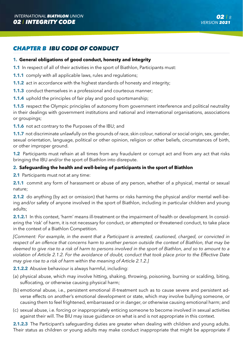# *CHAPTER B IBU CODE OF CONDUCT*

#### **1. General obligations of good conduct, honesty and integrity**

**1.1** In respect of all of their activities in the sport of Biathlon, Participants must:

**1.1.1** comply with all applicable laws, rules and regulations;

**1.1.2** act in accordance with the highest standards of honesty and integrity;

**1.1.3** conduct themselves in a professional and courteous manner;

**1.1.4** uphold the principles of fair play and good sportsmanship;

**1.1.5** respect the Olympic principles of autonomy from government interference and political neutrality in their dealings with government institutions and national and international organisations, associations or groupings;

**1.1.6** not act contrary to the Purposes of the IBU; and

**1.1.7** not discriminate unlawfully on the grounds of race, skin colour, national or social origin, sex, gender, sexual orientation, language, political or other opinion, religion or other beliefs, circumstances of birth, or other improper ground.

**1.2** Participants must refrain at all times from any fraudulent or corrupt act and from any act that risks bringing the IBU and/or the sport of Biathlon into disrepute.

#### **2. Safeguarding the health and well-being of participants in the sport of Biathlon**

**2.1** Participants must not at any time:

**2.1.1** commit any form of harassment or abuse of any person, whether of a physical, mental or sexual nature;

**2.1.2** do anything (by act or omission) that harms or risks harming the physical and/or mental well-being and/or safety of anyone involved in the sport of Biathlon, including in particular children and young adults;

**2.1.2.**1 In this context, 'harm' means ill-treatment or the impairment of health or development. In considering the 'risk' of harm, it is not necessary for conduct, or attempted or threatened conduct, to take place in the context of a Biathlon Competition.

*[Comment: For example, in the event that a Participant is arrested, cautioned, charged, or convicted in respect of an offence that concerns harm to another person outside the context of Biathlon, that may be deemed to give rise to a risk of harm to persons involved in the sport of Biathlon, and so to amount to a violation of Article 2.1.2. For the avoidance of doubt, conduct that took place prior to the Effective Date may give rise to a risk of harm within the meaning of Article 2.1.2.]* 

**2.1.2.2** Abusive behaviour is always harmful, including:

- (a) physical abuse, which may involve hitting, shaking, throwing, poisoning, burning or scalding, biting, suffocating, or otherwise causing physical harm;
- (b) emotional abuse, i.e., persistent emotional ill-treatment such as to cause severe and persistent adverse effects on another's emotional development or state, which may involve bullying someone, or causing them to feel frightened, embarrassed or in danger, or otherwise causing emotional harm; and
- (c) sexual abuse, i.e. forcing or inappropriately enticing someone to become involved in sexual activities against their will. The BIU may issue guidance on what is and is not appropriate in this context.

**2.1.2.3** The Participant's safeguarding duties are greater when dealing with children and young adults. Their status as children or young adults may make conduct inappropriate that might be appropriate if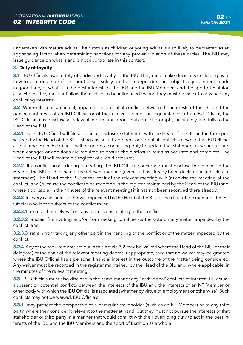undertaken with mature adults. Their status as children or young adults is also likely to be treated as an aggravating factor when determining sanctions for any proven violation of these duties. The BIU may issue guidance on what is and is not appropriate in this context.

#### **3. Duty of loyalty**

**3.1** IBU Officials owe a duty of undivided loyalty to the IBU. They must make decisions (including as to how to vote on a specific motion) based solely on their independent and objective judgement, made in good faith, of what is in the best interests of the IBU and the IBU Members and the sport of Biathlon as a whole. They must not allow themselves to be influenced by and they must not seek to advance any conflicting interests.

**3.2** Where there is an actual, apparent, or potential conflict between the interests of the IBU and the personal interests of an IBU Official or of the relatives, friends or acquaintances of an IBU Official, the IBU Official must disclose all relevant information about that conflict promptly, accurately, and fully to the Head of the BIU.

**3.2.1** Each IBU Official will file a biennial disclosure statement with the Head of the BIU in the form prescribed by the Head of the BIU, listing any actual, apparent or potential conflicts known to the IBU Official at that time. Each IBU Official will be under a continuing duty to update that statement in writing as and when changes or additions are required to ensure the disclosure remains accurate and complete. The Head of the BIU will maintain a register of such disclosures.

**3.2.2** If a conflict arises during a meeting, the IBU Official concerned must disclose the conflict to the Head of the BIU or the chair of the relevant meeting (even if it has already been declared in a disclosure statement). The Head of the BIU or the chair of the relevant meeting will: (a) advise the meeting of the conflict; and (b) cause the conflict to be recorded in the register maintained by the Head of the BIU (and, where applicable, in the minutes of the relevant meeting) if it has not been recorded there already.

**3.2.3** In every case, unless otherwise specified by the Head of the BIU or the chair of the meeting, the IBU Official who is the subject of the conflict must:

**3.2.3.1** excuse themselves from any discussions relating to the conflict;

**3.2.3.2** abstain from voting and/or from seeking to influence the vote on any matter impacted by the conflict; and

**3.2.3.3** refrain from taking any other part in the handling of the conflict or of the matter impacted by the conflict.

**3.2.4** Any of the requirements set out in this Article 3.2 may be waived where the Head of the BIU (or their delegate) or the chair of the relevant meeting deems it appropriate, save that no waiver may be granted where the IBU Official has a personal financial interest in the outcome of the matter being considered. Any waiver must be recorded in the register maintained by the Head of the BIU and, where applicable, in the minutes of the relevant meeting.

**3.3** IBU Officials must also disclose in the same manner any 'institutional' conflicts of interest, i.e. actual, apparent or potential conflicts between the interests of the IBU and the interests of an NF Member or other body with which the IBU Official is associated (whether by virtue of employment or otherwise). Such conflicts may not be waived. IBU Officials:

**3.3.1** may present the perspective of a particular stakeholder (such as an NF Member) or of any third party, where they consider it relevant to the matter at hand, but they must not pursue the interests of that stakeholder or third party in a manner that would conflict with their overriding duty to act in the best interests of the IBU and the IBU Members and the sport of Biathlon as a whole;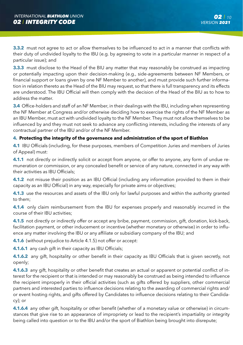**3.3.2** must not agree to act or allow themselves to be influenced to act in a manner that conflicts with their duty of undivided loyalty to the IBU (e.g. by agreeing to vote in a particular manner in respect of a particular issue); and

**3.3.3** must disclose to the Head of the BIU any matter that may reasonably be construed as impacting or potentially impacting upon their decision-making (e.g., side-agreements between NF Members, or financial support or loans given by one NF Member to another), and must provide such further information in relation thereto as the Head of the BIU may request, so that there is full transparency and its effects are understood. The IBU Official will then comply with the decision of the Head of the BIU as to how to address the matter.

**3.4** Office-holders and staff of an NF Member, in their dealings with the IBU, including when representing the NF Member at Congress and/or otherwise deciding how to exercise the rights of the NF Member as an IBU Member, must act with undivided loyalty to the NF Member. They must not allow themselves to be influenced by and they must not seek to advance any conflicting interests, including the interests of any contractual partner of the IBU and/or of the NF Member.

#### **4. Protecting the integrity of the governance and administration of the sport of Biathlon**

**4.1** IBU Officials (including, for these purposes, members of Competition Juries and members of Juries of Appeal) must:

**4.1.1** not directly or indirectly solicit or accept from anyone, or offer to anyone, any form of undue remuneration or commission, or any concealed benefit or service of any nature, connected in any way with their activities as IBU Officials;

**4.1.2** not misuse their position as an IBU Official (including any information provided to them in their capacity as an IBU Official) in any way, especially for private aims or objectives;

**4.1.3** use the resources and assets of the IBU only for lawful purposes and within the authority granted to them;

**4.1.4** only claim reimbursement from the IBU for expenses properly and reasonably incurred in the course of their IBU activities;

**4.1.5** not directly or indirectly offer or accept any bribe, payment, commission, gift, donation, kick-back, facilitation payment, or other inducement or incentive (whether monetary or otherwise) in order to influence any matter involving the IBU or any affiliate or subsidiary company of the IBU; and

**4.1.6** (without prejudice to Article 4.1.5) not offer or accept:

**4.1.6.1** any cash gift in their capacity as IBU Officials;

**4.1.6.2** any gift, hospitality or other benefit in their capacity as IBU Officials that is given secretly, not openly;

**4.1.6.3** any gift, hospitality or other benefit that creates an actual or apparent or potential conflict of interest for the recipient or that is intended or may reasonably be construed as being intended to influence the recipient improperly in their official activities (such as gifts offered by suppliers, other commercial partners and interested parties to influence decisions relating to the awarding of commercial rights and/ or event hosting rights, and gifts offered by Candidates to influence decisions relating to their Candidacy); or

**4.1.6.4** any other gift, hospitality or other benefit (whether of a monetary value or otherwise) in circumstances that give rise to an appearance of impropriety or lead to the recipient's impartiality or integrity being called into question or to the IBU and/or the sport of Biathlon being brought into disrepute;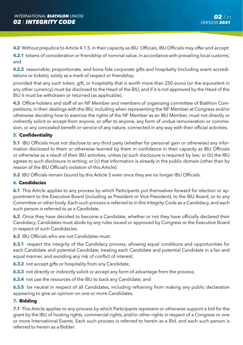**4.2** Without prejudice to Article 4.1.5, in their capacity as IBU Officials, IBU Officials may offer and accept:

**4.2.1** tokens of consideration or friendship of nominal value, in accordance with prevailing local customs; and

**4.2.2** reasonable, proportionate, and bona fide corporate gifts and hospitality (including event accreditations or tickets), solely as a mark of respect or friendship;

provided that any such token, gift, or hospitality that is worth more than 250 euros (or the equivalent in any other currency) must be disclosed to the Head of the BIU, and if it is not approved by the Head of the BIU it must be withdrawn or returned (as applicable).

**4.3** Office-holders and staff of an NF Member and members of organising committee of Biathlon Competitions, in their dealings with the IBU, including when representing the NF Member at Congress and/or otherwise deciding how to exercise the rights of the NF Member as an IBU Member, must not directly or indirectly solicit or accept from anyone, or offer to anyone, any form of undue remuneration or commission, or any concealed benefit or service of any nature, connected in any way with their official activities.

#### **5. Confidentiality**

**5.1** IBU Officials must not disclose to any third party (whether for personal gain or otherwise) any information disclosed to them or otherwise learned by them in confidence in their capacity as IBU Officials or otherwise as a result of their IBU activities, unless (a) such disclosure is required by law; or (b) the IBU agrees to such disclosure in writing; or (c) that information is already in the public domain (other than by reason of the IBU Official's violation of this Article).

**5.2** IBU Officials remain bound by this Article 5 even once they are no longer IBU Officials.

#### **6. Candidacies**

**6.1** This Article applies to any process by which Participants put themselves forward for election or appointment to the Executive Board (including as President or Vice President), to the BIU Board, or to any Committee or other body. Each such process is referred to in this Integrity Code as a Candidacy, and each such person is referred to as a Candidate.

**6.2** Once they have decided to become a Candidate, whether or not they have officially declared their Candidacy, Candidates must abide by any rules issued or approved by Congress or the Executive Board in respect of such Candidacies.

**6.3** IBU Officials who are not Candidates must:

**6.3.1** respect the integrity of the Candidacy process, allowing equal conditions and opportunities for each Candidate and potential Candidate, treating each Candidate and potential Candidate in a fair and equal manner, and avoiding any risk of conflict of interest;

**6.3.2** not accept gifts or hospitality from any Candidate:

**6.3.3** not directly or indirectly solicit or accept any form of advantage from the process;

**6.3.4** not use the resources of the IBU to back any Candidate; and

**6.3.5** be neutral in respect of all Candidates, including refraining from making any public declaration appearing to give an opinion on one or more Candidates.

#### **7. Bidding**

**7.1** This Article applies to any process by which Participants represent or otherwise support a bid for the grant by the IBU of hosting rights, commercial rights, and/or other rights in respect of a Congress or one or more International Events. Each such process is referred to herein as a Bid, and each such person is referred to herein as a Bidder.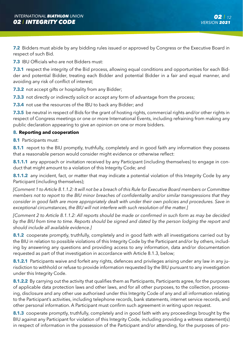**7.2** Bidders must abide by any bidding rules issued or approved by Congress or the Executive Board in respect of such Bid.

**7.3** IBU Officials who are not Bidders must:

**7.3.1** respect the integrity of the Bid process, allowing equal conditions and opportunities for each Bidder and potential Bidder, treating each Bidder and potential Bidder in a fair and equal manner, and avoiding any risk of conflict of interest;

**7.3.2** not accept gifts or hospitality from any Bidder;

**7.3.3** not directly or indirectly solicit or accept any form of advantage from the process;

**7.3.4** not use the resources of the IBU to back any Bidder; and

**7.3.5** be neutral in respect of Bids for the grant of hosting rights, commercial rights and/or other rights in respect of Congress meetings or one or more International Events, including refraining from making any public declaration appearing to give an opinion on one or more bidders.

#### **8. Reporting and cooperation**

**8.1** Participants must:

**8.1.1** report to the BIU promptly, truthfully, completely and in good faith any information they possess that a reasonable person would consider might evidence or otherwise reflect:

**8.1.1.1** any approach or invitation received by any Participant (including themselves) to engage in conduct that might amount to a violation of this Integrity Code; and

**8.1.1.2** any incident, fact, or matter that may indicate a potential violation of this Integrity Code by any Participant (including themselves);

*[Comment 1 to Article 8.1.1.2: It will not be a breach of this Rule for Executive Board members or Committee members not to report to the BIU minor breaches of confidentiality and/or similar transgressions that they consider in good faith are more appropriately dealt with under their own policies and procedures. Save in exceptional circumstances, the BIU will not interfere with such resolution of the matter.]*

*[Comment 2 to Article 8.1.1.2: All reports should be made or confirmed in such form as may be decided by the BIU from time to time. Reports should be signed and dated by the person lodging the report and should include all available evidence.]* 

**8.1.2** cooperate promptly, truthfully, completely and in good faith with all investigations carried out by the BIU in relation to possible violations of this Integrity Code by the Participant and/or by others, including by answering any questions and providing access to any information, data and/or documentation requested as part of that investigation in accordance with Article 8.1.3, below;

**8.1.2.1** Participants waive and forfeit any rights, defences and privileges arising under any law in any jurisdiction to withhold or refuse to provide information requested by the BIU pursuant to any investigation under this Integrity Code.

**8.1.2.2** By carrying out the activity that qualifies them as Participants, Participants agree, for the purposes of applicable data protection laws and other laws, and for all other purposes, to the collection, processing, disclosure and any other use authorised under this Integrity Code of any and all information relating to the Participant's activities, including telephone records, bank statements, internet service records, and other personal information. A Participant must confirm such agreement in writing upon request.

**8.1.3** cooperate promptly, truthfully, completely and in good faith with any proceedings brought by the BIU against any Participant for violation of this Integrity Code, including providing a witness statement(s) in respect of information in the possession of the Participant and/or attending, for the purposes of pro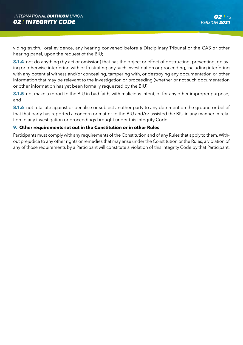viding truthful oral evidence, any hearing convened before a Disciplinary Tribunal or the CAS or other hearing panel, upon the request of the BIU;

**8.1.4** not do anything (by act or omission) that has the object or effect of obstructing, preventing, delaying or otherwise interfering with or frustrating any such investigation or proceeding, including interfering with any potential witness and/or concealing, tampering with, or destroying any documentation or other information that may be relevant to the investigation or proceeding (whether or not such documentation or other information has yet been formally requested by the BIU);

**8.1.5** not make a report to the BIU in bad faith, with malicious intent, or for any other improper purpose; and

**8.1.6** not retaliate against or penalise or subject another party to any detriment on the ground or belief that that party has reported a concern or matter to the BIU and/or assisted the BIU in any manner in relation to any investigation or proceedings brought under this Integrity Code.

#### **9. Other requirements set out in the Constitution or in other Rules**

Participants must comply with any requirements of the Constitution and of any Rules that apply to them. Without prejudice to any other rights or remedies that may arise under the Constitution or the Rules, a violation of any of those requirements by a Participant will constitute a violation of this Integrity Code by that Participant.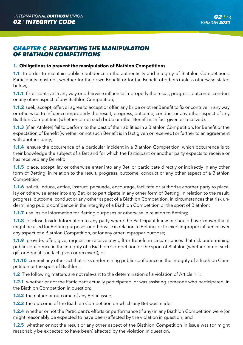### *CHAPTER C PREVENTING THE MANIPULATION OF BIATHLON COMPETITIONS*

#### **1. Obligations to prevent the manipulation of Biathlon Competitions**

**1.1** In order to maintain public confidence in the authenticity and integrity of Biathlon Competitions, Participants must not, whether for their own Benefit or for the Benefit of others (unless otherwise stated below):

**1.1.1** fix or contrive in any way or otherwise influence improperly the result, progress, outcome, conduct or any other aspect of any Biathlon Competition;

**1.1.2** seek, accept, offer, or agree to accept or offer, any bribe or other Benefit to fix or contrive in any way or otherwise to influence improperly the result, progress, outcome, conduct or any other aspect of any Biathlon Competition (whether or not such bribe or other Benefit is in fact given or received);

**1.1.3** (if an Athlete) fail to perform to the best of their abilities in a Biathlon Competition, for Benefit or the expectation of Benefit (whether or not such Benefit is in fact given or received) or further to an agreement with another party;

**1.1.4** ensure the occurrence of a particular incident in a Biathlon Competition, which occurrence is to their knowledge the subject of a Bet and for which the Participant or another party expects to receive or has received any Benefit;

**1.1.5** place, accept, lay or otherwise enter into any Bet, or participate directly or indirectly in any other form of Betting, in relation to the result, progress, outcome, conduct or any other aspect of a Biathlon Competition;

**1.1.6** solicit, induce, entice, instruct, persuade, encourage, facilitate or authorise another party to place, lay or otherwise enter into any Bet, or to participate in any other form of Betting, in relation to the result, progress, outcome, conduct or any other aspect of a Biathlon Competition, in circumstances that risk undermining public confidence in the integrity of a Biathlon Competition or the sport of Biathlon;

**1.1.7** use Inside Information for Betting purposes or otherwise in relation to Betting;

**1.1.8** disclose Inside Information to any party where the Participant knew or should have known that it might be used for Betting purposes or otherwise in relation to Betting, or to exert improper influence over any aspect of a Biathlon Competition, or for any other improper purpose;

**1.1.9** provide, offer, give, request or receive any gift or Benefit in circumstances that risk undermining public confidence in the integrity of a Biathlon Competition or the sport of Biathlon (whether or not such gift or Benefit is in fact given or received); or

**1.1.10** commit any other act that risks undermining public confidence in the integrity of a Biathlon Competition or the sport of Biathlon.

**1.2** The following matters are not relevant to the determination of a violation of Article 1.1:

**1.2.1** whether or not the Participant actually participated, or was assisting someone who participated, in the Biathlon Competition in question;

**1.2.2** the nature or outcome of any Bet in issue;

**1.2.3** the outcome of the Biathlon Competition on which any Bet was made;

**1.2.4** whether or not the Participant's efforts or performance (if any) in any Biathlon Competition were (or might reasonably be expected to have been) affected by the violation in question; and

**1.2.5** whether or not the result or any other aspect of the Biathlon Competition in issue was (or might reasonably be expected to have been) affected by the violation in question.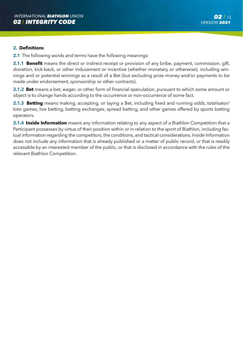#### **2. Definitions**

**2.1** The following words and terms have the following meanings:

**2.1.1 Benefit** means the direct or indirect receipt or provision of any bribe, payment, commission, gift, donation, kick-back, or other inducement or incentive (whether monetary or otherwise), including winnings and or potential winnings as a result of a Bet (but excluding prize money and/or payments to be made under endorsement, sponsorship or other contracts).

**2.1.2 Bet** means a bet, wager, or other form of financial speculation, pursuant to which some amount or object is to change hands according to the occurrence or non-occurrence of some fact.

**2.1.3 Betting** means making, accepting, or laying a Bet, including fixed and running odds, totalisator/ toto games, live betting, betting exchanges, spread betting, and other games offered by sports betting operators.

**2.1.4 Inside Information** means any information relating to any aspect of a Biathlon Competition that a Participant possesses by virtue of their position within or in relation to the sport of Biathlon, including factual information regarding the competitors, the conditions, and tactical considerations. Inside Information does not include any information that is already published or a matter of public record, or that is readily accessible by an interested member of the public, or that is disclosed in accordance with the rules of the relevant Biathlon Competition.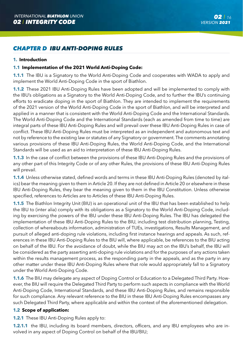# *CHAPTER D IBU ANTI-DOPING RULES*

#### **1. Introduction**

#### **1.1 Implementation of the 2021 World Anti-Doping Code:**

**1.1.1** The IBU is a Signatory to the World Anti-Doping Code and cooperates with WADA to apply and implement the World Anti-Doping Code in the sport of Biathlon.

**1.1.2** These 2021 IBU Anti-Doping Rules have been adopted and will be implemented to comply with the IBU's obligations as a Signatory to the World Anti-Doping Code, and to further the IBU's continuing efforts to eradicate doping in the sport of Biathlon. They are intended to implement the requirements of the 2021 version of the World Anti-Doping Code in the sport of Biathlon, and will be interpreted and applied in a manner that is consistent with the World Anti-Doping Code and the International Standards. The World Anti-Doping Code and the International Standards (each as amended from time to time) are integral parts of these IBU Anti-Doping Rules and will prevail over these IBU Anti-Doping Rules in case of conflict. These IBU Anti-Doping Rules must be interpreted as an independent and autonomous text and not by reference to the existing law or statutes of any Signatory or government. The comments annotating various provisions of these IBU Anti-Doping Rules, the World Anti-Doping Code, and the International Standards will be used as an aid to interpretation of these IBU Anti-Doping Rules.

**1.1.3** In the case of conflict between the provisions of these IBU Anti-Doping Rules and the provisions of any other part of this Integrity Code or of any other Rules, the provisions of these IBU Anti-Doping Rules will prevail.

**1.1.4** Unless otherwise stated, defined words and terms in these IBU Anti-Doping Rules (denoted by italics) bear the meaning given to them in Article 20. If they are not defined in Article 20 or elsewhere in these IBU Anti-Doping Rules, they bear the meaning given to them in the IBU Constitution. Unless otherwise specified, references to Articles are to Articles of these IBU Anti-Doping Rules.

**1.1.5** The Biathlon Integrity Unit (BIU) is an operational unit of the IBU that has been established to help the IBU to (inter alia) comply with its obligations as a Signatory to the World Anti-Doping Code, including by exercising the powers of the IBU under these IBU Anti-Doping Rules. The IBU has delegated the implementation of these IBU Anti-Doping Rules to the BIU, including test distribution planning, Testing, collection of whereabouts information, administration of TUEs, investigations, Results Management, and pursuit of alleged anti-doping rule violations, including first instance hearings and appeals. As such, references in these IBU Anti-Doping Rules to the BIU will, where applicable, be references to the BIU acting on behalf of the IBU. For the avoidance of doubt, while the BIU may act on the IBU's behalf, the IBU will be considered as the party asserting anti-doping rule violations and for the purposes of any actions taken within the results management process, as the responding party in the appeals, and as the party in any other matter under these IBU Anti-Doping Rules where that role would appropriately fall to a Signatory under the World Anti-Doping Code.

**1.1.6** The BIU may delegate any aspect of Doping Control or Education to a Delegated Third Party. However, the BIU will require the Delegated Third Party to perform such aspects in compliance with the World Anti-Doping Code, International Standards, and these IBU Anti-Doping Rules, and remains responsible for such compliance. Any relevant reference to the BIU in these IBU Anti-Doping Rules encompasses any such Delegated Third Party, where applicable and within the context of the aforementioned delegation.

#### **1.2 Scope of application:**

**1.2.1** These IBU Anti-Doping Rules apply to:

**1.2.1.1** the IBU, including its board members, directors, officers, and any IBU employees who are involved in any aspect of Doping Control on behalf of the IBU/BIU;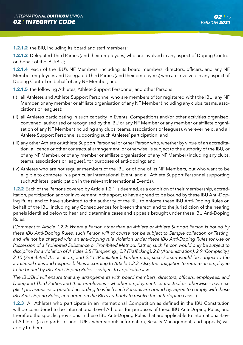**1.2.1.2** the BIU, including its board and staff members;

**1.2.1.3** Delegated Third Parties (and their employees) who are involved in any aspect of Doping Control on behalf of the IBU/BIU;

**1.2.1.4** each of the IBU's NF Members, including its board members, directors, officers, and any NF Member employees and Delegated Third Parties (and their employees) who are involved in any aspect of Doping Control on behalf of any NF Member; and

**1.2.1.5** the following Athletes, Athlete Support Personnel, and other Persons:

- (i) all Athletes and Athlete Support Personnel who are members of (or registered with) the IBU, any NF Member, or any member or affiliate organisation of any NF Member (including any clubs, teams, associations or leagues);
- (ii) all Athletes participating in such capacity in Events, Competitions and/or other activities organised, convened, authorised or recognised by the IBU or any NF Member or any member or affiliate organisation of any NF Member (including any clubs, teams, associations or leagues), wherever held, and all Athlete Support Personnel supporting such Athletes' participation; and
- (iii) any other Athlete or Athlete Support Personnel or other Person who, whether by virtue of an accreditation, a licence or other contractual arrangement, or otherwise, is subject to the authority of the IBU, or of any NF Member, or of any member or affiliate organisation of any NF Member (including any clubs, teams, associations or leagues), for purposes of anti-doping; and
- (iv) Athletes who are not regular members of the IBU or of one of its NF Members, but who want to be eligible to compete in a particular International Event, and all Athlete Support Personnel supporting such Athletes' participation in the relevant International Event(s).

**1.2.2** Each of the Persons covered by Article 1.2.1 is deemed, as a condition of their membership, accreditation, participation and/or involvement in the sport, to have agreed to be bound by these IBU Anti-Doping Rules, and to have submitted to the authority of the BIU to enforce these IBU Anti-Doping Rules on behalf of the IBU, including any Consequences for breach thereof, and to the jurisdiction of the hearing panels identified below to hear and determine cases and appeals brought under these IBU Anti-Doping Rules.

*[Comment to Article 1.2.2: Where a Person other than an Athlete or Athlete Support Person is bound by these IBU Anti-Doping Rules, such Person will of course not be subject to Sample collection or Testing,*  and will not be charged with an anti-doping rule violation under these IBU Anti-Doping Rules for Use or *Possession of a Prohibited Substance or Prohibited Method. Rather, such Person would only be subject to discipline for a violation of Articles 2.5 (Tampering), 2.7 (Trafficking), 2.8 (Administration), 2.9 (Complicity), 2.10 (Prohibited Association), and 2.11 (Retaliation). Furthermore, such Person would be subject to the additional roles and responsibilities according to Article 1.3.3. Also, the obligation to require an employee to be bound by IBU Anti-Doping Rules is subject to applicable law.* 

*The IBU/BIU will ensure that any arrangements with board members, directors, officers, employees, and Delegated Third Parties and their employees – whether employment, contractual or otherwise – have explicit provisions incorporated according to which such Persons are bound by, agree to comply with these IBU Anti-Doping Rules, and agree on the BIU's authority to resolve the anti-doping cases.]*

**1.2.3** All Athletes who participate in an International Competition as defined in the IBU Constitution will be considered to be International-Level Athletes for purposes of these IBU Anti-Doping Rules, and therefore the specific provisions in these IBU Anti-Doping Rules that are applicable to International-Level Athletes (as regards Testing, TUEs, whereabouts information, Results Management, and appeals) will apply to them.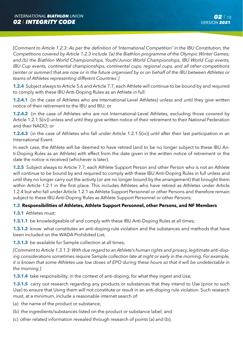*[Comment to Article 1.2.3: As per the definition of 'International Competition' in the IBU Constitution, the Competitions covered by Article 1.2.3 include '(a) the Biathlon programme of the Olympic Winter Games;*  and (b) the Biathlon World Championships, Youth/Junior World Championships, IBU World Cup events, *IBU Cup events, continental championships, continental cups, regional cups, and all other competitions (winter or summer) that are now or in the future organised by or on behalf of the IBU between Athletes or teams of Athletes representing different Countries'.]*

**1.2.4** Subject always to Article 5.6 and Article 7.7, each Athlete will continue to be bound by and required to comply with these IBU Anti-Doping Rules as an Athlete in full:

**1.2.4.1** (in the case of Athletes who are International-Level Athletes) unless and until they give written notice of their retirement to the IBU and BIU; or

**1.2.4.2** (in the case of Athletes who are not International-Level Athletes, excluding those covered by Article 1.2.1.5(iv)) unless and until they give written notice of their retirement to their National Federation and their NADO; or

**1.2.4.3** (in the case of Athletes who fall under Article 1.2.1.5(iv)) until after their last participation in an International Event.

In each case, the Athlete will be deemed to have retired (and to be no longer subject to these IBU Anti-Doping Rules as an Athlete) with effect from the date given in the written notice of retirement or the date the notice is received (whichever is later).

**1.2.5** Subject always to Article 7.7, each Athlete Support Person and other Person who is not an Athlete will continue to be bound by and required to comply with these IBU Anti-Doping Rules in full unless and until they no longer carry out the activity (or are no longer bound by the arrangement) that brought them within Article 1.2.1 in the first place. This includes Athletes who have retired as Athletes under Article 1.2.4 but who fall under Article 1.2.1 as Athlete Support Personnel or other Persons and therefore remain subject to these IBU Anti-Doping Rules as Athlete Support Personnel or other Persons.

#### **1.3 Responsibilities of Athletes, Athlete Support Personnel, other Persons, and NF Members**

**1.3.1** Athletes must:

**1.3.1.1** be knowledgeable of and comply with these IBU Anti-Doping Rules at all times;

**1.3.1.2** know what constitutes an anti-doping rule violation and the substances and methods that have been included on the WADA Prohibited List;

**1.3.1.3** be available for Sample collection at all times;

*[Comment to Article 1.3.1.3: With due regard to an Athlete's human rights and privacy, legitimate anti-doping considerations sometimes require Sample collection late at night or early in the morning. For example, it is known that some Athletes use low doses of EPO during these hours so that it will be undetectable in the morning.]*

**1.3.1.4** take responsibility, in the context of anti-doping, for what they ingest and Use;

**1.3.1.5** carry out research regarding any products or substances that they intend to Use (prior to such Use) to ensure that Using them will not constitute or result in an anti-doping rule violation. Such research must, at a minimum, include a reasonable internet search of:

(a) the name of the product or substance;

- (b) the ingredients/substances listed on the product or substance label; and
- (c) other related information revealed through research of points (a) and (b);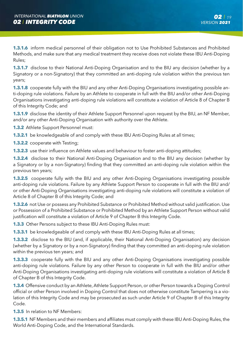**1.3.1.6** inform medical personnel of their obligation not to Use Prohibited Substances and Prohibited Methods, and make sure that any medical treatment they receive does not violate these IBU Anti-Doping Rules;

**1.3.1.7** disclose to their National Anti-Doping Organisation and to the BIU any decision (whether by a Signatory or a non-Signatory) that they committed an anti-doping rule violation within the previous ten years;

**1.3.1.8** cooperate fully with the BIU and any other Anti-Doping Organisations investigating possible anti-doping rule violations. Failure by an Athlete to cooperate in full with the BIU and/or other Anti-Doping Organisations investigating anti-doping rule violations will constitute a violation of Article 8 of Chapter B of this Integrity Code; and

**1.3.1.9** disclose the identity of their Athlete Support Personnel upon request by the BIU, an NF Member, and/or any other Anti-Doping Organisation with authority over the Athlete.

- **1.3.2** Athlete Support Personnel must:
- **1.3.2.1** be knowledgeable of and comply with these IBU Anti-Doping Rules at all times;
- **1.3.2.2** cooperate with Testing;

**1.3.2.3** use their influence on Athlete values and behaviour to foster anti-doping attitudes;

**1.3.2.4** disclose to their National Anti-Doping Organisation and to the BIU any decision (whether by a Signatory or by a non-Signatory) finding that they committed an anti-doping rule violation within the previous ten years;

**1.3.2.5** cooperate fully with the BIU and any other Anti-Doping Organisations investigating possible anti-doping rule violations. Failure by any Athlete Support Person to cooperate in full with the BIU and/ or other Anti-Doping Organisations investigating anti-doping rule violations will constitute a violation of Article 8 of Chapter B of this Integrity Code; and

**1.3.2.6** not Use or possess any Prohibited Substance or Prohibited Method without valid justification. Use or Possession of a Prohibited Substance or Prohibited Method by an Athlete Support Person without valid justification will constitute a violation of Article 9 of Chapter B this Integrity Code.

**1.3.3** Other Persons subject to these IBU Anti-Doping Rules must:

**1.3.3.1** be knowledgeable of and comply with these IBU Anti-Doping Rules at all times;

**1.3.3.2** disclose to the BIU (and, if applicable, their National Anti-Doping Organisation) any decision (whether by a Signatory or by a non-Signatory) finding that they committed an anti-doping rule violation within the previous ten years; and

**1.3.3.3** cooperate fully with the BIU and any other Anti-Doping Organisations investigating possible anti-doping rule violations. Failure by any other Person to cooperate in full with the BIU and/or other Anti-Doping Organisations investigating anti-doping rule violations will constitute a violation of Article 8 of Chapter B of this Integrity Code.

**1.3.4** Offensive conduct by an Athlete, Athlete Support Person, or other Person towards a Doping Control official or other Person involved in Doping Control that does not otherwise constitute Tampering is a violation of this Integrity Code and may be prosecuted as such under Article 9 of Chapter B of this Integrity Code.

**1.3.5** In relation to NF Members:

**1.3.5.1** NF Members and their members and affiliates must comply with these IBU Anti-Doping Rules, the World Anti-Doping Code, and the International Standards.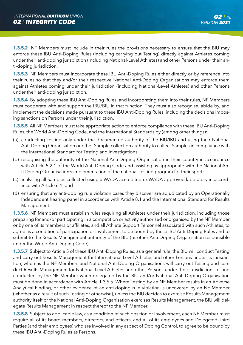**1.3.5.2** NF Members must include in their rules the provisions necessary to ensure that the BIU may enforce these IBU Anti-Doping Rules (including carrying out Testing) directly against Athletes coming under their anti-doping jurisdiction (including National-Level Athletes) and other Persons under their anti-doping jurisdiction.

**1.3.5.3** NF Members must incorporate these IBU Anti-Doping Rules either directly or by reference into their rules so that they and/or their respective National Anti-Doping Organisations may enforce them against Athletes coming under their jurisdiction (including National-Level Athletes) and other Persons under their anti-doping jurisdiction.

**1.3.5.4** By adopting these IBU Anti-Doping Rules, and incorporating them into their rules, NF Members must cooperate with and support the IBU/BIU in that function. They must also recognise, abide by, and implement the decisions made pursuant to these IBU Anti-Doping Rules, including the decisions imposing sanctions on Persons under their jurisdiction.

**1.3.5.5** All NF Members must take appropriate action to enforce compliance with these IBU Anti-Doping Rules, the World Anti-Doping Code, and the International Standards by (among other things):

- (a) conducting Testing only under the documented authority of the BIU/IBU and using their National Anti-Doping Organisation or other Sample collection authority to collect Samples in compliance with the International Standard for Testing and Investigations;
- (b) recognising the authority of the National Anti-Doping Organisation in their country in accordance with Article 5.2.1 of the World Anti-Doping Code and assisting as appropriate with the National Anti-Doping Organisation's implementation of the national Testing program for their sport;
- (c) analysing all Samples collected using a WADA-accredited or WADA-approved laboratory in accordance with Article 6.1; and
- (d) ensuring that any anti-doping rule violation cases they discover are adjudicated by an Operationally Independent hearing panel in accordance with Article 8.1 and the International Standard for Results Management.

**1.3.5.6** NF Members must establish rules requiring all Athletes under their jurisdiction, including those preparing for and/or participating in a competition or activity authorised or organised by the NF Member or by one of its members or affiliates, and all Athlete Support Personnel associated with such Athletes, to agree as a condition of participation or involvement to be bound by these IBU Anti-Doping Rules and to submit to the Results Management authority of the BIU (or other Anti-Doping Organisation responsible under the World Anti-Doping Code).

**1.3.5.7** Subject to Article 5 of these IBU Anti-Doping Rules, as a general rule, the BIU will conduct Testing and carry out Results Management for International-Level Athletes and other Persons under its jurisdiction, whereas the NF Members and National Anti-Doping Organisations will carry out Testing and conduct Results Management for National-Level Athletes and other Persons under their jurisdiction. Testing conducted by the NF Member when delegated by the BIU and/or National Anti-Doping Organisation must be done in accordance with Article 1.3.5.5. Where Testing by an NF Member results in an Adverse Analytical Finding, or other evidence of an anti-doping rule violation is uncovered by an NF Member (whether as a result of such Testing or otherwise), unless the BIU decides to exercise Results Management authority itself or the National Anti-Doping Organisation exercises Results Management, the BIU will delegate Results Management in respect thereof to the NF Member.

**1.3.5.8** Subject to applicable law, as a condition of such position or involvement, each NF Member must require all of its board members, directors, and officers, and all of its employees and Delegated Third Parties (and their employees) who are involved in any aspect of Doping Control, to agree to be bound by these IBU Anti-Doping Rules as Persons.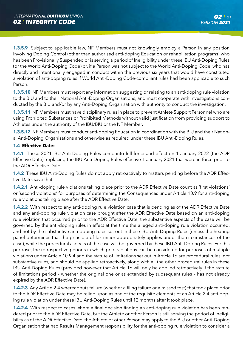**1.3.5.9** Subject to applicable law, NF Members must not knowingly employ a Person in any position involving Doping Control (other than authorised anti-doping Education or rehabilitation programs) who has been Provisionally Suspended or is serving a period of Ineligibility under these IBU Anti-Doping Rules (or the World Anti-Doping Code) or, if a Person was not subject to the World Anti-Doping Code, who has directly and intentionally engaged in conduct within the previous six years that would have constituted a violation of anti-doping rules if World Anti-Doping Code-compliant rules had been applicable to such Person.

**1.3.5.10** NF Members must report any information suggesting or relating to an anti-doping rule violation to the BIU and to their National Anti-Doping Organisations, and must cooperate with investigations conducted by the BIU and/or by any Anti-Doping Organisation with authority to conduct the investigation.

**1.3.5.11** NF Members must have disciplinary rules in place to prevent Athlete Support Personnel who are using Prohibited Substances or Prohibited Methods without valid justification from providing support to Athletes under the authority of the IBU/BIU or the NF Member.

**1.3.5.12** NF Members must conduct anti-doping Education in coordination with the BIU and their National Anti-Doping Organisations and otherwise as required under these IBU Anti-Doping Rules.

#### **1.4 Effective Date:**

**1.4.1** These 2021 IBU Anti-Doping Rules come into full force and effect on 1 January 2022 (the ADR Effective Date), replacing the IBU Anti-Doping Rules effective 1 January 2021 that were in force prior to the ADR Effective Date.

**1.4.2** These IBU Anti-Doping Rules do not apply retroactively to matters pending before the ADR Effective Date, save that:

**1.4.2.1** Anti-doping rule violations taking place prior to the ADR Effective Date count as 'first violations' or 'second violations' for purposes of determining the Consequences under Article 10.9 for anti-doping rule violations taking place after the ADR Effective Date.

**1.4.2.2** With respect to any anti-doping rule violation case that is pending as of the ADR Effective Date and any anti-doping rule violation case brought after the ADR Effective Date based on an anti-doping rule violation that occurred prior to the ADR Effective Date, the substantive aspects of the case will be governed by the anti-doping rules in effect at the time the alleged anti-doping rule violation occurred, and not by the substantive anti-doping rules set out in these IBU Anti-Doping Rules (unless the hearing panel determines that the principle of lex mitior appropriately applies under the circumstances of the case), while the procedural aspects of the case will be governed by these IBU Anti-Doping Rules. For this purpose, the retrospective periods in which prior violations can be considered for purposes of multiple violations under Article 10.9.4 and the statute of limitations set out in Article 16 are procedural rules, not substantive rules, and should be applied retroactively, along with all the other procedural rules in these IBU Anti-Doping Rules (provided however that Article 16 will only be applied retroactively if the statute of limitations period – whether the original one or as extended by subsequent rules – has not already expired by the ADR Effective Date).

**1.4.2.3** Any Article 2.4 whereabouts failure (whether a filing failure or a missed test) that took place prior to the ADR Effective Date may be relied upon as one of the requisite elements of an Article 2.4 anti-doping rule violation under these IBU Anti-Doping Rules until 12 months after it took place.

**1.4.2.4** With respect to cases where a final decision finding an anti-doping rule violation has been rendered prior to the ADR Effective Date, but the Athlete or other Person is still serving the period of Ineligibility as of the ADR Effective Date, the Athlete or other Person may apply to the BIU or other Anti-Doping Organisation that had Results Management responsibility for the anti-doping rule violation to consider a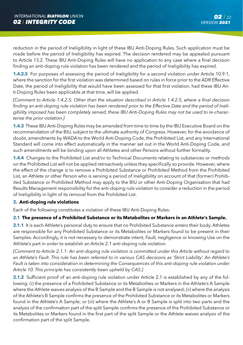reduction in the period of Ineligibility in light of these IBU Anti-Doping Rules. Such application must be made before the period of Ineligibility has expired. The decision rendered may be appealed pursuant to Article 13.2. These IBU Anti-Doping Rules will have no application to any case where a final decision finding an anti-doping rule violation has been rendered and the period of Ineligibility has expired.

**1.4.2.5** For purposes of assessing the period of Ineligibility for a second violation under Article 10.9.1, where the sanction for the first violation was determined based on rules in force prior to the ADR Effective Date, the period of Ineligibility that would have been assessed for that first violation, had these IBU Anti-Doping Rules been applicable at that time, will be applied.

*[Comment to Article 1.4.2.5: Other than the situation described in Article 1.4.2.5, where a final decision finding an anti-doping rule violation has been rendered prior to the Effective Date and the period of Ineligibility imposed has been completely served, these IBU Anti-Doping Rules may not be used to re-characterise the prior violation.]*

**1.4.3** These IBU Anti-Doping Rules may be amended from time to time by the IBU Executive Board on the recommendation of the BIU, subject to the ultimate authority of Congress. However, for the avoidance of doubt, amendments by WADA to the World Anti-Doping Code, the Prohibited List, and any International Standard will come into effect automatically in the manner set out in the World Anti-Doping Code, and such amendments will be binding upon all Athletes and other Persons without further formality.

**1.4.4** Changes to the Prohibited List and/or to Technical Documents relating to substances or methods on the Prohibited List will not be applied retroactively unless they specifically so provide. However, where the effect of the change is to remove a Prohibited Substance or Prohibited Method from the Prohibited List, an Athlete or other Person who is serving a period of Ineligibility on account of that (former) Prohibited Substance or Prohibited Method may apply to the BIU or other Anti-Doping Organisation that had Results Management responsibility for the anti-doping rule violation to consider a reduction in the period of Ineligibility in light of its removal from the Prohibited List.

#### **2. Anti-doping rule violations**

Each of the following constitutes a violation of these IBU Anti-Doping Rules:

#### **2.1 The presence of a Prohibited Substance or its Metabolites or Markers in an Athlete's Sample.**

**2.1.1** It is each Athlete's personal duty to ensure that no Prohibited Substance enters their body. Athletes are responsible for any Prohibited Substance or its Metabolites or Markers found to be present in their Samples. Accordingly, it is not necessary to demonstrate intent, Fault, negligence or knowing Use on the Athlete's part in order to establish an Article 2.1 anti-doping rule violation.

*[Comment to Article 2.1.1: An anti-doping rule violation is committed under this Article without regard to*  an Athlete's Fault. This rule has been referred to in various CAS decisions as 'Strict Liability'. An Athlete's *Fault is taken into consideration in determining the Consequences of this anti-doping rule violation under Article 10. This principle has consistently been upheld by CAS.]*

**2.1.2** Sufficient proof of an anti-doping rule violation under Article 2.1 is established by any of the following: (i) the presence of a Prohibited Substance or its Metabolites or Markers in the Athlete's A Sample where the Athlete waives analysis of the B Sample and the B Sample is not analysed; (ii) where the analysis of the Athlete's B Sample confirms the presence of the Prohibited Substance or its Metabolites or Markers found in the Athlete's A Sample; or (iii) where the Athlete's A or B Sample is split into two parts and the analysis of the confirmation part of the split Sample confirms the presence of the Prohibited Substance or its Metabolites or Markers found in the first part of the split Sample or the Athlete waives analysis of the confirmation part of the split Sample.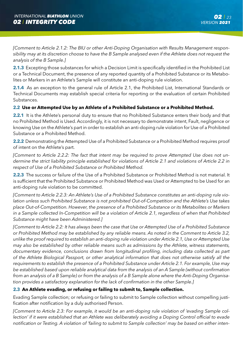*[Comment to Article 2.1.2: The BIU or other Anti-Doping Organisation with Results Management responsibility may at its discretion choose to have the B Sample analysed even if the Athlete does not request the analysis of the B Sample.]*

**2.1.3** Excepting those substances for which a Decision Limit is specifically identified in the Prohibited List or a Technical Document, the presence of any reported quantity of a Prohibited Substance or its Metabolites or Markers in an Athlete's Sample will constitute an anti-doping rule violation.

2.1.4 As an exception to the general rule of Article 2.1, the Prohibited List, International Standards or Technical Documents may establish special criteria for reporting or the evaluation of certain Prohibited Substances.

#### **2.2 Use or Attempted Use by an Athlete of a Prohibited Substance or a Prohibited Method.**

**2.2.1** It is the Athlete's personal duty to ensure that no Prohibited Substance enters their body and that no Prohibited Method is Used. Accordingly, it is not necessary to demonstrate intent, Fault, negligence or knowing Use on the Athlete's part in order to establish an anti-doping rule violation for Use of a Prohibited Substance or a Prohibited Method.

**2.2.2** Demonstrating the Attempted Use of a Prohibited Substance or a Prohibited Method requires proof of intent on the Athlete's part.

*[Comment to Article 2.2.2: The fact that intent may be required to prove Attempted Use does not undermine the strict liability principle established for violations of Article 2.1 and violations of Article 2.2 in respect of Use of a Prohibited Substance or Prohibited Method.*

**2.2.3** The success or failure of the Use of a Prohibited Substance or Prohibited Method is not material. It is sufficient that the Prohibited Substance or Prohibited Method was Used or Attempted to be Used for an anti-doping rule violation to be committed.

*[Comment to Article 2.2.3: An Athlete's Use of a Prohibited Substance constitutes an anti-doping rule violation unless such Prohibited Substance is not prohibited Out-of-Competition and the Athlete's Use takes place Out-of-Competition. However, the presence of a Prohibited Substance or its Metabolites or Markers in a Sample collected In-Competition will be a violation of Article 2.1, regardless of when that Prohibited Substance might have been Administered.]*

*[Comment to Article 2.2: It has always been the case that Use or Attempted Use of a Prohibited Substance or Prohibited Method may be established by any reliable means. As noted in the Comment to Article 3.2, unlike the proof required to establish an anti-doping rule violation under Article 2.1, Use or Attempted Use may also be established by other reliable means such as admissions by the Athlete, witness statements, documentary evidence, conclusions drawn from longitudinal profiling, including data collected as part of the Athlete Biological Passport, or other analytical information that does not otherwise satisfy all the requirements to establish the presence of a Prohibited Substance under Article 2.1. For example, Use may be established based upon reliable analytical data from the analysis of an A Sample (without confirmation from an analysis of a B Sample) or from the analysis of a B Sample alone where the Anti-Doping Organisation provides a satisfactory explanation for the lack of confirmation in the other Sample.]*

#### **2.3 An Athlete evading, or refusing or failing to submit to, Sample collection.**

Evading Sample collection; or refusing or failing to submit to Sample collection without compelling justification after notification by a duly authorised Person.

*[Comment to Article 2.3: For example, it would be an anti-doping rule violation of 'evading Sample collection' if it were established that an Athlete was deliberately avoiding a Doping Control official to evade notification or Testing. A violation of 'failing to submit to Sample collection' may be based on either inten-*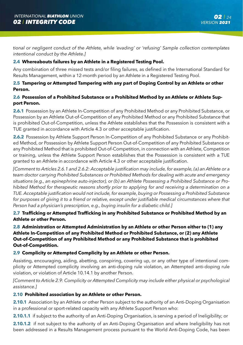*tional or negligent conduct of the Athlete, while 'evading' or 'refusing' Sample collection contemplates intentional conduct by the Athlete.]*

#### **2.4 Whereabouts failures by an Athlete in a Registered Testing Pool.**

Any combination of three missed tests and/or filing failures, as defined in the International Standard for Results Management, within a 12-month period by an Athlete in a Registered Testing Pool.

#### **2.5 Tampering or Attempted Tampering with any part of Doping Control by an Athlete or other Person.**

#### **2.6 Possession of a Prohibited Substance or a Prohibited Method by an Athlete or Athlete Support Person.**

**2.6.1** Possession by an Athlete In-Competition of any Prohibited Method or any Prohibited Substance, or Possession by an Athlete Out-of-Competition of any Prohibited Method or any Prohibited Substance that is prohibited Out-of-Competition, unless the Athlete establishes that the Possession is consistent with a TUE granted in accordance with Article 4.3 or other acceptable justification.

**2.6.2** Possession by Athlete Support Person In-Competition of any Prohibited Substance or any Prohibited Method, or Possession by Athlete Support Person Out-of-Competition of any Prohibited Substance or any Prohibited Method that is prohibited Out-of-Competition, in connection with an Athlete, Competition or training, unless the Athlete Support Person establishes that the Possession is consistent with a TUE granted to an Athlete in accordance with Article 4.3 or other acceptable justification.

*[Comment to Articles 2.6.1 and 2.6.2: Acceptable justification may include, for example, (a) an Athlete or a team doctor carrying Prohibited Substances or Prohibited Methods for dealing with acute and emergency situations (e.g., an epinephrine auto-injector), or (b) an Athlete Possessing a Prohibited Substance or Prohibited Method for therapeutic reasons shortly prior to applying for and receiving a determination on a TUE. Acceptable justification would not include, for example, buying or Possessing a Prohibited Substance*  for purposes of giving it to a friend or relative, except under justifiable medical circumstances where that *Person had a physician's prescription, e.g., buying insulin for a diabetic child.]*

**2.7 Trafficking or Attempted Trafficking in any Prohibited Substance or Prohibited Method by an Athlete or other Person.**

**2.8 Administration or Attempted Administration by an Athlete or other Person either to (1) any Athlete In-Competition of any Prohibited Method or Prohibited Substance, or (2) any Athlete Out-of-Competition of any Prohibited Method or any Prohibited Substance that is prohibited Out-of-Competition.**

#### **2.9 Complicity or Attempted Complicity by an Athlete or other Person.**

Assisting, encouraging, aiding, abetting, conspiring, covering up, or any other type of intentional complicity or Attempted complicity involving an anti-doping rule violation, an Attempted anti-doping rule violation, or violation of Article 10.14.1 by another Person.

*[Comment to Article 2.9: Complicity or Attempted Complicity may include either physical or psychological assistance.]* 

#### **2.10 Prohibited association by an Athlete or other Person.**

**2.10.1** Association by an Athlete or other Person subject to the authority of an Anti-Doping Organisation in a professional or sport-related capacity with any Athlete Support Person who:

**2.10.1.1** if subject to the authority of an Anti-Doping Organisation, is serving a period of Ineligibility; or

**2.10.1.2** if not subject to the authority of an Anti-Doping Organisation and where Ineligibility has not been addressed in a Results Management process pursuant to the World Anti-Doping Code, has been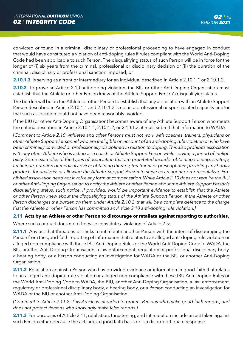convicted or found in a criminal, disciplinary or professional proceeding to have engaged in conduct that would have constituted a violation of anti-doping rules if rules compliant with the World Anti-Doping Code had been applicable to such Person. The disqualifying status of such Person will be in force for the longer of (i) six years from the criminal, professional or disciplinary decision or (ii) the duration of the criminal, disciplinary or professional sanction imposed; or

**2.10.1.3** is serving as a front or intermediary for an individual described in Article 2.10.1.1 or 2.10.1.2.

**2.10.2** To prove an Article 2.10 anti-doping violation, the BIU or other Anti-Doping Organisation must establish that the Athlete or other Person knew of the Athlete Support Person's disqualifying status.

The burden will be on the Athlete or other Person to establish that any association with an Athlete Support Person described in Article 2.10.1.1 and 2.10.1.2 is not in a professional or sport-related capacity and/or that such association could not have been reasonably avoided.

If the BIU (or other Anti-Doping Organisation) becomes aware of any Athlete Support Person who meets the criteria described in Article 2.10.1.1, 2.10.1.2, or 2.10.1.3, it must submit that information to WADA.

*[Comment to Article 2.10: Athletes and other Persons must not work with coaches, trainers, physicians or other Athlete Support Personnel who are Ineligible on account of an anti-doping rule violation or who have been criminally convicted or professionally disciplined in relation to doping. This also prohibits association with any other Athlete who is acting as a coach or Athlete Support Person while serving a period of Ineligibility. Some examples of the types of association that are prohibited include: obtaining training, strategy,*  technique, nutrition or medical advice; obtaining therapy, treatment or prescriptions; providing any bodily *products for analysis; or allowing the Athlete Support Person to serve as an agent or representative. Prohibited association need not involve any form of compensation. While Article 2.10 does not require the BIU or other Anti-Doping Organisation to notify the Athlete or other Person about the Athlete Support Person's disqualifying status, such notice, if provided, would be important evidence to establish that the Athlete or other Person knew about the disqualifying status of the Athlete Support Person. If the Athlete or other Person discharges the burden on them under Article 2.10.2, that will be a complete defence to the charge that the Athlete or other Person has committed an Article 2.10 anti-doping rule violation.]* 

#### **2.11 Acts by an Athlete or other Person to discourage or retaliate against reporting to authorities.**

Where such conduct does not otherwise constitute a violation of Article 2.5:

**2.11.1** Any act that threatens or seeks to intimidate another Person with the intent of discouraging the Person from the good-faith reporting of information that relates to an alleged anti-doping rule violation or alleged non-compliance with these IBU Anti-Doping Rules or the World Anti-Doping Code to WADA, the BIU, another Anti-Doping Organisation, a law enforcement, regulatory or professional disciplinary body, a hearing body, or a Person conducting an investigation for WADA or the BIU or another Anti-Doping Organisation.

**2.11.2** Retaliation against a Person who has provided evidence or information in good faith that relates to an alleged anti-doping rule violation or alleged non-compliance with these IBU Anti-Doping Rules or the World Anti-Doping Code to WADA, the BIU, another Anti-Doping Organisation, a law enforcement, regulatory or professional disciplinary body, a hearing body, or a Person conducting an investigation for WADA or the BIU or another Anti-Doping Organisation.

*[Comment to Article 2.11.2: This Article is intended to protect Persons who make good faith reports, and does not protect Persons who knowingly make false reports.]*

**2.11.3** For purposes of Article 2.11, retaliation, threatening, and intimidation include an act taken against such Person either because the act lacks a good faith basis or is a disproportionate response.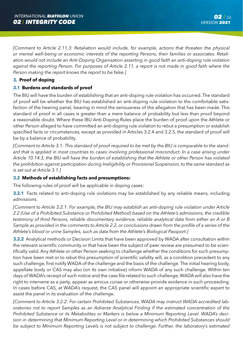*[Comment to Article 2.11.3: Retaliation would include, for example, actions that threaten the physical or mental well-being or economic interests of the reporting Persons, their families or associates. Retaliation would not include an Anti-Doping Organisation asserting in good faith an anti-doping rule violation*  against the reporting Person. For purposes of Article 2.11, a report is not made in good faith where the *Person making the report knows the report to be false.]*

#### **3. Proof of doping**

#### **3.1 Burdens and standards of proof**

The BIU will have the burden of establishing that an anti-doping rule violation has occurred. The standard of proof will be whether the BIU has established an anti-doping rule violation to the comfortable satisfaction of the hearing panel, bearing in mind the seriousness of the allegation that has been made. This standard of proof in all cases is greater than a mere balance of probability but less than proof beyond a reasonable doubt. Where these IBU Anti-Doping Rules place the burden of proof upon the Athlete or other Person alleged to have committed an anti-doping rule violation to rebut a presumption or establish specified facts or circumstances, except as provided in Articles 3.2.4 and 3.2.5, the standard of proof will be by a balance of probability.

*[Comment to Article 3.1: This standard of proof required to be met by the BIU is comparable to the stand*ard that is applied in most countries to cases involving professional misconduct. In a case arising under *Article 10.14.3, the BIU will have the burden of establishing that the Athlete or other Person has violated the prohibition against participation during Ineligibility or Provisional Suspension, to the same standard as is set out at Article 3.1.]*

#### **3.2 Methods of establishing facts and presumptions:**

The following rules of proof will be applicable in doping cases:

**3.2.1** Facts related to anti-doping rule violations may be established by any reliable means, including admissions.

*[Comment to Article 3.2.1: For example, the BIU may establish an anti-doping rule violation under Article 2.2 (Use of a Prohibited Substance or Prohibited Method) based on the Athlete's admissions, the credible testimony of third Persons, reliable documentary evidence, reliable analytical data from either an A or B Sample as provided in the comments to Article 2.2, or conclusions drawn from the profile of a series of the Athlete's blood or urine Samples, such as data from the Athlete's Biological Passport.]*

**3.2.2** Analytical methods or Decision Limits that have been approved by WADA after consultation within the relevant scientific community or that have been the subject of peer review are presumed to be scientifically valid. Any Athlete or other Person seeking to challenge whether the conditions for such presumption have been met or to rebut this presumption of scientific validity will, as a condition precedent to any such challenge, first notify WADA of the challenge and the basis of the challenge. The initial hearing body, appellate body or CAS may also (on its own initiative) inform WADA of any such challenge. Within ten days of WADA's receipt of such notice and the case file related to such challenge, WADA will also have the right to intervene as a party, appear as amicus curiae or otherwise provide evidence in such proceeding. In cases before CAS, at WADA's request, the CAS panel will appoint an appropriate scientific expert to assist the panel in its evaluation of the challenge.

*[Comment to Article 3.2.2: For certain Prohibited Substances, WADA may instruct WADA-accredited laboratories not to report Samples as an Adverse Analytical Finding if the estimated concentration of the Prohibited Substance or its Metabolites or Markers is below a Minimum Reporting Level. WADA's decision in determining that Minimum Reporting Level or in determining which Prohibited Substances should be subject to Minimum Reporting Levels is not subject to challenge. Further, the laboratory's estimated*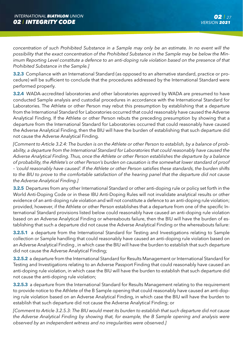*concentration of such Prohibited Substance in a Sample may only be an estimate. In no event will the possibility that the exact concentration of the Prohibited Substance in the Sample may be below the Minimum Reporting Level constitute a defence to an anti-doping rule violation based on the presence of that Prohibited Substance in the Sample.]*

**3.2.3** Compliance with an International Standard (as opposed to an alternative standard, practice or procedure) will be sufficient to conclude that the procedures addressed by the International Standard were performed properly.

**3.2.4** WADA-accredited laboratories and other laboratories approved by WADA are presumed to have conducted Sample analysis and custodial procedures in accordance with the International Standard for Laboratories. The Athlete or other Person may rebut this presumption by establishing that a departure from the International Standard for Laboratories occurred that could reasonably have caused the Adverse Analytical Finding. If the Athlete or other Person rebuts the preceding presumption by showing that a departure from the International Standard for Laboratories occurred that could reasonably have caused the Adverse Analytical Finding, then the BIU will have the burden of establishing that such departure did not cause the Adverse Analytical Finding.

*[Comment to Article 3.2.4: The burden is on the Athlete or other Person to establish, by a balance of probability, a departure from the International Standard for Laboratories that could reasonably have caused the Adverse Analytical Finding. Thus, once the Athlete or other Person establishes the departure by a balance of probability, the Athlete's or other Person's burden on causation is the somewhat lower standard of proof – 'could reasonably have caused'. If the Athlete or other Person satisfies these standards, the burden shifts to the BIU to prove to the comfortable satisfaction of the hearing panel that the departure did not cause the Adverse Analytical Finding.]*

**3.2.5** Departures from any other International Standard or other anti-doping rule or policy set forth in the World Anti-Doping Code or in these IBU Anti-Doping Rules will not invalidate analytical results or other evidence of an anti-doping rule violation and will not constitute a defence to an anti-doping rule violation; provided, however, if the Athlete or other Person establishes that a departure from one of the specific International Standard provisions listed below could reasonably have caused an anti-doping rule violation based on an Adverse Analytical Finding or whereabouts failure, then the BIU will have the burden of establishing that such a departure did not cause the Adverse Analytical Finding or the whereabouts failure:

**3.2.5.1** a departure from the International Standard for Testing and Investigations relating to Sample collection or Sample handling that could reasonably have caused an anti-doping rule violation based on an Adverse Analytical Finding , in which case the BIU will have the burden to establish that such departure did not cause the Adverse Analytical Finding;

**3.2.5.2** a departure from the International Standard for Results Management or International Standard for Testing and Investigations relating to an Adverse Passport Finding that could reasonably have caused an anti-doping rule violation, in which case the BIU will have the burden to establish that such departure did not cause the anti-doping rule violation;

**3.2.5.3** a departure from the International Standard for Results Management relating to the requirement to provide notice to the Athlete of the B Sample opening that could reasonably have caused an anti-doping rule violation based on an Adverse Analytical Finding, in which case the BIU will have the burden to establish that such departure did not cause the Adverse Analytical Finding; or

*[Comment to Article 3.2.5.3: The BIU would meet its burden to establish that such departure did not cause the Adverse Analytical Finding by showing that, for example, the B Sample opening and analysis were observed by an independent witness and no irregularities were observed.]*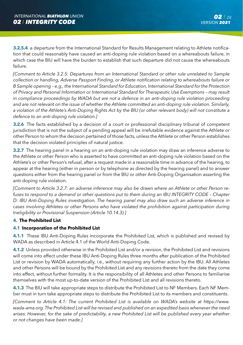**3.2.5.4** a departure from the International Standard for Results Management relating to Athlete notification that could reasonably have caused an anti-doping rule violation based on a whereabouts failure, in which case the BIU will have the burden to establish that such departure did not cause the whereabouts failure.

*[Comment to Article 3.2.5: Departures from an International Standard or other rule unrelated to Sample collection or handling, Adverse Passport Finding, or Athlete notification relating to whereabouts failure or B Sample opening – e.g., the International Standard for Education, International Standard for the Protection of Privacy and Personal Information or International Standard for Therapeutic Use Exemptions – may result in compliance proceedings by WADA but are not a defence in an anti-doping rule violation proceeding and are not relevant on the issue of whether the Athlete committed an anti-doping rule violation. Similarly, a violation of the Athlete's Anti-Doping Rights Act by the BIU (or other relevant body) will not constitute a defence to an anti-doping rule violation.]* 

**3.2.6** The facts established by a decision of a court or professional disciplinary tribunal of competent jurisdiction that is not the subject of a pending appeal will be irrefutable evidence against the Athlete or other Person to whom the decision pertained of those facts, unless the Athlete or other Person establishes that the decision violated principles of natural justice.

**3.2.7** The hearing panel in a hearing on an anti-doping rule violation may draw an inference adverse to the Athlete or other Person who is asserted to have committed an anti-doping rule violation based on the Athlete's or other Person's refusal, after a request made in a reasonable time in advance of the hearing, to appear at the hearing (either in person or by telephone as directed by the hearing panel) and to answer questions either from the hearing panel or from the BIU or other Anti-Doping Organisation asserting the anti-doping rule violation.

*[Comment to Article 3.2.7: an adverse inference may also be drawn where an Athlete or other Person refuses to respond to a demand or other questions put to them during an IBU INTEGRITY CODE – Chapter D: IBU Anti-Doping Rules investigation. The hearing panel may also draw such an adverse inference in cases involving Athletes or other Persons who have violated the prohibition against participation during Ineligibility or Provisional Suspension (Article 10.14.3).]*

#### **4. The Prohibited List**

#### **4.1 Incorporation of the Prohibited List**

**4.1.1** These IBU Anti-Doping Rules incorporate the Prohibited List, which is published and revised by WADA as described in Article 4.1 of the World Anti-Doping Code.

**4.1.2** Unless provided otherwise in the Prohibited List and/or a revision, the Prohibited List and revisions will come into effect under these IBU Anti-Doping Rules three months after publication of the Prohibited List or revision by WADA automatically, i.e., without requiring any further action by the IBU. All Athletes and other Persons will be bound by the Prohibited List and any revisions thereto from the date they come into effect, without further formality. It is the responsibility of all Athletes and other Persons to familiarise themselves with the most up-to-date version of the Prohibited List and all revisions thereto.

**4.1.3** The BIU will take appropriate steps to distribute the Prohibited List to NF Members. Each NF Member must in turn take appropriate steps to distribute the Prohibited List to its members and constituents.

*[Comment to Article 4.1: The current Prohibited List is available on WADA's website at https://www. wada-ama.org. The Prohibited List will be revised and published on an expedited basis whenever the need arises. However, for the sake of predictability, a new Prohibited List will be published every year whether or not changes have been made.]*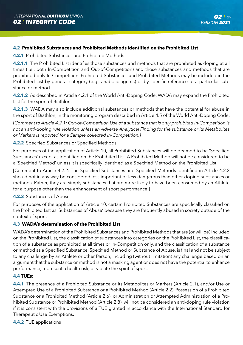#### **4.2 Prohibited Substances and Prohibited Methods identified on the Prohibited List**

**4.2.1** Prohibited Substances and Prohibited Methods

**4.2.1.1** The Prohibited List identifies those substances and methods that are prohibited as doping at all times (i.e., both In-Competition and Out-of-Competition) and those substances and methods that are prohibited only In-Competition. Prohibited Substances and Prohibited Methods may be included in the Prohibited List by general category (e.g., anabolic agents) or by specific reference to a particular substance or method.

**4.2.1.2** As described in Article 4.2.1 of the World Anti-Doping Code, WADA may expand the Prohibited List for the sport of Biathlon.

**4.2.1.3** WADA may also include additional substances or methods that have the potential for abuse in the sport of Biathlon, in the monitoring program described in Article 4.5 of the World Anti-Doping Code.

*[Comment to Article 4.2.1: Out-of-Competition Use of a substance that is only prohibited In-Competition is not an anti-doping rule violation unless an Adverse Analytical Finding for the substance or its Metabolites or Markers is reported for a Sample collected In-Competition.]*

#### **4.2.2** Specified Substances or Specified Methods

For purposes of the application of Article 10, all Prohibited Substances will be deemed to be 'Specified Substances' except as identified on the Prohibited List. A Prohibited Method will not be considered to be a 'Specified Method' unless it is specifically identified as a Specified Method on the Prohibited List.

[Comment to Article 4.2.2: The Specified Substances and Specified Methods identified in Article 4.2.2 should not in any way be considered less important or less dangerous than other doping substances or methods. Rather, they are simply substances that are more likely to have been consumed by an Athlete for a purpose other than the enhancement of sport performance.]

#### **4.2.3** Substances of Abuse

For purposes of the application of Article 10, certain Prohibited Substances are specifically classified on the Prohibited List as 'Substances of Abuse' because they are frequently abused in society outside of the context of sport.

#### **4.3 WADA's determination of the Prohibited List**

WADA's determination of the Prohibited Substances and Prohibited Methods that are (or will be) included on the Prohibited List, the classification of substances into categories on the Prohibited List, the classification of a substance as prohibited at all times or In-Competition only, and the classification of a substance or method as a Specified Substance, Specified Method or Substance of Abuse, is final and not be subject to any challenge by an Athlete or other Person, including (without limitation) any challenge based on an argument that the substance or method is not a masking agent or does not have the potential to enhance performance, represent a health risk, or violate the spirit of sport.

#### **4.4 TUEs:**

**4.4.1** The presence of a Prohibited Substance or its Metabolites or Markers (Article 2.1), and/or Use or Attempted Use of a Prohibited Substance or a Prohibited Method (Article 2.2), Possession of a Prohibited Substance or a Prohibited Method (Article 2.6), or Administration or Attempted Administration of a Prohibited Substance or Prohibited Method (Article 2.8), will not be considered an anti-doping rule violation if it is consistent with the provisions of a TUE granted in accordance with the International Standard for Therapeutic Use Exemptions.

**4.4.2** TUE applications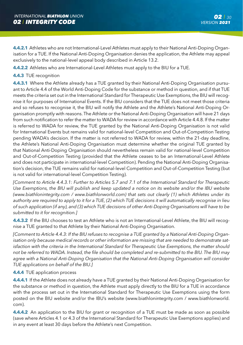**4.4.2.1** Athletes who are not International-Level Athletes must apply to their National Anti-Doping Organisation for a TUE. If the National Anti-Doping Organisation denies the application, the Athlete may appeal exclusively to the national-level appeal body described in Article 13.2.

**4.4.2.2** Athletes who are International-Level Athletes must apply to the BIU for a TUE.

#### **4.4.3** TUE recognition

**4.4.3.1** Where the Athlete already has a TUE granted by their National Anti-Doping Organisation pursuant to Article 4.4 of the World Anti-Doping Code for the substance or method in question, and if that TUE meets the criteria set out in the International Standard for Therapeutic Use Exemptions, the BIU will recognise it for purposes of International Events. If the BIU considers that the TUE does not meet those criteria and so refuses to recognise it, the BIU will notify the Athlete and the Athlete's National Anti-Doping Organisation promptly with reasons. The Athlete or the National Anti-Doping Organisation will have 21 days from such notification to refer the matter to WADA for review in accordance with Article 4.4.8. If the matter is referred to WADA for review, the TUE granted by the National Anti-Doping Organisation is not valid for International Events but remains valid for national-level Competition and Out-of-Competition Testing pending WADA's decision. If the matter is not referred to WADA for review, within the 21-day deadline, the Athlete's National Anti-Doping Organisation must determine whether the original TUE granted by that National Anti-Doping Organisation should nevertheless remain valid for national-level Competition and Out-of-Competition Testing (provided that the Athlete ceases to be an International-Level Athlete and does not participate in international-level Competition). Pending the National Anti-Doping Organisation's decision, the TUE remains valid for national-level Competition and Out-of-Competition Testing (but is not valid for international-level Competition Testing).

*[Comment to Article 4.4.3.1: Further to Articles 5.7 and 7.1 of the International Standard for Therapeutic*  Use Exemptions, the BIU will publish and keep updated a notice on its website and/or the IBU website *(www.biathlonintegrity.com / www.biathlonworld.com) that sets out clearly (1) which Athletes under its authority are required to apply to it for a TUE, (2) which TUE decisions it will automatically recognise in lieu of such application (if any), and (3) which TUE decisions of other Anti-Doping Organisations will have to be submitted to it for recognition.]*

**4.4.3.2** If the BIU chooses to test an Athlete who is not an International-Level Athlete, the BIU will recognise a TUE granted to that Athlete by their National Anti-Doping Organisation.

*[Comment to Article 4.4.3: If the BIU refuses to recognise a TUE granted by a National Anti-Doping Organisation only because medical records or other information are missing that are needed to demonstrate satisfaction with the criteria in the International Standard for Therapeutic Use Exemptions, the matter should not be referred to WADA. Instead, the file should be completed and re-submitted to the BIU. The BIU may agree with a National Anti-Doping Organisation that the National Anti-Doping Organisation will consider TUE applications on behalf of the BIU.]*

#### **4.4.4** TUE application process

**4.4.4.1** If the Athlete does not already have a TUE granted by their National Anti-Doping Organisation for the substance or method in question, the Athlete must apply directly to the BIU for a TUE in accordance with the process set out in the International Standard for Therapeutic Use Exemptions using the form posted on the BIU website and/or the IBU's website (www.biathlonintegrity.com / www.biathlonworld. com).

**4.4.4.2** An application to the BIU for grant or recognition of a TUE must be made as soon as possible (save where Articles 4.1 or 4.3 of the International Standard for Therapeutic Use Exemptions applies) and in any event at least 30 days before the Athlete's next Competition.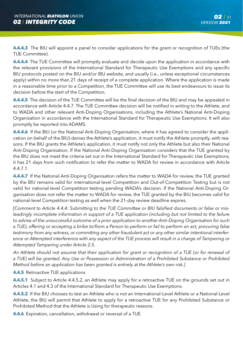**4.4.4.3** The BIU will appoint a panel to consider applications for the grant or recognition of TUEs (the TUE Committee).

**4.4.4.4** The TUE Committee will promptly evaluate and decide upon the application in accordance with the relevant provisions of the International Standard for Therapeutic Use Exemptions and any specific BIU protocols posted on the BIU and/or IBU website, and usually (i.e., unless exceptional circumstances apply) within no more than 21 days of receipt of a complete application. Where the application is made in a reasonable time prior to a Competition, the TUE Committee will use its best endeavours to issue its decision before the start of the Competition.

**4.4.4.5** The decision of the TUE Committee will be the final decision of the BIU and may be appealed in accordance with Article 4.4.7. The TUE Committee decision will be notified in writing to the Athlete, and to WADA and other relevant Anti-Doping Organisations, including the Athlete's National Anti-Doping Organisation in accordance with the International Standard for Therapeutic Use Exemptions. It will also promptly be reported into ADAMS.

**4.4.4.6** If the BIU (or the National Anti-Doping Organisation, where it has agreed to consider the application on behalf of the BIU) denies the Athlete's application, it must notify the Athlete promptly, with reasons. If the BIU grants the Athlete's application, it must notify not only the Athlete but also their National Anti-Doping Organisation. If the National Anti-Doping Organisation considers that the TUE granted by the BIU does not meet the criteria set out in the International Standard for Therapeutic Use Exemptions, it has 21 days from such notification to refer the matter to WADA for review in accordance with Article 4.4.7.1.

**4.4.4.7** If the National Anti-Doping Organisation refers the matter to WADA for review, the TUE granted by the BIU remains valid for international-level Competition and Out-of-Competition Testing but is not valid for national-level Competition testing pending WADA's decision. If the National Anti-Doping Organisation does not refer the matter to WADA for review, the TUE granted by the BIU becomes valid for national-level Competition testing as well when the 21-day review deadline expires.

*[Comment to Article 4.4.4: Submitting to the TUE Committee or BIU falsified documents or false or misleadingly incomplete information in support of a TUE application (including but not limited to the failure to advise of the unsuccessful outcome of a prior application to another Anti-Doping Organisation for such a TUE), offering or accepting a bribe to/from a Person to perform or fail to perform an act, procuring false testimony from any witness, or committing any other fraudulent act or any other similar intentional interference or Attempted interference with any aspect of the TUE process will result in a charge of Tampering or Attempted Tampering under Article 2.5.*

*An Athlete should not assume that their application for grant or recognition of a TUE (or for renewal of a TUE) will be granted. Any Use or Possession or Administration of a Prohibited Substance or Prohibited Method before an application has been granted is entirely at the Athlete's own risk.]* 

**4.4.5** Retroactive TUE applications

**4.4.5.1** Subject to Article 4.4.5.2, an Athlete may apply for a retroactive TUE on the grounds set out in Articles 4.1 and 4.3 of the International Standard for Therapeutic Use Exemptions.

**4.4.5.2** If the BIU chooses to test an Athlete who is not an International-Level Athlete or a National-Level Athlete, the BIU will permit that Athlete to apply for a retroactive TUE for any Prohibited Substance or Prohibited Method that the Athlete is Using for therapeutic reasons.

**4.4.6** Expiration, cancellation, withdrawal or reversal of a TUE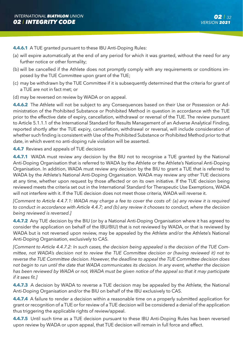**4.4.6.1** A TUE granted pursuant to these IBU Anti-Doping Rules:

- (a) will expire automatically at the end of any period for which it was granted, without the need for any further notice or other formality;
- (b) will be cancelled if the Athlete does not promptly comply with any requirements or conditions imposed by the TUE Committee upon grant of the TUE;
- (c) may be withdrawn by the TUE Committee if it is subsequently determined that the criteria for grant of a TUE are not in fact met; or
- (d) may be reversed on review by WADA or on appeal.

**4.4.6.2** The Athlete will not be subject to any Consequences based on their Use or Possession or Administration of the Prohibited Substance or Prohibited Method in question in accordance with the TUE prior to the effective date of expiry, cancellation, withdrawal or reversal of the TUE. The review pursuant to Article 5.1.1.1 of the International Standard for Results Management of an Adverse Analytical Finding, reported shortly after the TUE expiry, cancellation, withdrawal or reversal, will include consideration of whether such finding is consistent with Use of the Prohibited Substance or Prohibited Method prior to that date, in which event no anti-doping rule violation will be asserted.

#### **4.4.7** Reviews and appeals of TUE decisions

**4.4.7.1** WADA must review any decision by the BIU not to recognise a TUE granted by the National Anti-Doping Organisation that is referred to WADA by the Athlete or the Athlete's National Anti-Doping Organisation. In addition, WADA must review any decision by the BIU to grant a TUE that is referred to WADA by the Athlete's National Anti-Doping Organisation. WADA may review any other TUE decisions at any time, whether upon request by those affected or on its own initiative. If the TUE decision being reviewed meets the criteria set out in the International Standard for Therapeutic Use Exemptions, WADA will not interfere with it. If the TUE decision does not meet those criteria, WADA will reverse it.

*[Comment to Article 4.4.7.1: WADA may charge a fee to cover the costs of: (a) any review it is required to conduct in accordance with Article 4.4.7; and (b) any review it chooses to conduct, where the decision being reviewed is reversed.]*

**4.4.7.2** Any TUE decision by the BIU (or by a National Anti-Doping Organisation where it has agreed to consider the application on behalf of the IBU/BIU) that is not reviewed by WADA, or that is reviewed by WADA but is not reversed upon review, may be appealed by the Athlete and/or the Athlete's National Anti-Doping Organisation, exclusively to CAS.

*[Comment to Article 4.4.7.2: In such cases, the decision being appealed is the decision of the TUE Committee, not WADA's decision not to review the TUE Committee decision or (having reviewed it) not to reverse the TUE Committee decision. However, the deadline to appeal the TUE Committee decision does not begin to run until the date that WADA communicates its decision. In any event, whether the decision has been reviewed by WADA or not, WADA must be given notice of the appeal so that it may participate if it sees fit.]*

**4.4.7.3** A decision by WADA to reverse a TUE decision may be appealed by the Athlete, the National Anti-Doping Organisation and/or the BIU on behalf of the IBU exclusively to CAS.

**4.4.7.4** A failure to render a decision within a reasonable time on a properly submitted application for grant or recognition of a TUE or for review of a TUE decision will be considered a denial of the application thus triggering the applicable rights of review/appeal.

**4.4.7.5** Until such time as a TUE decision pursuant to these IBU Anti-Doping Rules has been reversed upon review by WADA or upon appeal, that TUE decision will remain in full force and effect.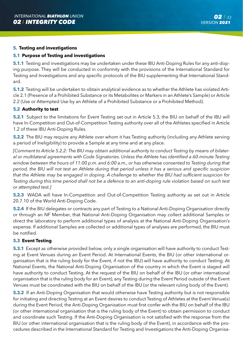#### **5. Testing and investigations**

#### **5.1 Purpose of Testing and investigations**

**5.1.1** Testing and investigations may be undertaken under these IBU Anti-Doping Rules for any anti-doping purpose. They will be conducted in conformity with the provisions of the International Standard for Testing and Investigations and any specific protocols of the BIU supplementing that International Standard.

**5.1.2** Testing will be undertaken to obtain analytical evidence as to whether the Athlete has violated Article 2.1 (Presence of a Prohibited Substance or its Metabolites or Markers in an Athlete's Sample) or Article 2.2 (Use or Attempted Use by an Athlete of a Prohibited Substance or a Prohibited Method).

#### **5.2 Authority to test**

**5.2.1** Subject to the limitations for Event Testing set out in Article 5.3, the BIU on behalf of the IBU will have In-Competition and Out-of-Competition Testing authority over all of the Athletes specified in Article 1.2 of these IBU Anti-Doping Rules.

**5.2.2** The BIU may require any Athlete over whom it has Testing authority (including any Athlete serving a period of Ineligibility) to provide a Sample at any time and at any place.

*[Comment to Article 5.2.2: The BIU may obtain additional authority to conduct Testing by means of bilateral or multilateral agreements with Code Signatories. Unless the Athlete has identified a 60-minute Testing window between the hours of 11:00 p.m. and 6:00 a.m., or has otherwise consented to Testing during that period, the BIU will not test an Athlete during that period unless it has a serious and specific suspicion that the Athlete may be engaged in doping. A challenge to whether the BIU had sufficient suspicion for Testing during this time period shall not be a defence to an anti-doping rule violation based on such test or attempted test.]*

**5.2.3** WADA will have In-Competition and Out-of-Competition Testing authority as set out in Article 20.7.10 of the World Anti-Doping Code.

**5.2.4** If the BIU delegates or contracts any part of Testing to a National Anti-Doping Organisation directly or through an NF Member, that National Anti-Doping Organisation may collect additional Samples or direct the laboratory to perform additional types of analysis at the National Anti-Doping Organisation's expense. If additional Samples are collected or additional types of analyses are performed, the BIU must be notified.

#### **5.3 Event Testing**

**5.3.1** Except as otherwise provided below, only a single organisation will have authority to conduct Testing at Event Venues during an Event Period. At International Events, the BIU (or other international organisation that is the ruling body for the Event, if not the IBU) will have authority to conduct Testing. At National Events, the National Anti-Doping Organisation of the country in which the Event is staged will have authority to conduct Testing. At the request of the BIU on behalf of the IBU (or other international organisation that is the ruling body for an Event), any Testing during the Event Period outside of the Event Venues must be coordinated with the BIU on behalf of the IBU (or the relevant ruling body of the Event).

**5.3.2** If an Anti-Doping Organisation that would otherwise have Testing authority but is not responsible for initiating and directing Testing at an Event desires to conduct Testing of Athletes at the Event Venue(s) during the Event Period, the Anti-Doping Organisation must first confer with the BIU on behalf of the IBU (or other international organisation that is the ruling body of the Event) to obtain permission to conduct and coordinate such Testing. If the Anti-Doping Organisation is not satisfied with the response from the BIU (or other international organisation that is the ruling body of the Event), in accordance with the procedures described in the International Standard for Testing and Investigations the Anti-Doping Organisa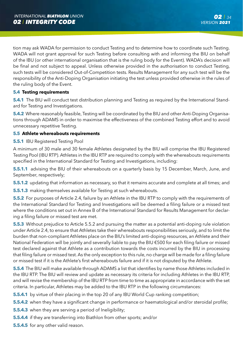tion may ask WADA for permission to conduct Testing and to determine how to coordinate such Testing. WADA will not grant approval for such Testing before consulting with and informing the BIU on behalf of the IBU (or other international organisation that is the ruling body for the Event). WADA's decision will be final and not subject to appeal. Unless otherwise provided in the authorisation to conduct Testing, such tests will be considered Out-of-Competition tests. Results Management for any such test will be the responsibility of the Anti-Doping Organisation initiating the test unless provided otherwise in the rules of the ruling body of the Event.

#### **5.4 Testing requirements**

**5.4.1** The BIU will conduct test distribution planning and Testing as required by the International Standard for Testing and Investigations.

**5.4.2** Where reasonably feasible, Testing will be coordinated by the BIU and other Anti-Doping Organisations through ADAMS in order to maximise the effectiveness of the combined Testing effort and to avoid unnecessary repetitive Testing.

#### **5.5 Athlete whereabouts requirements**

#### **5.5.1** IBU Registered Testing Pool

A minimum of 30 male and 30 female Athletes designated by the BIU will comprise the IBU Registered Testing Pool (IBU RTP). Athletes in the IBU RTP are required to comply with the whereabouts requirements specified in the International Standard for Testing and Investigations, including:

**5.5.1.1** advising the BIU of their whereabouts on a quarterly basis by 15 December, March, June, and September, respectively;

**5.5.1.2** updating that information as necessary, so that it remains accurate and complete at all times; and

**5.5.1.3** making themselves available for Testing at such whereabouts.

**5.5.2** For purposes of Article 2.4, failure by an Athlete in the IBU RTP to comply with the requirements of the International Standard for Testing and Investigations will be deemed a filing failure or a missed test where the conditions set out in Annex B of the International Standard for Results Management for declaring a filing failure or missed test are met.

**5.5.3** Without prejudice to Article 5.5.2 and pursuing the matter as a potential anti-doping rule violation under Article 2.4, to ensure that Athletes take their whereabouts responsibilities seriously, and to limit the burden that non-compliant Athletes place on the BIU's limited anti-doping resources, an Athlete and their National Federation will be jointly and severally liable to pay the BIU €500 for each filing failure or missed test declared against that Athlete as a contribution towards the costs incurred by the BIU in processing that filing failure or missed test. As the only exception to this rule, no charge will be made for a filing failure or missed test if it is the Athlete's first whereabouts failure and if it is not disputed by the Athlete.

**5.5.4** The BIU will make available through ADAMS a list that identifies by name those Athletes included in the IBU RTP. The BIU will review and update as necessary its criteria for including Athletes in the IBU RTP, and will revise the membership of the IBU RTP from time to time as appropriate in accordance with the set criteria. In particular, Athletes may be added to the IBU RTP in the following circumstances:

- **5.5.4.1** by virtue of their placing in the top 20 of any IBU World Cup ranking competition;
- **5.5.4.2** when they have a significant change in performance or haematological and/or steroidal profile;
- **5.5.4.3** when they are serving a period of Ineligibility;
- **5.5.4.4** if they are transferring into Biathlon from other sports; and/or
- **5.5.4.5** for any other valid reason.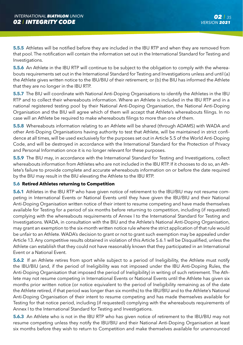**5.5.5** Athletes will be notified before they are included in the IBU RTP and when they are removed from that pool. The notification will contain the information set out in the International Standard for Testing and Investigations.

**5.5.6** An Athlete in the IBU RTP will continue to be subject to the obligation to comply with the whereabouts requirements set out in the International Standard for Testing and Investigations unless and until (a) the Athlete gives written notice to the IBU/BIU of their retirement; or (b) the BIU has informed the Athlete that they are no longer in the IBU RTP.

**5.5.7** The BIU will coordinate with National Anti-Doping Organisations to identify the Athletes in the IBU RTP and to collect their whereabouts information. Where an Athlete is included in the IBU RTP and in a national registered testing pool by their National Anti-Doping Organisation, the National Anti-Doping Organisation and the BIU will agree which of them will accept that Athlete's whereabouts filings. In no case will an Athlete be required to make whereabouts filings to more than one of them.

**5.5.8** Whereabouts information relating to an Athlete will be shared (through ADAMS) with WADA and other Anti-Doping Organisations having authority to test that Athlete, will be maintained in strict confidence at all times, will be used exclusively for the purposes set out in Article 5.5 of the World Anti-Doping Code, and will be destroyed in accordance with the International Standard for the Protection of Privacy and Personal Information once it is no longer relevant for these purposes.

**5.5.9** The BIU may, in accordance with the International Standard for Testing and Investigations, collect whereabouts information from Athletes who are not included in the IBU RTP. If it chooses to do so, an Athlete's failure to provide complete and accurate whereabouts information on or before the date required by the BIU may result in the BIU elevating the Athlete to the IBU RTP.

#### **5.6 Retired Athletes returning to Competition**

**5.6.1** Athletes in the IBU RTP who have given notice of retirement to the IBU/BIU may not resume competing in International Events or National Events until they have given the IBU/BIU and their National Anti-Doping Organisation written notice of their intent to resume competing and have made themselves available for Testing for a period of six months before returning to competition, including (if requested) complying with the whereabouts requirements of Annex I to the International Standard for Testing and Investigations. WADA, in consultation with the BIU and the Athlete's National Anti-Doping Organisation, may grant an exemption to the six-month written notice rule where the strict application of that rule would be unfair to an Athlete. WADA's decision to grant or not to grant such exemption may be appealed under Article 13. Any competitive results obtained in violation of this Article 5.6.1 will be Disqualified, unless the Athlete can establish that they could not have reasonably known that they participated in an International Event or a National Event.

**5.6.2** If an Athlete retires from sport while subject to a period of Ineligibility, the Athlete must notify the IBU/BIU (and, if the period of Ineligibility was not imposed under the IBU Anti-Doping Rules, the Anti-Doping Organisation that imposed the period of Ineligibility) in writing of such retirement. The Athlete may not resume competing in International Events or National Events until the Athlete has given six months prior written notice (or notice equivalent to the period of Ineligibility remaining as of the date the Athlete retired, if that period was longer than six months) to the IBU/BIU and to the Athlete's National Anti-Doping Organisation of their intent to resume competing and has made themselves available for Testing for that notice period, including (if requested) complying with the whereabouts requirements of Annex I to the International Standard for Testing and Investigations.

**5.6.3** An Athlete who is not in the IBU RTP who has given notice of retirement to the IBU/BIU may not resume competing unless they notify the IBU/BIU and their National Anti-Doping Organisation at least six months before they wish to return to Competition and make themselves available for unannounced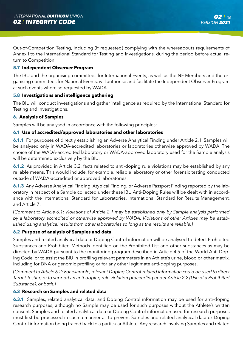Out-of-Competition Testing, including (if requested) complying with the whereabouts requirements of Annex I to the International Standard for Testing and Investigations, during the period before actual return to Competition.

#### **5.7 Independent Observer Program**

The IBU and the organising committees for International Events, as well as the NF Members and the organising committees for National Events, will authorise and facilitate the Independent Observer Program at such events where so requested by WADA.

#### **5.8 Investigations and intelligence gathering**

The BIU will conduct investigations and gather intelligence as required by the International Standard for Testing and Investigations.

#### **6. Analysis of Samples**

Samples will be analysed in accordance with the following principles:

#### **6.1 Use of accredited/approved laboratories and other laboratories**

**6.1.1** For purposes of directly establishing an Adverse Analytical Finding under Article 2.1, Samples will be analysed only in WADA-accredited laboratories or laboratories otherwise approved by WADA. The choice of the WADA-accredited laboratory or WADA-approved laboratory used for the Sample analysis will be determined exclusively by the BIU.

**6.1.2** As provided in Article 3.2, facts related to anti-doping rule violations may be established by any reliable means. This would include, for example, reliable laboratory or other forensic testing conducted outside of WADA-accredited or approved laboratories.

**6.1.3** Any Adverse Analytical Finding, Atypical Finding, or Adverse Passport Finding reported by the laboratory in respect of a Sample collected under these IBU Anti-Doping Rules will be dealt with in accordance with the International Standard for Laboratories, International Standard for Results Management, and Article 7.

*[Comment to Article 6.1: Violations of Article 2.1 may be established only by Sample analysis performed by a laboratory accredited or otherwise approved by WADA. Violations of other Articles may be established using analytical results from other laboratories so long as the results are reliable.]*

#### **6.2 Purpose of analysis of Samples and data**

Samples and related analytical data or Doping Control information will be analysed to detect Prohibited Substances and Prohibited Methods identified on the Prohibited List and other substances as may be directed by WADA pursuant to the monitoring program described in Article 4.5 of the World Anti-Doping Code, or to assist the BIU in profiling relevant parameters in an Athlete's urine, blood or other matrix, including for DNA or genomic profiling or for any other legitimate anti-doping purposes.

*[Comment to Article 6.2: For example, relevant Doping Control-related information could be used to direct Target Testing or to support an anti-doping rule violation proceeding under Article 2.2 (Use of a Prohibited Substance), or both.]*

#### **6.3 Research on Samples and related data**

**6.3.1** Samples, related analytical data, and Doping Control information may be used for anti-doping research purposes, although no Sample may be used for such purposes without the Athlete's written consent. Samples and related analytical data or Doping Control information used for research purposes must first be processed in such a manner as to prevent Samples and related analytical data or Doping Control information being traced back to a particular Athlete. Any research involving Samples and related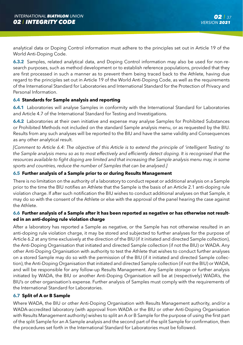analytical data or Doping Control information must adhere to the principles set out in Article 19 of the World Anti-Doping Code.

**6.3.2** Samples, related analytical data, and Doping Control information may also be used for non-research purposes, such as method development or to establish reference populations, provided that they are first processed in such a manner as to prevent them being traced back to the Athlete, having due regard to the principles set out in Article 19 of the World Anti-Doping Code, as well as the requirements of the International Standard for Laboratories and International Standard for the Protection of Privacy and Personal Information.

### **6.4 Standards for Sample analysis and reporting**

**6.4.1** Laboratories will analyse Samples in conformity with the International Standard for Laboratories and Article 4.7 of the International Standard for Testing and Investigations.

**6.4.2** Laboratories at their own initiative and expense may analyse Samples for Prohibited Substances or Prohibited Methods not included on the standard Sample analysis menu, or as requested by the BIU. Results from any such analyses will be reported to the BIU and have the same validity and Consequences as any other analytical result.

*[Comment to Article 6.4: The objective of this Article is to extend the principle of 'intelligent Testing' to the Sample analysis menu so as to most effectively and efficiently detect doping. It is recognised that the resources available to fight doping are limited and that increasing the Sample analysis menu may, in some sports and countries, reduce the number of Samples that can be analysed.]*

### **6.5 Further analysis of a Sample prior to or during Results Management**

There is no limitation on the authority of a laboratory to conduct repeat or additional analysis on a Sample prior to the time the BIU notifies an Athlete that the Sample is the basis of an Article 2.1 anti-doping rule violation charge. If after such notification the BIU wishes to conduct additional analyses on that Sample, it may do so with the consent of the Athlete or else with the approval of the panel hearing the case against the Athlete.

## **6.6 Further analysis of a Sample after it has been reported as negative or has otherwise not resulted in an anti-doping rule violation charge**

After a laboratory has reported a Sample as negative, or the Sample has not otherwise resulted in an anti-doping rule violation charge, it may be stored and subjected to further analyses for the purpose of Article 6.2 at any time exclusively at the direction of the BIU (if it initiated and directed Sample collection), the Anti-Doping Organisation that initiated and directed Sample collection (if not the BIU) or WADA. Any other Anti-Doping Organisation with authority to test the Athlete that wishes to conduct further analyses on a stored Sample may do so with the permission of the BIU (if it initiated and directed Sample collection), the Anti-Doping Organisation that initiated and directed Sample collection (if not the BIU) or WADA, and will be responsible for any follow-up Results Management. Any Sample storage or further analysis initiated by WADA, the BIU or another Anti-Doping Organisation will be at (respectively) WADA's, the BIU's or other organisation's expense. Further analysis of Samples must comply with the requirements of the International Standard for Laboratories.

## **6.7 Split of A or B Sample**

Where WADA, the BIU or other Anti-Doping Organisation with Results Management authority, and/or a WADA-accredited laboratory (with approval from WADA or the BIU or other Anti-Doping Organisation with Results Management authority) wishes to split an A or B Sample for the purpose of using the first part of the split Sample for an A Sample analysis and the second part of the split Sample for confirmation, then the procedures set forth in the International Standard for Laboratories must be followed.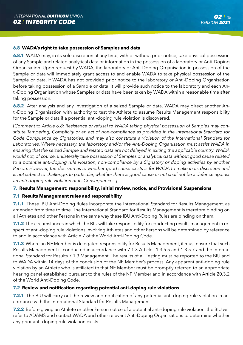#### **6.8 WADA's right to take possession of Samples and data**

**6.8.1** WADA may, in its sole discretion at any time, with or without prior notice, take physical possession of any Sample and related analytical data or information in the possession of a laboratory or Anti-Doping Organisation. Upon request by WADA, the laboratory or Anti-Doping Organisation in possession of the Sample or data will immediately grant access to and enable WADA to take physical possession of the Sample or data. If WADA has not provided prior notice to the laboratory or Anti-Doping Organisation before taking possession of a Sample or data, it will provide such notice to the laboratory and each Anti-Doping Organisation whose Samples or data have been taken by WADA within a reasonable time after taking possession.

**6.8.2** After analysis and any investigation of a seized Sample or data, WADA may direct another Anti-Doping Organisation with authority to test the Athlete to assume Results Management responsibility for the Sample or data if a potential anti-doping rule violation is discovered.

*[Comment to Article 6.8: Resistance or refusal to WADA taking physical possession of Samples may constitute Tampering, Complicity or an act of non-compliance as provided in the International Standard for Code Compliance by Signatories, and may also constitute a violation of the International Standard for Laboratories. Where necessary, the laboratory and/or the Anti-Doping Organisation must assist WADA in ensuring that the seized Sample and related data are not delayed in exiting the applicable country. WADA would not, of course, unilaterally take possession of Samples or analytical data without good cause related*  to a potential anti-doping rule violation, non-compliance by a Signatory or doping activities by another *Person. However, the decision as to whether good cause exists is for WADA to make in its discretion and is not subject to challenge. In particular, whether there is good cause or not shall not be a defence against an anti-doping rule violation or its Consequences.]*

### **7. Results Management: responsibility, initial review, notice, and Provisional Suspensions**

### **7.1 Results Management rules and responsibility**

**7.1.1** These IBU Anti-Doping Rules incorporate the International Standard for Results Management, as amended from time to time. The International Standard for Results Management is therefore binding on all Athletes and other Persons in the same way these IBU Anti-Doping Rules are binding on them.

**7.1.2** The circumstances in which the BIU will take responsibility for conducting results management in respect of anti-doping rule violations involving Athletes and other Persons will be determined by reference to and in accordance with Article 7 of the World Anti-Doping Code.

**7.1.3** Where an NF Member is delegated responsibility for Results Management, it must ensure that such Results Management is conducted in accordance with 7.1.3 Articles 1.3.5.5 and 1.3.5.7 and the International Standard for Results 7.1.3 Management. The results of all Testing must be reported to the BIU and to WADA within 14 days of the conclusion of the NF Member's process. Any apparent anti-doping rule violation by an Athlete who is affiliated to that NF Member must be promptly referred to an appropriate hearing panel established pursuant to the rules of the NF Member and in accordance with Article 20.3.2 of the World Anti-Doping Code.

#### **7.2 Review and notification regarding potential anti-doping rule violations**

**7.2.1** The BIU will carry out the review and notification of any potential anti-doping rule violation in accordance with the International Standard for Results Management.

**7.2.2** Before giving an Athlete or other Person notice of a potential anti-doping rule violation, the BIU will refer to ADAMS and contact WADA and other relevant Anti-Doping Organisations to determine whether any prior anti-doping rule violation exists.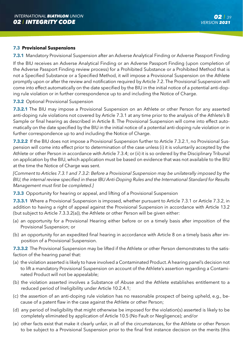### **7.3 Provisional Suspensions**

**7.3.1** Mandatory Provisional Suspension after an Adverse Analytical Finding or Adverse Passport Finding

If the BIU receives an Adverse Analytical Finding or an Adverse Passport Finding (upon completion of the Adverse Passport Finding review process) for a Prohibited Substance or a Prohibited Method that is not a Specified Substance or a Specified Method, it will impose a Provisional Suspension on the Athlete promptly upon or after the review and notification required by Article 7.2. The Provisional Suspension will come into effect automatically on the date specified by the BIU in the initial notice of a potential anti-doping rule violation or in further correspondence up to and including the Notice of Charge.

### **7.3.2** Optional Provisional Suspension

**7.3.2.1** The BIU may impose a Provisional Suspension on an Athlete or other Person for any asserted anti-doping rule violations not covered by Article 7.3.1 at any time prior to the analysis of the Athlete's B Sample or final hearing as described in Article 8. The Provisional Suspension will come into effect automatically on the date specified by the BIU in the initial notice of a potential anti-doping rule violation or in further correspondence up to and including the Notice of Charge.

**7.3.2.2** If the BIU does not impose a Provisional Suspension further to Article 7.3.2.1, no Provisional Suspension will come into effect prior to determination of the case unless (i) it is voluntarily accepted by the Athlete or other Person in accordance with Article 7.3.4; or (ii) it is so ordered by the Disciplinary Tribunal on application by the BIU, which application must be based on evidence that was not available to the BIU at the time the Notice of Charge was sent.

*[Comment to Articles 7.3.1 and 7.3.2: Before a Provisional Suspension may be unilaterally imposed by the BIU, the internal review specified in these IBU Anti-Doping Rules and the International Standard for Results Management must first be completed.]*

**7.3.3** Opportunity for hearing or appeal, and lifting of a Provisional Suspension

**7.3.3.1** Where a Provisional Suspension is imposed, whether pursuant to Article 7.3.1 or Article 7.3.2, in addition to having a right of appeal against the Provisional Suspension in accordance with Article 13.2 (but subject to Article 7.3.3.2(a)), the Athlete or other Person will be given either:

- (a) an opportunity for a Provisional Hearing either before or on a timely basis after imposition of the Provisional Suspension; or
- (b) an opportunity for an expedited final hearing in accordance with Article 8 on a timely basis after imposition of a Provisional Suspension.

**7.3.3.2** The Provisional Suspension may be lifted if the Athlete or other Person demonstrates to the satisfaction of the hearing panel that:

- (a) the violation asserted is likely to have involved a Contaminated Product. A hearing panel's decision not to lift a mandatory Provisional Suspension on account of the Athlete's assertion regarding a Contaminated Product will not be appealable;
- (b) the violation asserted involves a Substance of Abuse and the Athlete establishes entitlement to a reduced period of Ineligibility under Article 10.2.4.1;
- (c) the assertion of an anti-doping rule violation has no reasonable prospect of being upheld, e.g., because of a patent flaw in the case against the Athlete or other Person;
- (d) any period of Ineligibility that might otherwise be imposed for the violation(s) asserted is likely to be completely eliminated by application of Article 10.5 (No Fault or Negligence); and/or
- (e) other facts exist that make it clearly unfair, in all of the circumstances, for the Athlete or other Person to be subject to a Provisional Suspension prior to the final first instance decision on the merits (this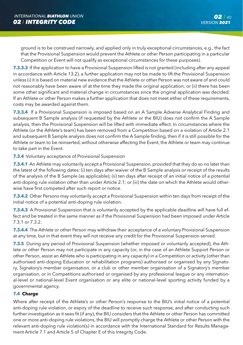ground is to be construed narrowly, and applied only in truly exceptional circumstances, e.g., the fact that the Provisional Suspension would prevent the Athlete or other Person participating in a particular Competition or Event will not qualify as exceptional circumstances for these purposes).

**7.3.3.3** If the application to have a Provisional Suspension lifted is not granted (including after any appeal in accordance with Article 13.2), a further application may not be made to lift the Provisional Suspension unless (i) it is based on material new evidence that the Athlete or other Person was not aware of and could not reasonably have been aware of at the time they made the original application; or (ii) there has been some other significant and material change in circumstances since the original application was decided. If an Athlete or other Person makes a further application that does not meet either of these requirements, costs may be awarded against them.

**7.3.3.4** If a Provisional Suspension is imposed based on an A Sample Adverse Analytical Finding and subsequent B Sample analysis (if requested by the Athlete or the BIU) does not confirm the A Sample analysis, then the Provisional Suspension will be lifted with immediate effect. In circumstances where the Athlete (or the Athlete's team) has been removed from a Competition based on a violation of Article 2.1 and subsequent B Sample analysis does not confirm the A Sample finding, then if it is still possible for the Athlete or team to be reinserted, without otherwise affecting the Event, the Athlete or team may continue to take part in the Event.

**7.3.4** Voluntary acceptance of Provisional Suspension

**7.3.4.1** An Athlete may voluntarily accept a Provisional Suspension, provided that they do so no later than the latest of the following dates: (i) ten days after waiver of the B Sample analysis or receipt of the results of the analysis of the B Sample (as applicable); (ii) ten days after receipt of an initial notice of a potential anti-doping rule violation other than under Article 2.1; or (iii) the date on which the Athlete would otherwise have first competed after such report or notice.

**7.3.4.2** Other Persons may voluntarily accept a Provisional Suspension within ten days from receipt of the initial notice of a potential anti-doping rule violation.

**7.3.4.3** A Provisional Suspension that is voluntarily accepted by the applicable deadline will have full effect and be treated in the same manner as if the Provisional Suspension had been imposed under Article 7.3.1 or 7.3.2.

**7.3.4.4** The Athlete or other Person may withdraw their acceptance of a voluntary Provisional Suspension at any time, but in that event they will not receive any credit for the Provisional Suspension served.

**7.3.5** During any period of Provisional Suspension (whether imposed or voluntarily accepted), the Athlete or other Person may not participate in any capacity (or, in the case of an Athlete Support Person or other Person, assist an Athlete who is participating in any capacity) in a Competition or activity (other than authorised anti-doping Education or rehabilitation programs) authorised or organised by any Signatory, Signatory's member organisation, or a club or other member organisation of a Signatory's member organisation, or in Competitions authorised or organised by any professional league or any international-level or national-level Event organisation or any elite or national-level sporting activity funded by a governmental agency.

## **7.4 Charge**

Where after receipt of the Athlete's or other Person's response to the BIU's initial notice of a potential anti-doping rule violation, or expiry of the deadline to receive such response, and after conducting such further investigation as it sees fit (if any), the BIU considers that the Athlete or other Person has committed one or more anti-doping rule violations, the BIU will promptly charge the Athlete or other Person with the relevant anti-doping rule violation(s) in accordance with the International Standard for Results Management Article 7.1 and Article 5 of Chapter E of this Integrity Code.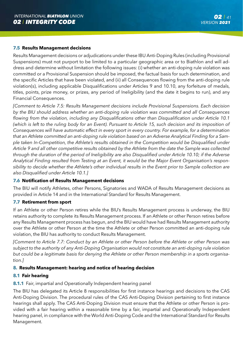## **7.5 Results Management decisions**

Results Management decisions or adjudications under these IBU Anti-Doping Rules (including Provisional Suspensions) must not purport to be limited to a particular geographic area or to Biathlon and will address and determine without limitation the following issues: (i) whether an anti-doping rule violation was committed or a Provisional Suspension should be imposed, the factual basis for such determination, and the specific Articles that have been violated, and (ii) all Consequences flowing from the anti-doping rule violation(s), including applicable Disqualifications under Articles 9 and 10.10, any forfeiture of medals, titles, points, prize money, or prizes, any period of Ineligibility (and the date it begins to run), and any Financial Consequences.

*[Comment to Article 7.5: Results Management decisions include Provisional Suspensions. Each decision by the BIU should address whether an anti-doping rule violation was committed and all Consequences flowing from the violation, including any Disqualifications other than Disqualification under Article 10.1 (which is left to the ruling body for an Event). Pursuant to Article 15, such decision and its imposition of Consequences will have automatic effect in every sport in every country. For example, for a determination that an Athlete committed an anti-doping rule violation based on an Adverse Analytical Finding for a Sample taken In-Competition, the Athlete's results obtained in the Competition would be Disqualified under Article 9 and all other competitive results obtained by the Athlete from the date the Sample was collected through the duration of the period of Ineligibility are also Disqualified under Article 10.10; if the Adverse Analytical Finding resulted from Testing at an Event, it would be the Major Event Organisation's responsibility to decide whether the Athlete's other individual results in the Event prior to Sample collection are also Disqualified under Article 10.1.]*

### **7.6 Notification of Results Management decisions**

The BIU will notify Athletes, other Persons, Signatories and WADA of Results Management decisions as provided in Article 14 and in the International Standard for Results Management.

### **7.7 Retirement from sport**

If an Athlete or other Person retires while the BIU's Results Management process is underway, the BIU retains authority to complete its Results Management process. If an Athlete or other Person retires before any Results Management process has begun, and the BIU would have had Results Management authority over the Athlete or other Person at the time the Athlete or other Person committed an anti-doping rule violation, the BIU has authority to conduct Results Management.

*[Comment to Article 7.7: Conduct by an Athlete or other Person before the Athlete or other Person was subject to the authority of any Anti-Doping Organisation would not constitute an anti-doping rule violation but could be a legitimate basis for denying the Athlete or other Person membership in a sports organisation.]*

## **8. Results Management: hearing and notice of hearing decision**

### **8.1 Fair hearing**

# **8.1.1** Fair, impartial and Operationally Independent hearing panel

The BIU has delegated its Article 8 responsibilities for first instance hearings and decisions to the CAS Anti-Doping Division. The procedural rules of the CAS Anti-Doping Division pertaining to first instance hearings shall apply. The CAS Anti-Doping Division must ensure that the Athlete or other Person is provided with a fair hearing within a reasonable time by a fair, impartial and Operationally Independent hearing panel, in compliance with the World Anti-Doping Code and the International Standard for Results Management.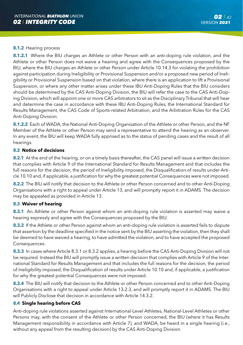#### **8.1.2** Hearing process

**8.1.2.1** Where the BIU charges an Athlete or other Person with an anti-doping rule violation, and the Athlete or other Person does not waive a hearing and agree with the Consequences proposed by the BIU, where the BIU charges an Athlete or other Person under Article 10.14.3 for violating the prohibition against participation during Ineligibility or Provisional Suspension and/or a proposed new period of Ineligibility or Provisional Suspension based on that violation, where there is an application to lift a Provisional Suspension, or where any other matter arises under these IBU Anti-Doping Rules that the BIU considers should be determined by the CAS Anti-Doping Division, the BIU will refer the case to the CAS Anti-Doping Division, which will appoint one or more CAS arbitrators to sit as the Disciplinary Tribunal that will hear and determine the case in accordance with these IBU Anti-Doping Rules, the International Standard for Results Management, the CAS Code of Sports-related Arbitration, and the Arbitration Rules for the CAS Anti-Doping Division.

**8.1.2.2** Each of WADA, the National Anti-Doping Organisation of the Athlete or other Person, and the NF Member of the Athlete or other Person may send a representative to attend the hearing as an observer. In any event, the BIU will keep WADA fully apprised as to the status of pending cases and the result of all hearings.

#### **8.2 Notice of decisions**

**8.2.1** At the end of the hearing, or on a timely basis thereafter, the CAS panel will issue a written decision that complies with Article 9 of the International Standard for Results Management and that includes the full reasons for the decision, the period of Ineligibility imposed, the Disqualification of results under Article 10.10 and, if applicable, a justification for why the greatest potential Consequences were not imposed.

**8.2.2** The BIU will notify that decision to the Athlete or other Person concerned and to other Anti-Doping Organisations with a right to appeal under Article 13, and will promptly report it in ADAMS. The decision may be appealed as provided in Article 13.

### **8.3 Waiver of hearing**

**8.3.1** An Athlete or other Person against whom an anti-doping rule violation is asserted may waive a hearing expressly and agree with the Consequences proposed by the BIU.

**8.3.2** If the Athlete or other Person against whom an anti-doping rule violation is asserted fails to dispute that assertion by the deadline specified in the notice sent by the BIU asserting the violation, then they shall be deemed to have waived a hearing, to have admitted the violation, and to have accepted the proposed Consequences.

**8.3.3** In cases where Article 8.3.1 or 8.3.2 applies, a hearing before the CAS Anti-Doping Division will not be required. Instead the BIU will promptly issue a written decision that complies with Article 9 of the International Standard for Results Management and that includes the full reasons for the decision, the period of Ineligibility imposed, the Disqualification of results under Article 10.10 and, if applicable, a justification for why the greatest potential Consequences were not imposed.

**8.3.4** The BIU will notify that decision to the Athlete or other Person concerned and to other Anti-Doping Organisations with a right to appeal under Article 13.2.3, and will promptly report it in ADAMS. The BIU will Publicly Disclose that decision in accordance with Article 14.3.2.

### **8.4 Single hearing before CAS**

Anti-doping rule violations asserted against International-Level Athletes, National-Level Athletes or other Persons may, with the consent of the Athlete or other Person concerned, the BIU (where it has Results Management responsibility in accordance with Article 7), and WADA, be heard in a single hearing (i.e., without any appeal from the resulting decision) by the CAS Anti-Doping Division.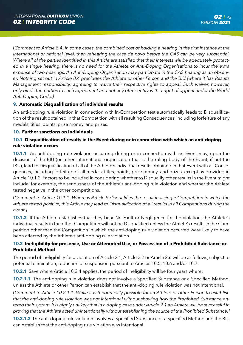*[Comment to Article 8.4: In some cases, the combined cost of holding a hearing in the first instance at the international or national level, then rehearing the case de novo before the CAS can be very substantial. Where all of the parties identified in this Article are satisfied that their interests will be adequately protected in a single hearing, there is no need for the Athlete or Anti-Doping Organisations to incur the extra expense of two hearings. An Anti-Doping Organisation may participate in the CAS hearing as an observer. Nothing set out in Article 8.4 precludes the Athlete or other Person and the BIU (where it has Results Management responsibility) agreeing to waive their respective rights to appeal. Such waiver, however, only binds the parties to such agreement and not any other entity with a right of appeal under the World Anti-Doping Code.]*

## **9. Automatic Disqualification of individual results**

An anti-doping rule violation in connection with In-Competition test automatically leads to Disqualification of the result obtained in that Competition with all resulting Consequences, including forfeiture of any medals, titles, points, prize money, and prizes.

## **10. Further sanctions on individuals**

## **10.1 Disqualification of results in the Event during or in connection with which an anti-doping rule violation occurs**

**10.1.1** An anti-doping rule violation occurring during or in connection with an Event may, upon the decision of the BIU (or other international organisation that is the ruling body of the Event, if not the IBU), lead to Disqualification of all of the Athlete's individual results obtained in that Event with all Consequences, including forfeiture of all medals, titles, points, prize money, and prizes, except as provided in Article 10.1.2. Factors to be included in considering whether to Disqualify other results in the Event might include, for example, the seriousness of the Athlete's anti-doping rule violation and whether the Athlete tested negative in the other competitions.

*[Comment to Article 10.1.1: Whereas Article 9 disqualifies the result in a single Competition in which the Athlete tested positive, this Article may lead to Disqualification of all results in all Competitions during the Event.]*

**10.1.2** If the Athlete establishes that they bear No Fault or Negligence for the violation, the Athlete's individual results in the other Competition will not be Disqualified unless the Athlete's results in the Competition other than the Competition in which the anti-doping rule violation occurred were likely to have been affected by the Athlete's anti-doping rule violation.

## **10.2 Ineligibility for presence, Use or Attempted Use, or Possession of a Prohibited Substance or Prohibited Method**

The period of Ineligibility for a violation of Article 2.1, Article 2.2 or Article 2.6 will be as follows, subject to potential elimination, reduction or suspension pursuant to Articles 10.5, 10.6 and/or 10.7:

**10.2.1** Save where Article 10.2.4 applies, the period of Ineligibility will be four years where:

**10.2.1.1** The anti-doping rule violation does not involve a Specified Substance or a Specified Method, unless the Athlete or other Person can establish that the anti-doping rule violation was not intentional.

*[Comment to Article 10.2.1.1: While it is theoretically possible for an Athlete or other Person to establish that the anti-doping rule violation was not intentional without showing how the Prohibited Substance entered their system, it is highly unlikely that in a doping case under Article 2.1 an Athlete will be successful in proving that the Athlete acted unintentionally without establishing the source of the Prohibited Substance.]* 

**10.2.1.2** The anti-doping rule violation involves a Specified Substance or a Specified Method and the BIU can establish that the anti-doping rule violation was intentional.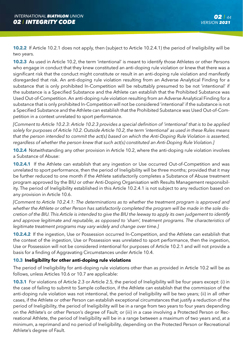**10.2.2** If Article 10.2.1 does not apply, then (subject to Article 10.2.4.1) the period of Ineligibility will be two years.

**10.2.3** As used in Article 10.2, the term 'intentional' is meant to identify those Athletes or other Persons who engage in conduct that they knew constituted an anti-doping rule violation or knew that there was a significant risk that the conduct might constitute or result in an anti-doping rule violation and manifestly disregarded that risk. An anti-doping rule violation resulting from an Adverse Analytical Finding for a substance that is only prohibited In-Competition will be rebuttably presumed to be not 'intentional' if the substance is a Specified Substance and the Athlete can establish that the Prohibited Substance was Used Out-of-Competition. An anti-doping rule violation resulting from an Adverse Analytical Finding for a substance that is only prohibited In-Competition will not be considered 'intentional' if the substance is not a Specified Substance and the Athlete can establish that the Prohibited Substance was Used Out-of-Competition in a context unrelated to sport performance.

*[Comment to Article 10.2.3: Article 10.2.3 provides a special definition of 'intentional' that is to be applied solely for purposes of Article 10.2. Outside Article 10.2, the term 'intentional' as used in these Rules means that the person intended to commit the act(s) based on which the Anti-Doping Rule Violation is asserted, regardless of whether the person knew that such act(s) constituted an Anti-Doping Rule Violation.]*

**10.2.4** Notwithstanding any other provision in Article 10.2, where the anti-doping rule violation involves a Substance of Abuse:

**10.2.4.1** If the Athlete can establish that any ingestion or Use occurred Out-of-Competition and was unrelated to sport performance, then the period of Ineligibility will be three months; provided that it may be further reduced to one month if the Athlete satisfactorily completes a Substance of Abuse treatment program approved by the BIU or other Anti-Doping Organisation with Results Management responsibility. The period of Ineligibility established in this Article 10.2.4.1 is not subject to any reduction based on any provision in Article 10.6.

*[Comment to Article 10.2.4.1: The determinations as to whether the treatment program is approved and whether the Athlete or other Person has satisfactorily completed the program will be made in the sole discretion of the BIU. This Article is intended to give the BIU the leeway to apply its own judgement to identify and approve legitimate and reputable, as opposed to 'sham', treatment programs. The characteristics of legitimate treatment programs may vary widely and change over time.]*

**10.2.4.2** If the ingestion, Use or Possession occurred In-Competition, and the Athlete can establish that the context of the ingestion, Use or Possession was unrelated to sport performance, then the ingestion, Use or Possession will not be considered intentional for purposes of Article 10.2.1 and will not provide a basis for a finding of Aggravating Circumstances under Article 10.4.

## **10.3 Ineligibility for other anti-doping rule violations**

The period of Ineligibility for anti-doping rule violations other than as provided in Article 10.2 will be as follows, unless Articles 10.6 or 10.7 are applicable:

**10.3.1** For violations of Article 2.3 or Article 2.5, the period of Ineligibility will be four years except: (i) in the case of failing to submit to Sample collection, if the Athlete can establish that the commission of the anti-doping rule violation was not intentional, the period of Ineligibility will be two years; (ii) in all other cases, if the Athlete or other Person can establish exceptional circumstances that justify a reduction of the period of Ineligibility, the period of Ineligibility will be in a range from two years to four years depending on the Athlete's or other Person's degree of Fault; or (iii) in a case involving a Protected Person or Recreational Athlete, the period of Ineligibility will be in a range between a maximum of two years and, at a minimum, a reprimand and no period of Ineligibility, depending on the Protected Person or Recreational Athlete's degree of Fault.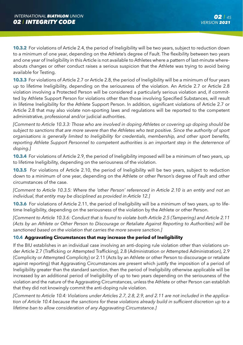**10.3.2** For violations of Article 2.4, the period of Ineligibility will be two years, subject to reduction down to a minimum of one year, depending on the Athlete's degree of Fault. The flexibility between two years and one year of Ineligibility in this Article is not available to Athletes where a pattern of last-minute whereabouts changes or other conduct raises a serious suspicion that the Athlete was trying to avoid being available for Testing.

**10.3.3** For violations of Article 2.7 or Article 2.8, the period of Ineligibility will be a minimum of four years up to lifetime Ineligibility, depending on the seriousness of the violation. An Article 2.7 or Article 2.8 violation involving a Protected Person will be considered a particularly serious violation and, if committed by Athlete Support Person for violations other than those involving Specified Substances, will result in lifetime Ineligibility for the Athlete Support Person. In addition, significant violations of Article 2.7 or Article 2.8 that may also violate non-sporting laws and regulations will be reported to the competent administrative, professional and/or judicial authorities.

*[Comment to Article 10.3.3: Those who are involved in doping Athletes or covering up doping should be subject to sanctions that are more severe than the Athletes who test positive. Since the authority of sport organisations is generally limited to Ineligibility for credentials, membership, and other sport benefits, reporting Athlete Support Personnel to competent authorities is an important step in the deterrence of doping.]*

**10.3.4** For violations of Article 2.9, the period of Ineligibility imposed will be a minimum of two years, up to lifetime Ineligibility, depending on the seriousness of the violation.

**10.3.5** For violations of Article 2.10, the period of Ineligibility will be two years, subject to reduction down to a minimum of one year, depending on the Athlete or other Person's degree of Fault and other circumstances of the case.

*[Comment to Article 10.3.5: Where the 'other Person' referenced in Article 2.10 is an entity and not an individual, that entity may be disciplined as provided in Article 12.]*

**10.3.6** For violations of Article 2.11, the period of Ineligibility will be a minimum of two years, up to lifetime Ineligibility, depending on the seriousness of the violation by the Athlete or other Person.

*[Comment to Article 10.3.6: Conduct that is found to violate both Article 2.5 (Tampering) and Article 2.11 (Acts by an Athlete or Other Person to Discourage or Retaliate Against Reporting to Authorities) will be sanctioned based on the violation that carries the more severe sanction.]*

## **10.4 Aggravating Circumstances that may increase the period of Ineligibility**

If the BIU establishes in an individual case involving an anti-doping rule violation other than violations under Article 2.7 (Trafficking or Attempted Trafficking), 2.8 (Administration or Attempted Administration), 2.9 (Complicity or Attempted Complicity) or 2.11 (Acts by an Athlete or other Person to discourage or retaliate against reporting) that Aggravating Circumstances are present which justify the imposition of a period of Ineligibility greater than the standard sanction, then the period of Ineligibility otherwise applicable will be increased by an additional period of Ineligibility of up to two years depending on the seriousness of the violation and the nature of the Aggravating Circumstances, unless the Athlete or other Person can establish that they did not knowingly commit the anti-doping rule violation.

*[Comment to Article 10.4: Violations under Articles 2.7, 2.8, 2.9, and 2.11 are not included in the application of Article 10.4 because the sanctions for these violations already build in sufficient discretion up to a lifetime ban to allow consideration of any Aggravating Circumstance.]*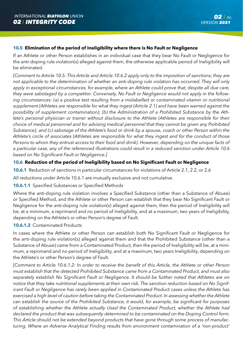### **10.5 Elimination of the period of Ineligibility where there is No Fault or Negligence**

If an Athlete or other Person establishes in an individual case that they bear No Fault or Negligence for the anti-doping rule violation(s) alleged against them, the otherwise applicable period of Ineligibility will be eliminated.

*[Comment to Article 10.5: This Article and Article 10.6.2 apply only to the imposition of sanctions; they are not applicable to the determination of whether an anti-doping rule violation has occurred. They will only*  apply in exceptional circumstances, for example, where an Athlete could prove that, despite all due care, *they were sabotaged by a competitor. Conversely, No Fault or Negligence would not apply in the following circumstances: (a) a positive test resulting from a mislabelled or contaminated vitamin or nutritional supplement (Athletes are responsible for what they ingest (Article 2.1) and have been warned against the possibility of supplement contamination); (b) the Administration of a Prohibited Substance by the Athlete's personal physician or trainer without disclosure to the Athlete (Athletes are responsible for their choice of medical personnel and for advising medical personnel that they cannot be given any Prohibited Substance); and (c) sabotage of the Athlete's food or drink by a spouse, coach or other Person within the Athlete's circle of associates (Athletes are responsible for what they ingest and for the conduct of those Persons to whom they entrust access to their food and drink). However, depending on the unique facts of a particular case, any of the referenced illustrations could result in a reduced sanction under Article 10.6 based on No Significant Fault or Negligence.]*

## **10.6 Reduction of the period of Ineligibility based on No Significant Fault or Negligence**

**10.6.1** Reduction of sanctions in particular circumstances for violations of Article 2.1, 2.2, or 2.6

All reductions under Article 10.6.1 are mutually exclusive and not cumulative.

### **10.6.1.1** Specified Substances or Specified Methods

Where the anti-doping rule violation involves a Specified Substance (other than a Substance of Abuse) or Specified Method, and the Athlete or other Person can establish that they bear No Significant Fault or Negligence for the anti-doping rule violation(s) alleged against them, then the period of Ineligibility will be, at a minimum, a reprimand and no period of Ineligibility, and at a maximum, two years of Ineligibility, depending on the Athlete's or other Person's degree of Fault.

#### **10.6.1.2** Contaminated Products

In cases where the Athlete or other Person can establish both No Significant Fault or Negligence for the anti-doping rule violation(s) alleged against them and that the Prohibited Substance (other than a Substance of Abuse) came from a Contaminated Product, then the period of Ineligibility will be, at a minimum, a reprimand and no period of Ineligibility, and at a maximum, two years Ineligibility, depending on the Athlete's or other Person's degree of Fault.

*[Comment to Article 10.6.1.2: In order to receive the benefit of this Article, the Athlete or other Person must establish that the detected Prohibited Substance came from a Contaminated Product, and must also separately establish No Significant Fault or Negligence. It should be further noted that Athletes are on notice that they take nutritional supplements at their own risk. The sanction reduction based on No Significant Fault or Negligence has rarely been applied in Contaminated Product cases unless the Athlete has exercised a high level of caution before taking the Contaminated Product. In assessing whether the Athlete can establish the source of the Prohibited Substance, it would, for example, be significant for purposes of establishing whether the Athlete actually Used the Contaminated Product, whether the Athlete had declared the product that was subsequently determined to be contaminated on the Doping Control form. This Article should not be extended beyond products that have gone through some process of manufacturing. Where an Adverse Analytical Finding results from environment contamination of a 'non-product'*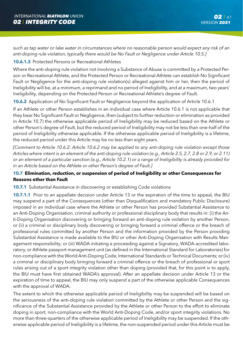*such as tap water or lake water in circumstances where no reasonable person would expect any risk of an anti-doping rule violation, typically there would be No Fault or Negligence under Article 10.5.]*

### **10.6.1.3** Protected Persons or Recreational Athletes

Where the anti-doping rule violation not involving a Substance of Abuse is committed by a Protected Person or Recreational Athlete, and the Protected Person or Recreational Athlete can establish No Significant Fault or Negligence for the anti-doping rule violation(s) alleged against him or her, then the period of Ineligibility will be, at a minimum, a reprimand and no period of Ineligibility, and at a maximum, two years' Ineligibility, depending on the Protected Person or Recreational Athlete's degree of Fault.

**10.6.2** Application of No Significant Fault or Negligence beyond the application of Article 10.6.1

If an Athlete or other Person establishes in an individual case where Article 10.6.1 is not applicable that they bear No Significant Fault or Negligence, then (subject to further reduction or elimination as provided in Article 10.7) the otherwise applicable period of Ineligibility may be reduced based on the Athlete or other Person's degree of Fault, but the reduced period of Ineligibility may not be less than one-half of the period of Ineligibility otherwise applicable. If the otherwise applicable period of Ineligibility is a lifetime, the reduced period under this Article may be no less than eight years.

*[Comment to Article 10.6.2: Article 10.6.2 may be applied to any anti-doping rule violation except those Articles where intent is an element of the anti-doping rule violation (e.g., Article 2.5, 2.7, 2.8 or 2.9, or 2.11) or an element of a particular sanction (e.g., Article 10.2.1) or a range of Ineligibility is already provided for in an Article based on the Athlete or other Person's degree of Fault.]*

## **10.7 Elimination, reduction, or suspension of period of Ineligibility or other Consequences for Reasons other than Fault**

### **10.7.1** Substantial Assistance in discovering or establishing Code violations

**10.7.1.1** Prior to an appellate decision under Article 13 or the expiration of the time to appeal, the BIU may suspend a part of the Consequences (other than Disqualification and mandatory Public Disclosure) imposed in an individual case where the Athlete or other Person has provided Substantial Assistance to an Anti-Doping Organisation, criminal authority or professional disciplinary body that results in: (i) the Anti-Doping Organisation discovering or bringing forward an anti-doping rule violation by another Person; or (ii) a criminal or disciplinary body discovering or bringing forward a criminal offence or the breach of professional rules committed by another Person and the information provided by the Person providing Substantial Assistance is made available to the BIU or other Anti-Doping Organisation with Results Management responsibility; or (iii) WADA initiating a proceeding against a Signatory, WADA-accredited laboratory, or Athlete passport management unit (as defined in the International Standard for Laboratories) for non-compliance with the World Anti-Doping Code, International Standards or Technical Documents; or (iv) a criminal or disciplinary body bringing forward a criminal offence or the breach of professional or sport rules arising out of a sport integrity violation other than doping (provided that, for this point iv to apply, the BIU must have first obtained WADA's approval). After an appellate decision under Article 13 or the expiration of time to appeal, the BIU may only suspend a part of the otherwise applicable Consequences with the approval of WADA.

The extent to which the otherwise applicable period of Ineligibility may be suspended will be based on the seriousness of the anti-doping rule violation committed by the Athlete or other Person and the significance of the Substantial Assistance provided by the Athlete or other Person to the effort to eliminate doping in sport, non-compliance with the World Anti-Doping Code, and/or sport integrity violations. No more than three-quarters of the otherwise applicable period of Ineligibility may be suspended. If the otherwise applicable period of Ineligibility is a lifetime, the non-suspended period under this Article must be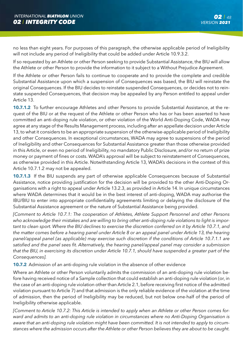no less than eight years. For purposes of this paragraph, the otherwise applicable period of Ineligibility will not include any period of Ineligibility that could be added under Article 10.9.3.2.

If so requested by an Athlete or other Person seeking to provide Substantial Assistance, the BIU will allow the Athlete or other Person to provide the information to it subject to a Without Prejudice Agreement.

If the Athlete or other Person fails to continue to cooperate and to provide the complete and credible Substantial Assistance upon which a suspension of Consequences was based, the BIU will reinstate the original Consequences. If the BIU decides to reinstate suspended Consequences, or decides not to reinstate suspended Consequences, that decision may be appealed by any Person entitled to appeal under Article 13.

**10.7.1.2** To further encourage Athletes and other Persons to provide Substantial Assistance, at the request of the BIU or at the request of the Athlete or other Person who has or has been asserted to have committed an anti-doping rule violation, or other violation of the World Anti-Doping Code, WADA may agree at any stage of the Results Management process, including after an appellate decision under Article 13, to what it considers to be an appropriate suspension of the otherwise-applicable period of Ineligibility and other Consequences. In exceptional circumstances, WADA may agree to suspensions of the period of Ineligibility and other Consequences for Substantial Assistance greater than those otherwise provided in this Article, or even no period of Ineligibility, no mandatory Public Disclosure, and/or no return of prize money or payment of fines or costs. WADA's approval will be subject to reinstatement of Consequences, as otherwise provided in this Article. Notwithstanding Article 13, WADA's decisions in the context of this Article 10.7.1.2 may not be appealed.

**10.7.1.3** If the BIU suspends any part of otherwise applicable Consequences because of Substantial Assistance, notice providing justification for the decision will be provided to the other Anti-Doping Organisations with a right to appeal under Article 13.2.3, as provided in Article 14. In unique circumstances where WADA determines that it would be in the best interest of anti-doping, WADA may authorise the IBU/BIU to enter into appropriate confidentiality agreements limiting or delaying the disclosure of the Substantial Assistance agreement or the nature of Substantial Assistance being provided.

*[Comment to Article 10.7.1: The cooperation of Athletes, Athlete Support Personnel and other Persons who acknowledge their mistakes and are willing to bring other anti-doping rule violations to light is important to clean sport. Where the BIU declines to exercise the discretion conferred on it by Article 10.7.1, and the matter comes before a hearing panel under Article 8 or an appeal panel under Article 13, the hearing*  panel/appeal panel (as applicable) may exercise such discretion if the conditions of Article 10.7.1.1 are *satisfied and the panel sees fit. Alternatively, the hearing panel/appeal panel may consider a submission that the BIU, in exercising its discretion under Article 10.7.1, should have suspended a greater part of the Consequences].*

**10.7.2** Admission of an anti-doping rule violation in the absence of other evidence

Where an Athlete or other Person voluntarily admits the commission of an anti-doping rule violation before having received notice of a Sample collection that could establish an anti-doping rule violation (or, in the case of an anti-doping rule violation other than Article 2.1, before receiving first notice of the admitted violation pursuant to Article 7) and that admission is the only reliable evidence of the violation at the time of admission, then the period of Ineligibility may be reduced, but not below one-half of the period of Ineligibility otherwise applicable.

*[Comment to Article 10.7.2: This Article is intended to apply when an Athlete or other Person comes forward and admits to an anti-doping rule violation in circumstances where no Anti-Doping Organisation is aware that an anti-doping rule violation might have been committed. It is not intended to apply to circumstances where the admission occurs after the Athlete or other Person believes they are about to be caught.*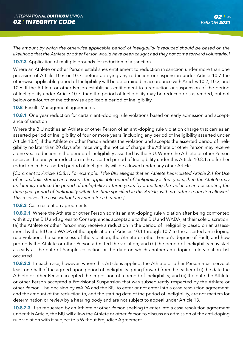*The amount by which the otherwise applicable period of Ineligibility is reduced should be based on the likelihood that the Athlete or other Person would have been caught had they not come forward voluntarily.]*

### **10.7.3** Application of multiple grounds for reduction of a sanction

Where an Athlete or other Person establishes entitlement to reduction in sanction under more than one provision of Article 10.6 or 10.7, before applying any reduction or suspension under Article 10.7 the otherwise applicable period of Ineligibility will be determined in accordance with Articles 10.2, 10.3, and 10.6. If the Athlete or other Person establishes entitlement to a reduction or suspension of the period of Ineligibility under Article 10.7, then the period of Ineligibility may be reduced or suspended, but not below one-fourth of the otherwise applicable period of Ineligibility.

#### **10.8** Results Management agreements

**10.8.1** One year reduction for certain anti-doping rule violations based on early admission and acceptance of sanction

Where the BIU notifies an Athlete or other Person of an anti-doping rule violation charge that carries an asserted period of Ineligibility of four or more years (including any period of Ineligibility asserted under Article 10.4), if the Athlete or other Person admits the violation and accepts the asserted period of Ineligibility no later than 20 days after receiving the notice of charge, the Athlete or other Person may receive a one year reduction in the period of Ineligibility asserted by the BIU. Where the Athlete or other Person receives the one year reduction in the asserted period of Ineligibility under this Article 10.8.1, no further reduction in the asserted period of Ineligibility will be allowed under any other Article.

*[Comment to Article 10.8.1: For example, if the BIU alleges that an Athlete has violated Article 2.1 for Use of an anabolic steroid and asserts the applicable period of Ineligibility is four years, then the Athlete may unilaterally reduce the period of Ineligibility to three years by admitting the violation and accepting the three year period of Ineligibility within the time specified in this Article, with no further reduction allowed. This resolves the case without any need for a hearing.]*

#### **10.8.2** Case resolution agreements

**10.8.2.1** Where the Athlete or other Person admits an anti-doping rule violation after being confronted with it by the BIU and agrees to Consequences acceptable to the BIU and WADA, at their sole discretion: (a) the Athlete or other Person may receive a reduction in the period of Ineligibility based on an assessment by the BIU and WADA of the application of Articles 10.1 through 10.7 to the asserted anti-doping rule violation, the seriousness of the violation, the Athlete or other Person's degree of Fault, and how promptly the Athlete or other Person admitted the violation; and (b) the period of Ineligibility may start as early as the date of Sample collection or the date on which another anti-doping rule violation last occurred.

**10.8.2.2** In each case, however, where this Article is applied, the Athlete or other Person must serve at least one-half of the agreed-upon period of Ineligibility going forward from the earlier of (i) the date the Athlete or other Person accepted the imposition of a period of Ineligibility; and (ii) the date the Athlete or other Person accepted a Provisional Suspension that was subsequently respected by the Athlete or other Person. The decision by WADA and the BIU to enter or not enter into a case resolution agreement, and the amount of the reduction to, and the starting date of the period of Ineligibility, are not matters for determination or review by a hearing body and are not subject to appeal under Article 13.

**10.8.2.3** If so requested by an Athlete or other Person seeking to enter into a case resolution agreement under this Article, the BIU will allow the Athlete or other Person to discuss an admission of the anti-doping rule violation with it subject to a Without Prejudice Agreement.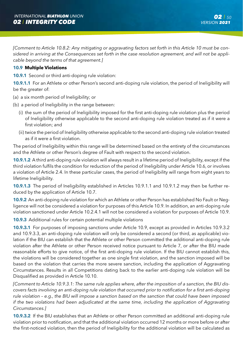*[Comment to Article 10.8.2: Any mitigating or aggravating factors set forth in this Article 10 must be considered in arriving at the Consequences set forth in the case resolution agreement, and will not be applicable beyond the terms of that agreement.]*

### **10.9 Multiple Violations**

**10.9.1** Second or third anti-doping rule violation:

**10.9.1.1** For an Athlete or other Person's second anti-doping rule violation, the period of Ineligibility will be the greater of:

- (a) a six month period of Ineligibility; or
- (b) a period of Ineligibility in the range between:
	- (i) the sum of the period of Ineligibility imposed for the first anti-doping rule violation plus the period of Ineligibility otherwise applicable to the second anti-doping rule violation treated as if it were a first violation; and
	- (ii) twice the period of Ineligibility otherwise applicable to the second anti-doping rule violation treated as if it were a first violation.

The period of Ineligibility within this range will be determined based on the entirety of the circumstances and the Athlete or other Person's degree of Fault with respect to the second violation.

**10.9.1.2** A third anti-doping rule violation will always result in a lifetime period of Ineligibility, except if the third violation fulfils the condition for reduction of the period of Ineligibility under Article 10.6, or involves a violation of Article 2.4. In these particular cases, the period of Ineligibility will range from eight years to lifetime Ineligibility.

**10.9.1.3** The period of Ineligibility established in Articles 10.9.1.1 and 10.9.1.2 may then be further reduced by the application of Article 10.7.

**10.9.2** An anti-doping rule violation for which an Athlete or other Person has established No Fault or Negligence will not be considered a violation for purposes of this Article 10.9. In addition, an anti-doping rule violation sanctioned under Article 10.2.4.1 will not be considered a violation for purposes of Article 10.9.

**10.9.3** Additional rules for certain potential multiple violations

**10.9.3.1** For purposes of imposing sanctions under Article 10.9, except as provided in Articles 10.9.3.2 and 10.9.3.3, an anti-doping rule violation will only be considered a second (or third, as applicable) violation if the BIU can establish that the Athlete or other Person committed the additional anti-doping rule violation after the Athlete or other Person received notice pursuant to Article 7, or after the BIU made reasonable efforts to give notice, of the first anti-doping rule violation. If the BIU cannot establish this, the violations will be considered together as one single first violation, and the sanction imposed will be based on the violation that carries the more severe sanction, including the application of Aggravating Circumstances. Results in all Competitions dating back to the earlier anti-doping rule violation will be Disqualified as provided in Article 10.10.

*[Comment to Article 10.9.3.1: The same rule applies where, after the imposition of a sanction, the BIU discovers facts involving an anti-doping rule violation that occurred prior to notification for a first anti-doping rule violation – e.g., the BIU will impose a sanction based on the sanction that could have been imposed if the two violations had been adjudicated at the same time, including the application of Aggravating Circumstances.]*

**10.9.3.2** If the BIU establishes that an Athlete or other Person committed an additional anti-doping rule violation prior to notification, and that the additional violation occurred 12 months or more before or after the first-noticed violation, then the period of Ineligibility for the additional violation will be calculated as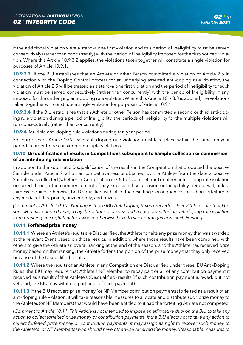if the additional violation were a stand-alone first violation and this period of Ineligibility must be served consecutively (rather than concurrently) with the period of Ineligibility imposed for the first-noticed violation. Where this Article 10.9.3.2 applies, the violations taken together will constitute a single violation for purposes of Article 10.9.1.

**10.9.3.3** If the BIU establishes that an Athlete or other Person committed a violation of Article 2.5 in connection with the Doping Control process for an underlying asserted anti-doping rule violation, the violation of Article 2.5 will be treated as a stand-alone first violation and the period of Ineligibility for such violation must be served consecutively (rather than concurrently) with the period of Ineligibility, if any, imposed for the underlying anti-doping rule violation. Where this Article 10.9.3.3 is applied, the violations taken together will constitute a single violation for purposes of Article 10.9.1.

**10.9.3.4** If the BIU establishes that an Athlete or other Person has committed a second or third anti-doping rule violation during a period of Ineligibility, the periods of Ineligibility for the multiple violations will run consecutively (rather than concurrently).

**10.9.4** Multiple anti-doping rule violations during ten-year period

For purposes of Article 10.9, each anti-doping rule violation must take place within the same ten year period in order to be considered multiple violations.

## **10.10 Disqualification of results in Competitions subsequent to Sample collection or commission of an anti-doping rule violation**

In addition to the automatic Disqualification of the results in the Competition that produced the positive Sample under Article 9, all other competitive results obtained by the Athlete from the date a positive Sample was collected (whether In-Competition or Out-of-Competition) or other anti-doping rule violation occurred through the commencement of any Provisional Suspension or Ineligibility period, will, unless fairness requires otherwise, be Disqualified with all of the resulting Consequences including forfeiture of any medals, titles, points, prize money, and prizes.

*[Comment to Article 10.10.: Nothing in these IBU Anti-Doping Rules precludes clean Athletes or other Persons who have been damaged by the actions of a Person who has committed an anti-doping rule violation from pursuing any right that they would otherwise have to seek damages from such Person.]*

### **10.11 Forfeited prize money**

**10.11.1** Where an Athlete's results are Disqualified, the Athlete forfeits any prize money that was awarded at the relevant Event based on those results. In addition, where those results have been combined with others to give the Athlete an overall ranking at the end of the season, and the Athlete has received prize money based on that ranking, the Athlete forfeits the portion of the prize money that they only received because of the Disqualified results.

**10.11.2** Where the results of an Athlete in any Competition are Disqualified under these IBU Anti-Doping Rules, the BIU may require that Athlete's NF Member to repay part or all of any contribution payment it received as a result of that Athlete's (Disqualified) results (if such contribution payment is owed, but not yet paid, the BIU may withhold part or all of such payment).

**10.11.3** If the BIU recovers prize money (or NF Member contribution payments) forfeited as a result of an anti-doping rule violation, it will take reasonable measures to allocate and distribute such prize money to the Athletes (or NF Members) that would have been entitled to it had the forfeiting Athlete not competed.

*[Comment to Article 10.11: This Article is not intended to impose an affirmative duty on the BIU to take any action to collect forfeited prize money or contribution payments. If the BIU elects not to take any action to collect forfeited prize money or contribution payments, it may assign its right to recover such money to the Athlete(s) or NF Member(s) who should have otherwise received the money. 'Reasonable measures to*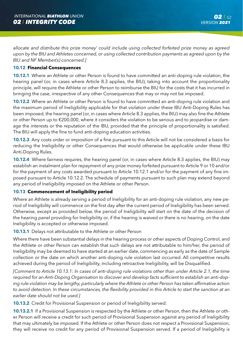*allocate and distribute this prize money' could include using collected forfeited prize money as agreed upon by the BIU and Athletes concerned, or using collected contribution payments as agreed upon by the BIU and NF Member(s) concerned.]*

### **10.12 Financial Consequences**

**10.12.1** Where an Athlete or other Person is found to have committed an anti-doping rule violation, the hearing panel (or, in cases where Article 8.3 applies, the BIU), taking into account the proportionality principle, will require the Athlete or other Person to reimburse the BIU for the costs that it has incurred in bringing the case, irrespective of any other Consequences that may or may not be imposed.

**10.12.2** Where an Athlete or other Person is found to have committed an anti-doping rule violation and the maximum period of Ineligibility applicable for that violation under these IBU Anti-Doping Rules has been imposed, the hearing panel (or, in cases where Article 8.3 applies, the BIU) may also fine the Athlete or other Person up to €200,000, where it considers the violation to be serious and to jeopardise or damage the interests or the reputation of the IBU, provided that the principle of proportionality is satisfied. The BIU will apply the fine to fund anti-doping education activities.

**10.12.3** Any costs order or imposition of a fine pursuant to this Article will not be considered a basis for reducing the Ineligibility or other Consequences that would otherwise be applicable under these IBU Anti-Doping Rules.

**10.12.4** Where fairness requires, the hearing panel (or, in cases where Article 8.3 applies, the BIU) may establish an instalment plan for repayment of any prize money forfeited pursuant to Article 9 or 10 and/or for the payment of any costs awarded pursuant to Article 10.12.1 and/or for the payment of any fine imposed pursuant to Article 10.12.2. The schedule of payments pursuant to such plan may extend beyond any period of Ineligibility imposed on the Athlete or other Person.

### **10.13 Commencement of Ineligibility period**

Where an Athlete is already serving a period of Ineligibility for an anti-doping rule violation, any new period of Ineligibility will commence on the first day after the current period of Ineligibility has been served. Otherwise, except as provided below, the period of Ineligibility will start on the date of the decision of the hearing panel providing for Ineligibility or, if the hearing is waived or there is no hearing, on the date Ineligibility is accepted or otherwise imposed.

**10.13.1** Delays not attributable to the Athlete or other Person

Where there have been substantial delays in the hearing process or other aspects of Doping Control, and the Athlete or other Person can establish that such delays are not attributable to him/her, the period of Ineligibility may be deemed to have started at an earlier date, commencing as early as the date of Sample collection or the date on which another anti-doping rule violation last occurred. All competitive results achieved during the period of Ineligibility, including retroactive Ineligibility, will be Disqualified.

*[Comment to Article 10.13.1: In cases of anti-doping rule violations other than under Article 2.1, the time required for an Anti-Doping Organisation to discover and develop facts sufficient to establish an anti-doping rule violation may be lengthy, particularly where the Athlete or other Person has taken affirmative action*  to avoid detection. In these circumstances, the flexibility provided in this Article to start the sanction at an *earlier date should not be used.]*

**10.13.2** Credit for Provisional Suspension or period of Ineligibility served:

**10.13.2.1** If a Provisional Suspension is respected by the Athlete or other Person, then the Athlete or other Person will receive a credit for such period of Provisional Suspension against any period of Ineligibility that may ultimately be imposed. If the Athlete or other Person does not respect a Provisional Suspension, they will receive no credit for any period of Provisional Suspension served. If a period of Ineligibility is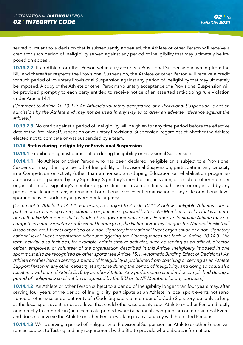served pursuant to a decision that is subsequently appealed, the Athlete or other Person will receive a credit for such period of Ineligibility served against any period of Ineligibility that may ultimately be imposed on appeal.

**10.13.2.2** If an Athlete or other Person voluntarily accepts a Provisional Suspension in writing from the BIU and thereafter respects the Provisional Suspension, the Athlete or other Person will receive a credit for such period of voluntary Provisional Suspension against any period of Ineligibility that may ultimately be imposed. A copy of the Athlete or other Person's voluntary acceptance of a Provisional Suspension will be provided promptly to each party entitled to receive notice of an asserted anti-doping rule violation under Article 14.1.

*[Comment to Article 10.13.2.2: An Athlete's voluntary acceptance of a Provisional Suspension is not an admission by the Athlete and may not be used in any way as to draw an adverse inference against the Athlete.]*

**10.13.2.3** No credit against a period of Ineligibility will be given for any time period before the effective date of the Provisional Suspension or voluntary Provisional Suspension, regardless of whether the Athlete elected not to compete or was suspended by a team.

## **10.14 Status during Ineligibility or Provisional Suspension**

**10.14.1** Prohibition against participation during Ineligibility or Provisional Suspension:

**10.14.1.1** No Athlete or other Person who has been declared Ineligible or is subject to a Provisional Suspension may, during a period of Ineligibility or Provisional Suspension, participate in any capacity in a Competition or activity (other than authorised anti-doping Education or rehabilitation programs) authorised or organised by any Signatory, Signatory's member organisation, or a club or other member organisation of a Signatory's member organisation, or in Competitions authorised or organised by any professional league or any international or national level event organisation or any elite or national-level sporting activity funded by a governmental agency.

*[Comment to Article 10.14.1.1: For example, subject to Article 10.14.2 below, Ineligible Athletes cannot participate in a training camp, exhibition or practice organised by their NF Member or a club that is a member of that NF Member or that is funded by a governmental agency. Further, an Ineligible Athlete may not compete in a non-Signatory professional league (e.g., the National Hockey League, the National Basketball Association, etc.), Events organised by a non-Signatory International Event organisation or a non-Signatory national-level Event organisation without triggering the Consequences set forth in Article 10.14.3. The term 'activity' also includes, for example, administrative activities, such as serving as an official, director, officer, employee, or volunteer of the organisation described in this Article. Ineligibility imposed in one sport must also be recognised by other sports (see Article 15.1, Automatic Binding Effect of Decisions). An Athlete or other Person serving a period of Ineligibility is prohibited from coaching or serving as an Athlete Support Person in any other capacity at any time during the period of Ineligibility, and doing so could also result in a violation of Article 2.10 by another Athlete. Any performance standard accomplished during a period of Ineligibility shall not be recognised by the BIU or its NF Members for any purpose.]*

**10.14.1.2** An Athlete or other Person subject to a period of Ineligibility longer than four years may, after serving four years of the period of Ineligibility, participate as an Athlete in local sport events not sanctioned or otherwise under authority of a Code Signatory or member of a Code Signatory, but only so long as the local sport event is not at a level that could otherwise qualify such Athlete or other Person directly or indirectly to compete in (or accumulate points toward) a national championship or International Event, and does not involve the Athlete or other Person working in any capacity with Protected Persons.

**10.14.1.3** While serving a period of Ineligibility or Provisional Suspension, an Athlete or other Person will remain subject to Testing and any requirement by the BIU to provide whereabouts information.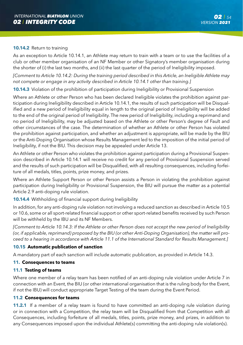#### **10.14.2** Return to training

As an exception to Article 10.14.1, an Athlete may return to train with a team or to use the facilities of a club or other member organisation of an NF Member or other Signatory's member organisation during the shorter of (i) the last two months, and (ii) the last quarter of the period of Ineligibility imposed.

*[Comment to Article 10.14.2: During the training period described in this Article, an Ineligible Athlete may not compete or engage in any activity described in Article 10.14.1 other than training.]*

**10.14.3** Violation of the prohibition of participation during Ineligibility or Provisional Suspension

Where an Athlete or other Person who has been declared Ineligible violates the prohibition against participation during Ineligibility described in Article 10.14.1, the results of such participation will be Disqualified and a new period of Ineligibility equal in length to the original period of Ineligibility will be added to the end of the original period of Ineligibility. The new period of Ineligibility, including a reprimand and no period of Ineligibility, may be adjusted based on the Athlete or other Person's degree of Fault and other circumstances of the case. The determination of whether an Athlete or other Person has violated the prohibition against participation, and whether an adjustment is appropriate, will be made by the BIU or the Anti-Doping Organisation whose Results Management led to the imposition of the initial period of Ineligibility, if not the BIU. This decision may be appealed under Article 13.

An Athlete or other Person who violates the prohibition against participation during a Provisional Suspension described in Article 10.14.1 will receive no credit for any period of Provisional Suspension served and the results of such participation will be Disqualified, with all resulting consequences, including forfeiture of all medals, titles, points, prize money, and prizes.

Where an Athlete Support Person or other Person assists a Person in violating the prohibition against participation during Ineligibility or Provisional Suspension, the BIU will pursue the matter as a potential Article 2.9 anti-doping rule violation.

### **10.14.4** Withholding of financial support during Ineligibility

In addition, for any anti-doping rule violation not involving a reduced sanction as described in Article 10.5 or 10.6, some or all sport-related financial support or other sport-related benefits received by such Person will be withheld by the IBU and its NF Members.

*[Comment to Article 10.14.3: If the Athlete or other Person does not accept the new period of Ineligibility (or, if applicable, reprimand) proposed by the BIU (or other Anti-Doping Organisation), the matter will proceed to a hearing in accordance with Article 11.1 of the International Standard for Results Management.]*

### **10.15 Automatic publication of sanction**

A mandatory part of each sanction will include automatic publication, as provided in Article 14.3.

#### **11. Consequences to teams**

### **11.1 Testing of teams**

Where one member of a relay team has been notified of an anti-doping rule violation under Article 7 in connection with an Event, the BIU (or other international organisation that is the ruling body for the Event, if not the IBU) will conduct appropriate Target Testing of the team during the Event Period.

#### **11.2 Consequences for teams**

**11.2.1** If a member of a relay team is found to have committed an anti-doping rule violation during or in connection with a Competition, the relay team will be Disqualified from that Competition with all Consequences, including forfeiture of all medals, titles, points, prize money, and prizes, in addition to any Consequences imposed upon the individual Athlete(s) committing the anti-doping rule violation(s).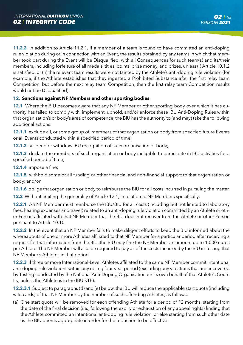**11.2.2** In addition to Article 11.2.1, if a member of a team is found to have committed an anti-doping rule violation during or in connection with an Event, the results obtained by any teams in which that member took part during the Event will be Disqualified, with all Consequences for such team(s) and its/their members, including forfeiture of all medals, titles, points, prize money, and prizes, unless (i) Article 10.1.2 is satisfied, or (ii) the relevant team results were not tainted by the Athlete's anti-doping rule violation (for example, if the Athlete establishes that they ingested a Prohibited Substance after the first relay team Competition, but before the next relay team Competition, then the first relay team Competition results would not be Disqualified).

## **12. Sanctions against NF Members and other sporting bodies**

**12.1** Where the BIU becomes aware that any NF Member or other sporting body over which it has authority has failed to comply with, implement, uphold, and/or enforce these IBU Anti-Doping Rules within that organisation's or body's area of competence, the BIU has the authority to (and may) take the following additional actions:

**12.1.1** exclude all, or some group of, members of that organisation or body from specified future Events or all Events conducted within a specified period of time;

**12.1.2** suspend or withdraw IBU recognition of such organisation or body;

**12.1.3** declare the members of such organisation or body ineligible to participate in IBU activities for a specified period of time;

**12.1.4** impose a fine;

**12.1.5** withhold some or all funding or other financial and non-financial support to that organisation or body; and/or

**12.1.6** oblige that organisation or body to reimburse the BIU for all costs incurred in pursuing the matter.

**12.2** Without limiting the generality of Article 12.1, in relation to NF Members specifically:

**12.2.1** An NF Member must reimburse the IBU/BIU for all costs (including but not limited to laboratory fees, hearing expenses and travel) related to an anti-doping rule violation committed by an Athlete or other Person affiliated with that NF Member that the BIU does not recover from the Athlete or other Person pursuant to Article 10.10.

**12.2.2** In the event that an NF Member fails to make diligent efforts to keep the BIU informed about the whereabouts of one or more Athletes affiliated to that NF Member for a particular period after receiving a request for that information from the BIU, the BIU may fine the NF Member an amount up to 1,000 euros per Athlete. The NF Member will also be required to pay all of the costs incurred by the BIU in Testing that NF Member's Athletes in that period.

**12.2.3** If three or more International-Level Athletes affiliated to the same NF Member commit intentional anti-doping rule violations within any rolling four-year period (excluding any violations that are uncovered by Testing conducted by the National Anti-Doping Organisation on its own behalf of that Athlete's Country, unless the Athlete is in the IBU RTP):

**12.2.3.1** Subject to paragraphs (d) and (e) below, the IBU will reduce the applicable start quota (including wild cards) of that NF Member by the number of such offending Athletes, as follows:

(a) One start quota will be removed for each offending Athlete for a period of 12 months, starting from the date of the final decision (i.e., following the expiry or exhaustion of any appeal rights) finding that the Athlete committed an intentional anti-doping rule violation, or else starting from such other date as the BIU deems appropriate in order for the reduction to be effective.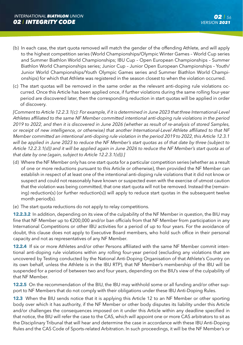- (b) In each case, the start quota removed will match the gender of the offending Athlete, and will apply to the highest competition series (World Championships/Olympic Winter Games – World Cup series and Summer Biathlon World Championships; IBU Cup – Open European Championships – Summer Biathlon World Championships series; Junior Cup – Junior Open European Championships – Youth/ Junior World Championships/Youth Olympic Games series and Summer Biathlon World Championships) for which that Athlete was registered in the season closest to when the violation occurred.
- (c) The start quotas will be removed in the same order as the relevant anti-doping rule violations occurred. Once this Article has been applied once, if further violations during the same rolling four-year period are discovered later, then the corresponding reduction in start quotas will be applied in order of discovery.

*[Comment to Article 12.2.3.1(c): For example, if it is determined in June 2023 that three International-Level Athletes affiliated to the same NF Member committed intentional anti-doping rule violations in the period 2019 to 2022, and then it is discovered in June 2026 (whether as result of re-analysis of stored Samples, or receipt of new intelligence, or otherwise) that another International-Level Athlete affiliated to that NF Member committed an intentional anti-doping rule violation in the period 2019 to 2022, this Article 12.3.1 will be applied in June 2023 to reduce the NF Member's start quotas as of that date by three (subject to Article 12.2.3.1(d)) and it will be applied again in June 2026 to reduce the NF Member's start quota as of that date by one (again, subject to Article 12.2.3.1(d)).]*

- (d) Where the NF Member only has one start quota for a particular competition series (whether as a result of one or more reductions pursuant to this Article or otherwise), then provided the NF Member can establish in respect of at least one of the intentional anti-doping rule violations that it did not know or suspect and could not reasonably have known or suspected even with the exercise of utmost caution that the violation was being committed, that one start quota will not be removed. Instead the (remaining) reduction(s) (or further reduction(s)) will apply to reduce start quotas in the subsequent twelve month period(s).
- (e) The start quota reductions do not apply to relay competitions.

**12.2.3.2** In addition, depending on its view of the culpability of the NF Member in question, the BIU may fine that NF Member up to €200,000 and/or ban officials from that NF Member from participation in any International Competitions or other IBU activities for a period of up to four years. For the avoidance of doubt, this clause does not apply to Executive Board members, who hold such office in their personal capacity and not as representatives of any NF Member.

**12.2.4** If six or more Athletes and/or other Persons affiliated with the same NF Member commit intentional anti-doping rule violations within any rolling four-year period (excluding any violations that are uncovered by Testing conducted by the National Anti-Doping Organisation of that Athlete's Country on its own behalf, unless the Athlete is in the IBU RTP), that NF Member's membership of the IBU will be suspended for a period of between two and four years, depending on the BIU's view of the culpability of that NF Member.

**12.2.5** On the recommendation of the BIU, the IBU may withhold some or all funding and/or other support to NF Members that do not comply with their obligations under these IBU Anti-Doping Rules.

**12.3** When the BIU sends notice that it is applying this Article 12 to an NF Member or other sporting body over which it has authority, if the NF Member or other body disputes its liability under this Article and/or challenges the consequences imposed on it under this Article within any deadline specified in that notice, the BIU will refer the case to the CAS, which will appoint one or more CAS arbitrators to sit as the Disciplinary Tribunal that will hear and determine the case in accordance with these IBU Anti-Doping Rules and the CAS Code of Sports-related Arbitration. In such proceedings, it will be the NF Member's or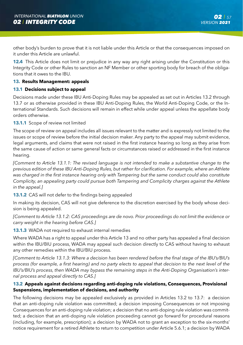other body's burden to prove that it is not liable under this Article or that the consequences imposed on it under this Article are unlawful.

**12.4** This Article does not limit or prejudice in any way any right arising under the Constitution or this Integrity Code or other Rules to sanction an NF Member or other sporting body for breach of the obligations that it owes to the IBU.

### **13. Results Management: appeals**

## **13.1 Decisions subject to appeal**

Decisions made under these IBU Anti-Doping Rules may be appealed as set out in Articles 13.2 through 13.7 or as otherwise provided in these IBU Anti-Doping Rules, the World Anti-Doping Code, or the International Standards. Such decisions will remain in effect while under appeal unless the appellate body orders otherwise.

### **13.1.1** Scope of review not limited

The scope of review on appeal includes all issues relevant to the matter and is expressly not limited to the issues or scope of review before the initial decision maker. Any party to the appeal may submit evidence, legal arguments, and claims that were not raised in the first instance hearing so long as they arise from the same cause of action or same general facts or circumstances raised or addressed in the first instance hearing.

*[Comment to Article 13.1.1: The revised language is not intended to make a substantive change to the previous edition of these IBU Anti-Doping Rules, but rather for clarification. For example, where an Athlete was charged in the first instance hearing only with Tampering but the same conduct could also constitute Complicity, an appealing party could pursue both Tampering and Complicity charges against the Athlete in the appeal.]* 

**13.1.2** CAS will not defer to the findings being appealed

In making its decision, CAS will not give deference to the discretion exercised by the body whose decision is being appealed.

*[Comment to Article 13.1.2: CAS proceedings are de novo. Prior proceedings do not limit the evidence or carry weight in the hearing before CAS.]*

**13.1.3** WADA not required to exhaust internal remedies

Where WADA has a right to appeal under this Article 13 and no other party has appealed a final decision within the IBU/BIU process, WADA may appeal such decision directly to CAS without having to exhaust any other remedies within the IBU/BIU process.

*[Comment to Article 13.1.3: Where a decision has been rendered before the final stage of the IBU's/BIU's process (for example, a first hearing) and no party elects to appeal that decision to the next level of the IBU's/BIU's process, then WADA may bypass the remaining steps in the Anti-Doping Organisation's internal process and appeal directly to CAS.]* 

## **13.2 Appeals against decisions regarding anti-doping rule violations, Consequences, Provisional Suspensions, implementation of decisions, and authority**

The following decisions may be appealed exclusively as provided in Articles 13.2 to 13.7: a decision that an anti-doping rule violation was committed; a decision imposing Consequences or not imposing Consequences for an anti-doping rule violation; a decision that no anti-doping rule violation was committed; a decision that an anti-doping rule violation proceeding cannot go forward for procedural reasons (including, for example, prescription); a decision by WADA not to grant an exception to the six-months' notice requirement for a retired Athlete to return to competition under Article 5.6.1; a decision by WADA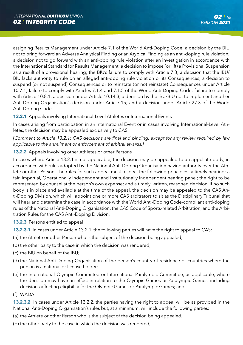assigning Results Management under Article 7.1 of the World Anti-Doping Code; a decision by the BIU not to bring forward an Adverse Analytical Finding or an Atypical Finding as an anti-doping rule violation; a decision not to go forward with an anti-doping rule violation after an investigation in accordance with the International Standard for Results Management; a decision to impose (or lift) a Provisional Suspension as a result of a provisional hearing; the BIU's failure to comply with Article 7.3; a decision that the IBU/ BIU lacks authority to rule on an alleged anti-doping rule violation or its Consequences; a decision to suspend (or not suspend) Consequences or to reinstate (or not reinstate) Consequences under Article 10.7.1; failure to comply with Articles 7.1.4 and 7.1.5 of the World Anti-Doping Code; failure to comply with Article 10.8.1; a decision under Article 10.14.3; a decision by the IBU/BIU not to implement another Anti-Doping Organisation's decision under Article 15; and a decision under Article 27.3 of the World Anti-Doping Code.

**13.2.1** Appeals involving International-Level Athletes or International Events

In cases arising from participation in an International Event or in cases involving International-Level Athletes, the decision may be appealed exclusively to CAS.

*[Comment to Article 13.2.1: CAS decisions are final and binding, except for any review required by law applicable to the annulment or enforcement of arbitral awards.]*

## **13.2.2** Appeals involving other Athletes or other Persons

In cases where Article 13.2.1 is not applicable, the decision may be appealed to an appellate body, in accordance with rules adopted by the National Anti-Doping Organisation having authority over the Athlete or other Person. The rules for such appeal must respect the following principles: a timely hearing; a fair, impartial, Operationally Independent and Institutionally Independent hearing panel; the right to be represented by counsel at the person's own expense; and a timely, written, reasoned decision. If no such body is in place and available at the time of the appeal, the decision may be appealed to the CAS Anti-Doping Division, which will appoint one or more CAS arbitrators to sit as the Disciplinary Tribunal that will hear and determine the case in accordance with the World Anti-Doping Code-compliant anti-doping rules of the National Anti-Doping Organisation, the CAS Code of Sports-related Arbitration, and the Arbitration Rules for the CAS Anti-Doping Division.

- **13.2.3** Persons entitled to appeal
- **13.2.3.1** In cases under Article 13.2.1, the following parties will have the right to appeal to CAS:
- (a) the Athlete or other Person who is the subject of the decision being appealed;
- (b) the other party to the case in which the decision was rendered;
- (c) the BIU on behalf of the IBU;
- (d) the National Anti-Doping Organisation of the person's country of residence or countries where the person is a national or license holder;
- (e) the International Olympic Committee or International Paralympic Committee, as applicable, where the decision may have an effect in relation to the Olympic Games or Paralympic Games, including decisions affecting eligibility for the Olympic Games or Paralympic Games; and
- (f) WADA.

**13.2.3.2** In cases under Article 13.2.2, the parties having the right to appeal will be as provided in the National Anti-Doping Organisation's rules but, at a minimum, will include the following parties:

- (a) the Athlete or other Person who is the subject of the decision being appealed;
- (b) the other party to the case in which the decision was rendered;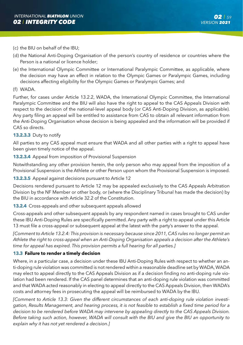- (c) the BIU on behalf of the IBU;
- (d) the National Anti-Doping Organisation of the person's country of residence or countries where the Person is a national or licence holder;
- (e) the International Olympic Committee or International Paralympic Committee, as applicable, where the decision may have an effect in relation to the Olympic Games or Paralympic Games, including decisions affecting eligibility for the Olympic Games or Paralympic Games; and
- (f) WADA.

Further, for cases under Article 13.2.2, WADA, the International Olympic Committee, the International Paralympic Committee and the BIU will also have the right to appeal to the CAS Appeals Division with respect to the decision of the national-level appeal body (or CAS Anti-Doping Division, as applicable). Any party filing an appeal will be entitled to assistance from CAS to obtain all relevant information from the Anti-Doping Organisation whose decision is being appealed and the information will be provided if CAS so directs.

### **13.2.3.3** Duty to notify

All parties to any CAS appeal must ensure that WADA and all other parties with a right to appeal have been given timely notice of the appeal.

#### **13.2.3.4** Appeal from imposition of Provisional Suspension

Notwithstanding any other provision herein, the only person who may appeal from the imposition of a Provisional Suspension is the Athlete or other Person upon whom the Provisional Suspension is imposed.

### **13.2.3.5** Appeal against decisions pursuant to Article 12

Decisions rendered pursuant to Article 12 may be appealed exclusively to the CAS Appeals Arbitration Division by the NF Member or other body, or (where the Disciplinary Tribunal has made the decision) by the BIU in accordance with Article 32.2 of the Constitution.

**13.2.4** Cross-appeals and other subsequent appeals allowed

Cross-appeals and other subsequent appeals by any respondent named in cases brought to CAS under these IBU Anti-Doping Rules are specifically permitted. Any party with a right to appeal under this Article 13 must file a cross-appeal or subsequent appeal at the latest with the party's answer to the appeal.

*[Comment to Article 13.2.4: This provision is necessary because since 2011, CAS rules no longer permit an Athlete the right to cross-appeal when an Anti-Doping Organisation appeals a decision after the Athlete's time for appeal has expired. This provision permits a full hearing for all parties.]*

### **13.3 Failure to render a timely decision**

Where, in a particular case, a decision under these IBU Anti-Doping Rules with respect to whether an anti-doping rule violation was committed is not rendered within a reasonable deadline set by WADA, WADA may elect to appeal directly to the CAS Appeals Division as if a decision finding no anti-doping rule violation had been rendered. If the CAS panel determines that an anti-doping rule violation was committed and that WADA acted reasonably in electing to appeal directly to the CAS Appeals Division, then WADA's costs and attorney fees in prosecuting the appeal will be reimbursed to WADA by the IBU.

*[Comment to Article 13.3: Given the different circumstances of each anti-doping rule violation investigation, Results Management, and hearing process, it is not feasible to establish a fixed time period for a decision to be rendered before WADA may intervene by appealing directly to the CAS Appeals Division. Before taking such action, however, WADA will consult with the BIU and give the BIU an opportunity to explain why it has not yet rendered a decision.]*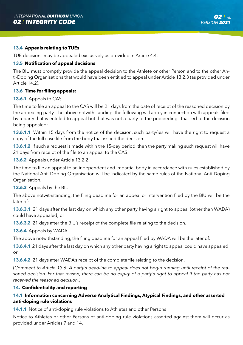### **13.4 Appeals relating to TUEs**

TUE decisions may be appealed exclusively as provided in Article 4.4.

### **13.5 Notification of appeal decisions**

The BIU must promptly provide the appeal decision to the Athlete or other Person and to the other Anti-Doping Organisations that would have been entitled to appeal under Article 13.2.3 (as provided under Article 14.2).

### **13.6 Time for filing appeals:**

#### **13.6.1** Appeals to CAS

The time to file an appeal to the CAS will be 21 days from the date of receipt of the reasoned decision by the appealing party. The above notwithstanding, the following will apply in connection with appeals filed by a party that is entitled to appeal but that was not a party to the proceedings that led to the decision being appealed:

**13.6.1.1** Within 15 days from the notice of the decision, such party/ies will have the right to request a copy of the full case file from the body that issued the decision.

**13.6.1.2** If such a request is made within the 15-day period, then the party making such request will have 21 days from receipt of the file to an appeal to the CAS.

**13.6.2** Appeals under Article 13.2.2

The time to file an appeal to an independent and impartial body in accordance with rules established by the National Anti-Doping Organisation will be indicated by the same rules of the National Anti-Doping Organisation.

**13.6.3** Appeals by the BIU

The above notwithstanding, the filing deadline for an appeal or intervention filed by the BIU will be the later of:

**13.6.3.1** 21 days after the last day on which any other party having a right to appeal (other than WADA) could have appealed; or

**13.6.3.2** 21 days after the BIU's receipt of the complete file relating to the decision.

**13.6.4** Appeals by WADA

The above notwithstanding, the filing deadline for an appeal filed by WADA will be the later of:

**13.6.4.1** 21 days after the last day on which any other party having a right to appeal could have appealed;  $\alpha$ r

**13.6.4.2** 21 days after WADA's receipt of the complete file relating to the decision.

*[Comment to Article 13.6: A party's deadline to appeal does not begin running until receipt of the reasoned decision. For that reason, there can be no expiry of a party's right to appeal if the party has not received the reasoned decision.]*

#### **14. Confidentiality and reporting**

## **14.1 Information concerning Adverse Analytical Findings, Atypical Findings, and other asserted anti-doping rule violations**

**14.1.1** Notice of anti-doping rule violations to Athletes and other Persons

Notice to Athletes or other Persons of anti-doping rule violations asserted against them will occur as provided under Articles 7 and 14.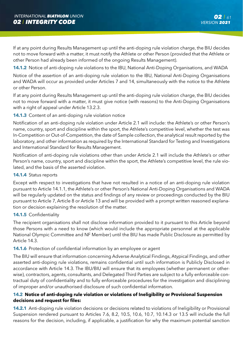If at any point during Results Management up until the anti-doping rule violation charge, the BIU decides not to move forward with a matter, it must notify the Athlete or other Person (provided that the Athlete or other Person had already been informed of the ongoing Results Management).

**14.1.2** Notice of anti-doping rule violations to the IBU, National Anti-Doping Organisations, and WADA

Notice of the assertion of an anti-doping rule violation to the IBU, National Anti-Doping Organisations and WADA will occur as provided under Articles 7 and 14, simultaneously with the notice to the Athlete or other Person.

If at any point during Results Management up until the anti-doping rule violation charge, the BIU decides not to move forward with a matter, it must give notice (with reasons) to the Anti-Doping Organisations with a right of appeal under Article 13.2.3.

## **14.1.3** Content of an anti-doping rule violation notice

Notification of an anti-doping rule violation under Article 2.1 will include: the Athlete's or other Person's name, country, sport and discipline within the sport, the Athlete's competitive level, whether the test was In-Competition or Out-of-Competition, the date of Sample collection, the analytical result reported by the laboratory, and other information as required by the International Standard for Testing and Investigations and International Standard for Results Management.

Notification of anti-doping rule violations other than under Article 2.1 will include the Athlete's or other Person's name, country, sport and discipline within the sport, the Athlete's competitive level, the rule violated, and the basis of the asserted violation.

### **14.1.4** Status reports

Except with respect to investigations that have not resulted in a notice of an anti-doping rule violation pursuant to Article 14.1.1, the Athlete's or other Person's National Anti-Doping Organisations and WADA will be regularly updated on the status and findings of any review or proceedings conducted by the BIU pursuant to Article 7, Article 8 or Article 13 and will be provided with a prompt written reasoned explanation or decision explaining the resolution of the matter.

### **14.1.5** Confidentiality

The recipient organisations shall not disclose information provided to it pursuant to this Article beyond those Persons with a need to know (which would include the appropriate personnel at the applicable National Olympic Committee and NF Member) until the BIU has made Public Disclosure as permitted by Article 14.3.

### **14.1.6** Protection of confidential information by an employee or agent

The BIU will ensure that information concerning Adverse Analytical Findings, Atypical Findings, and other asserted anti-doping rule violations, remains confidential until such information is Publicly Disclosed in accordance with Article 14.3. The IBU/BIU will ensure that its employees (whether permanent or otherwise), contractors, agents, consultants, and Delegated Third Parties are subject to a fully enforceable contractual duty of confidentiality and to fully enforceable procedures for the investigation and disciplining of improper and/or unauthorised disclosure of such confidential information.

## **14.2 Notice of anti-doping rule violation or violations of Ineligibility or Provisional Suspension decisions and request for files:**

**14.2.1** Anti-doping rule violation decisions or decisions related to violations of Ineligibility or Provisional Suspension rendered pursuant to Articles 7.6, 8.2, 10.5, 10.6, 10.7, 10.14.3 or 13.5 will include the full reasons for the decision, including, if applicable, a justification for why the maximum potential sanction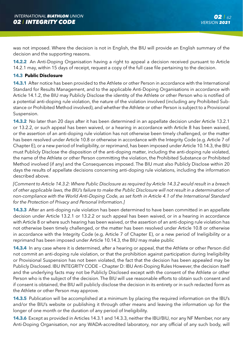was not imposed. Where the decision is not in English, the BIU will provide an English summary of the decision and the supporting reasons.

**14.2.2** An Anti-Doping Organisation having a right to appeal a decision received pursuant to Article 14.2.1 may, within 15 days of receipt, request a copy of the full case file pertaining to the decision.

### **14.3 Public Disclosure**

**14.3.1** After notice has been provided to the Athlete or other Person in accordance with the International Standard for Results Management, and to the applicable Anti-Doping Organisations in accordance with Article 14.1.2, the BIU may Publicly Disclose the identity of the Athlete or other Person who is notified of a potential anti-doping rule violation, the nature of the violation involved (including any Prohibited Substance or Prohibited Method involved), and whether the Athlete or other Person is subject to a Provisional Suspension.

**14.3.2** No later than 20 days after it has been determined in an appellate decision under Article 13.2.1 or 13.2.2, or such appeal has been waived, or a hearing in accordance with Article 8 has been waived, or the assertion of an anti-doping rule violation has not otherwise been timely challenged, or the matter has been resolved under Article 10.8 or otherwise in accordance with the Integrity Code (e.g. Article 7 of Chapter E), or a new period of Ineligibility, or reprimand, has been imposed under Article 10.14.3, the BIU must Publicly Disclose the disposition of the anti-doping matter, including the anti-doping rule violated, the name of the Athlete or other Person committing the violation, the Prohibited Substance or Prohibited Method involved (if any) and the Consequences imposed. The BIU must also Publicly Disclose within 20 days the results of appellate decisions concerning anti-doping rule violations, including the information described above.

*[Comment to Article 14.3.2: Where Public Disclosure as required by Article 14.3.2 would result in a breach of other applicable laws, the BIU's failure to make the Public Disclosure will not result in a determination of non-compliance with the World Anti-Doping Code, as set forth in Article 4.1 of the International Standard for the Protection of Privacy and Personal Information.]* 

**14.3.3** After an anti-doping rule violation has been determined to have been committed in an appellate decision under Article 13.2.1 or 13.2.2 or such appeal has been waived, or in a hearing in accordance with Article 8 or where such hearing has been waived, or the assertion of an anti-doping rule violation has not otherwise been timely challenged, or the matter has been resolved under Article 10.8 or otherwise in accordance with the Integrity Code (e.g. Article 7 of Chapter E), or a new period of Ineligibility or a reprimand has been imposed under Article 10.14.3, the BIU may make public

**14.3.4** In any case where it is determined, after a hearing or appeal, that the Athlete or other Person did not commit an anti-doping rule violation, or that the prohibition against participation during Ineligibility or Provisional Suspension has not been violated, the fact that the decision has been appealed may be Publicly Disclosed. IBU INTEGRITY CODE – Chapter D: IBU Anti-Doping Rules However, the decision itself and the underlying facts may not be Publicly Disclosed except with the consent of the Athlete or other Person who is the subject of the decision. The BIU will use reasonable efforts to obtain such consent and if consent is obtained, the BIU will publicly disclose the decision in its entirety or in such redacted form as the Athlete or other Person may approve.

**14.3.5** Publication will be accomplished at a minimum by placing the required information on the IBU's and/or the BIU's website or publishing it through other means and leaving the information up for the longer of one month or the duration of any period of Ineligibility.

**14.3.6** Except as provided in Articles 14.3.1 and 14.3.3, neither the IBU/BIU, nor any NF Member, nor any Anti-Doping Organisation, nor any WADA-accredited laboratory, nor any official of any such body, will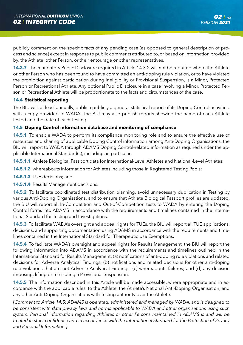publicly comment on the specific facts of any pending case (as opposed to general description of process and science) except in response to public comments attributed to, or based on information provided by, the Athlete, other Person, or their entourage or other representatives.

**14.3.7** The mandatory Public Disclosure required in Article 14.3.2 will not be required where the Athlete or other Person who has been found to have committed an anti-doping rule violation, or to have violated the prohibition against participation during Ineligibility or Provisional Suspension, is a Minor, Protected Person or Recreational Athlete. Any optional Public Disclosure in a case involving a Minor, Protected Person or Recreational Athlete will be proportionate to the facts and circumstances of the case.

## **14.4 Statistical reporting**

The BIU will, at least annually, publish publicly a general statistical report of its Doping Control activities, with a copy provided to WADA. The BIU may also publish reports showing the name of each Athlete tested and the date of each Testing.

## **14.5 Doping Control information database and monitoring of compliance**

**14.5.1** To enable WADA to perform its compliance monitoring role and to ensure the effective use of resources and sharing of applicable Doping Control information among Anti-Doping Organisations, the BIU will report to WADA through ADAMS Doping Control-related information as required under the applicable International Standard(s), including, in particular:

- 14.5.1.1 Athlete Biological Passport data for International-Level Athletes and National-Level Athletes;
- **14.5.1.2** whereabouts information for Athletes including those in Registered Testing Pools;
- **14.5.1.3** TUE decisions; and
- **14.5.1.4** Results Management decisions.

**14.5.2** To facilitate coordinated test distribution planning, avoid unnecessary duplication in Testing by various Anti-Doping Organisations, and to ensure that Athlete Biological Passport profiles are updated, the BIU will report all In-Competition and Out-of-Competition tests to WADA by entering the Doping Control forms into ADAMS in accordance with the requirements and timelines contained in the International Standard for Testing and Investigations.

**14.5.3** To facilitate WADA's oversight and appeal rights for TUEs, the BIU will report all TUE applications, decisions, and supporting documentation using ADAMS in accordance with the requirements and timelines contained in the International Standard for Therapeutic Use Exemptions.

**14.5.4** To facilitate WADA's oversight and appeal rights for Results Management, the BIU will report the following information into ADAMS in accordance with the requirements and timelines outlined in the International Standard for Results Management: (a) notifications of anti-doping rule violations and related decisions for Adverse Analytical Findings; (b) notifications and related decisions for other anti-doping rule violations that are not Adverse Analytical Findings; (c) whereabouts failures; and (d) any decision imposing, lifting or reinstating a Provisional Suspension.

**14.5.5** The information described in this Article will be made accessible, where appropriate and in accordance with the applicable rules, to the Athlete, the Athlete's National Anti-Doping Organisation, and any other Anti-Doping Organisations with Testing authority over the Athlete.

*[Comment to Article 14.5: ADAMS is operated, administered and managed by WADA, and is designed to be consistent with data privacy laws and norms applicable to WADA and other organisations using such system. Personal information regarding Athletes or other Persons maintained in ADAMS is and will be treated in strict confidence and in accordance with the International Standard for the Protection of Privacy and Personal Information.]*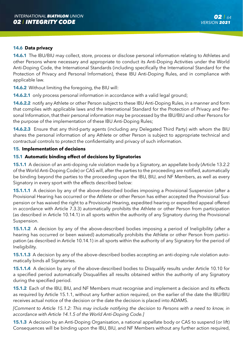### **14.6 Data privacy**

**14.6.1** The IBU/BIU may collect, store, process or disclose personal information relating to Athletes and other Persons where necessary and appropriate to conduct its Anti-Doping Activities under the World Anti-Doping Code, the International Standards (including specifically the International Standard for the Protection of Privacy and Personal Information), these IBU Anti-Doping Rules, and in compliance with applicable law.

**14.6.2** Without limiting the foregoing, the BIU will:

**14.6.2.1** only process personal information in accordance with a valid legal ground:

**14.6.2.2** notify any Athlete or other Person subject to these IBU Anti-Doping Rules, in a manner and form that complies with applicable laws and the International Standard for the Protection of Privacy and Personal Information, that their personal information may be processed by the IBU/BIU and other Persons for the purpose of the implementation of these IBU Anti-Doping Rules;

**14.6.2.3** Ensure that any third-party agents (including any Delegated Third Party) with whom the BIU shares the personal information of any Athlete or other Person is subject to appropriate technical and contractual controls to protect the confidentiality and privacy of such information.

#### **15. Implementation of decisions**

### **15.1 Automatic binding effect of decisions by Signatories**

**15.1.1** A decision of an anti-doping rule violation made by a Signatory, an appellate body (Article 13.2.2 of the World Anti-Doping Code) or CAS will, after the parties to the proceeding are notified, automatically be binding beyond the parties to the proceeding upon the IBU, BIU, and NF Members, as well as every Signatory in every sport with the effects described below:

**15.1.1.1** A decision by any of the above-described bodies imposing a Provisional Suspension (after a Provisional Hearing has occurred or the Athlete or other Person has either accepted the Provisional Suspension or has waived the right to a Provisional Hearing, expedited hearing or expedited appeal offered in accordance with Article 7.3.3) automatically prohibits the Athlete or other Person from participation (as described in Article 10.14.1) in all sports within the authority of any Signatory during the Provisional Suspension.

**15.1.1.2** A decision by any of the above-described bodies imposing a period of Ineligibility (after a hearing has occurred or been waived) automatically prohibits the Athlete or other Person from participation (as described in Article 10.14.1) in all sports within the authority of any Signatory for the period of Ineligibility.

**15.1.1.3** A decision by any of the above-described bodies accepting an anti-doping rule violation automatically binds all Signatories.

**15.1.1.4** A decision by any of the above-described bodies to Disqualify results under Article 10.10 for a specified period automatically Disqualifies all results obtained within the authority of any Signatory during the specified period.

**15.1.2** Each of the IBU, BIU, and NF Members must recognise and implement a decision and its effects as required by Article 15.1.1, without any further action required, on the earlier of the date the IBU/BIU receives actual notice of the decision or the date the decision is placed into ADAMS.

*[Comment to Article 15.1.2: This may include notifying the decision to Persons with a need to know, in accordance with Article 14.1.5 of the World Anti-Doping Code.]*

**15.1.3** A decision by an Anti-Doping Organisation, a national appellate body or CAS to suspend (or lift) Consequences will be binding upon the IBU, BIU, and NF Members without any further action required,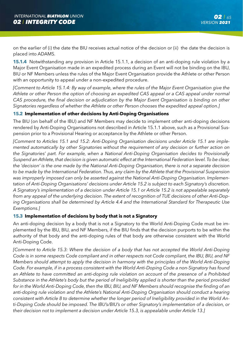on the earlier of (i) the date the BIU receives actual notice of the decision or (ii) the date the decision is placed into ADAMS.

**15.1.4** Notwithstanding any provision in Article 15.1.1, a decision of an anti-doping rule violation by a Major Event Organisation made in an expedited process during an Event will not be binding on the IBU, BIU or NF Members unless the rules of the Major Event Organisation provide the Athlete or other Person with an opportunity to appeal under a non-expedited procedure.

*[Comment to Article 15.1.4: By way of example, where the rules of the Major Event Organisation give the Athlete or other Person the option of choosing an expedited CAS appeal or a CAS appeal under normal CAS procedure, the final decision or adjudication by the Major Event Organisation is binding on other Signatories regardless of whether the Athlete or other Person chooses the expedited appeal option.]*

## **15.2 Implementation of other decisions by Anti-Doping Organisations**

The BIU (on behalf of the IBU) and NF Members may decide to implement other anti-doping decisions rendered by Anti-Doping Organisations not described in Article 15.1.1 above, such as a Provisional Suspension prior to a Provisional Hearing or acceptance by the Athlete or other Person.

*[Comment to Articles 15.1 and 15.2: Anti-Doping Organisation decisions under Article 15.1 are implemented automatically by other Signatories without the requirement of any decision or further action on the Signatories' part. For example, when a National Anti-Doping Organisation decides to Provisionally Suspend an Athlete, that decision is given automatic effect at the International Federation level. To be clear, the 'decision' is the one made by the National Anti-Doping Organisation, there is not a separate decision to be made by the International Federation. Thus, any claim by the Athlete that the Provisional Suspension was improperly imposed can only be asserted against the National Anti-Doping Organisation. Implementation of Anti-Doping Organisations' decisions under Article 15.2 is subject to each Signatory's discretion. A Signatory's implementation of a decision under Article 15.1 or Article 15.2 is not appealable separately from any appeal of the underlying decision. The extent of recognition of TUE decisions of other Anti-Doping Organisations shall be determined by Article 4.4 and the International Standard for Therapeutic Use Exemptions.]*

### **15.3 Implementation of decisions by body that is not a Signatory**

An anti-doping decision by a body that is not a Signatory to the World Anti-Doping Code must be implemented by the IBU, BIU, and NF Members, if the BIU finds that the decision purports to be within the authority of that body and the anti-doping rules of that body are otherwise consistent with the World Anti-Doping Code.

*[Comment to Article 15.3: Where the decision of a body that has not accepted the World Anti-Doping Code is in some respects Code compliant and in other respects not Code compliant, the IBU, BIU, and NF Members should attempt to apply the decision in harmony with the principles of the World Anti-Doping Code. For example, if in a process consistent with the World Anti-Doping Code a non-Signatory has found*  an Athlete to have committed an anti-doping rule violation on account of the presence of a Prohibited *Substance in the Athlete's body but the period of Ineligibility applied is shorter than the period provided for in the World Anti-Doping Code, then the IBU, BIU, and NF Members should recognise the finding of an anti-doping rule violation and the Athlete's National Anti-Doping Organisation should conduct a hearing consistent with Article 8 to determine whether the longer period of Ineligibility provided in the World Anti-Doping Code should be imposed. The IBU's/BIU's or other Signatory's implementation of a decision, or their decision not to implement a decision under Article 15.3, is appealable under Article 13.]*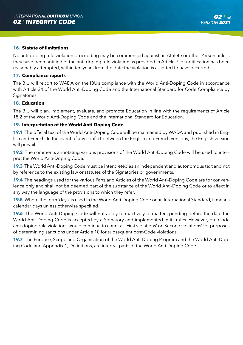#### **16. Statute of limitations**

No anti-doping rule violation proceeding may be commenced against an Athlete or other Person unless they have been notified of the anti-doping rule violation as provided in Article 7, or notification has been reasonably attempted, within ten years from the date the violation is asserted to have occurred.

#### **17. Compliance reports**

The BIU will report to WADA on the IBU's compliance with the World Anti-Doping Code in accordance with Article 24 of the World Anti-Doping Code and the International Standard for Code Compliance by Signatories.

#### **18. Education**

The BIU will plan, implement, evaluate, and promote Education in line with the requirements of Article 18.2 of the World Anti-Doping Code and the International Standard for Education.

### **19. Interpretation of the World Anti-Doping Code**

**19.1** The official text of the World Anti-Doping Code will be maintained by WADA and published in English and French. In the event of any conflict between the English and French versions, the English version will prevail.

**19.2** The comments annotating various provisions of the World Anti-Doping Code will be used to interpret the World Anti-Doping Code.

**19.3** The World Anti-Doping Code must be interpreted as an independent and autonomous text and not by reference to the existing law or statutes of the Signatories or governments.

**19.4** The headings used for the various Parts and Articles of the World Anti-Doping Code are for convenience only and shall not be deemed part of the substance of the World Anti-Doping Code or to affect in any way the language of the provisions to which they refer.

**19.5** Where the term 'days' is used in the World Anti-Doping Code or an International Standard, it means calendar days unless otherwise specified.

**19.6** The World Anti-Doping Code will not apply retroactively to matters pending before the date the World Anti-Doping Code is accepted by a Signatory and implemented in its rules. However, pre-Code anti-doping rule violations would continue to count as 'First violations' or 'Second violations' for purposes of determining sanctions under Article 10 for subsequent post-Code violations.

**19.7** The Purpose, Scope and Organisation of the World Anti-Doping Program and the World Anti-Doping Code and Appendix 1, Definitions, are integral parts of the World Anti-Doping Code.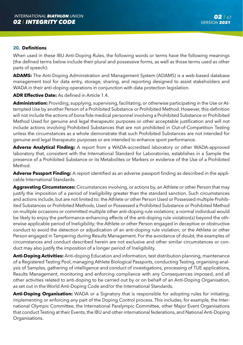#### **20. Definitions**

When used in these IBU Anti-Doping Rules, the following words or terms have the following meanings (the defined terms below include their plural and possessive forms, as well as those terms used as other parts of speech):

**ADAMS:** The Anti-Doping Administration and Management System (ADAMS) is a web-based database management tool for data entry, storage, sharing, and reporting designed to assist stakeholders and WADA in their anti-doping operations in conjunction with data protection legislation.

#### **ADR Effective Date:** As defined in Article 1.4.

**Administration:** Providing, supplying, supervising, facilitating, or otherwise participating in the Use or Attempted Use by another Person of a Prohibited Substance or Prohibited Method. However, this definition will not include the actions of bona fide medical personnel involving a Prohibited Substance or Prohibited Method Used for genuine and legal therapeutic purposes or other acceptable justification and will not include actions involving Prohibited Substances that are not prohibited in Out-of-Competition Testing unless the circumstances as a whole demonstrate that such Prohibited Substances are not intended for genuine and legal therapeutic purposes or are intended to enhance sport performance.

**Adverse Analytical Finding:** A report from a WADA-accredited laboratory or other WADA-approved laboratory that, consistent with the International Standard for Laboratories, establishes in a Sample the presence of a Prohibited Substance or its Metabolites or Markers or evidence of the Use of a Prohibited Method.

**Adverse Passport Finding:** A report identified as an adverse passport finding as described in the applicable International Standards.

**Aggravating Circumstances:** Circumstances involving, or actions by, an Athlete or other Person that may justify the imposition of a period of Ineligibility greater than the standard sanction. Such circumstances and actions include, but are not limited to: the Athlete or other Person Used or Possessed multiple Prohibited Substances or Prohibited Methods, Used or Possessed a Prohibited Substance or Prohibited Method on multiple occasions or committed multiple other anti-doping rule violations; a normal individual would be likely to enjoy the performance-enhancing effects of the anti-doping rule violation(s) beyond the otherwise applicable period of Ineligibility; the Athlete or other Person engaged in deceptive or obstructive conduct to avoid the detection or adjudication of an anti-doping rule violation; or the Athlete or other Person engaged in Tampering during Results Management. For the avoidance of doubt, the examples of circumstances and conduct described herein are not exclusive and other similar circumstances or conduct may also justify the imposition of a longer period of Ineligibility.

**Anti-Doping Activities:** Anti-doping Education and information, test distribution planning, maintenance of a Registered Testing Pool, managing Athlete Biological Passports, conducting Testing, organising analysis of Samples, gathering of intelligence and conduct of investigations, processing of TUE applications, Results Management, monitoring and enforcing compliance with any Consequences imposed, and all other activities related to anti-doping to be carried out by or on behalf of an Anti-Doping Organisation, as set out in the World Anti-Doping Code and/or the International Standards.

**Anti-Doping Organisation:** WADA or a Signatory that is responsible for adopting rules for initiating, implementing or enforcing any part of the Doping Control process. This includes, for example, the International Olympic Committee, the International Paralympic Committee, other Major Event Organisations that conduct Testing at their Events, the IBU and other international federations, and National Anti-Doping Organisations.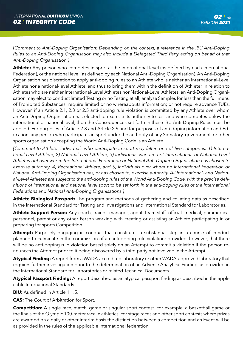*[Comment to Anti-Doping Organisation: Depending on the context, a reference in the IBU Anti-Doping Rules to an Anti-Doping Organisation may also include a Delegated Third Party acting on behalf of that Anti-Doping Organisation.]*

**Athlete:** Any person who competes in sport at the international level (as defined by each International Federation), or the national level (as defined by each National Anti-Doping Organisation). An Anti-Doping Organisation has discretion to apply anti-doping rules to an Athlete who is neither an International-Level Athlete nor a national-level Athlete, and thus to bring them within the definition of 'Athlete.' In relation to Athletes who are neither International-Level Athletes nor National-Level Athletes, an Anti-Doping Organisation may elect to conduct limited Testing or no Testing at all; analyse Samples for less than the full menu of Prohibited Substances; require limited or no whereabouts information; or not require advance TUEs. However, if an Article 2.1, 2.3 or 2.5 anti-doping rule violation is committed by any Athlete over whom an Anti-Doping Organisation has elected to exercise its authority to test and who competes below the international or national level, then the Consequences set forth in these IBU Anti-Doping Rules must be applied. For purposes of Article 2.8 and Article 2.9 and for purposes of anti-doping information and Education, any person who participates in sport under the authority of any Signatory, government, or other sports organisation accepting the World Anti-Doping Code is an Athlete.

*[Comment to Athlete: Individuals who participate in sport may fall in one of five categories: 1) International-Level Athlete, 2) National-Level Athlete, 3) individuals who are not International- or National-Level Athletes but over whom the International Federation or National Anti-Doping Organisation has chosen to exercise authority, 4) Recreational Athlete, and 5) individuals over whom no International Federation or National Anti-Doping Organisation has, or has chosen to, exercise authority. All International- and National-Level Athletes are subject to the anti-doping rules of the World Anti-Doping Code, with the precise definitions of international and national level sport to be set forth in the anti-doping rules of the International Federations and National Anti-Doping Organisations.]*

**Athlete Biological Passport:** The program and methods of gathering and collating data as described in the International Standard for Testing and Investigations and International Standard for Laboratories.

**Athlete Support Person:** Any coach, trainer, manager, agent, team staff, official, medical, paramedical personnel, parent or any other Person working with, treating or assisting an Athlete participating in or preparing for sports Competition.

Attempt: Purposely engaging in conduct that constitutes a substantial step in a course of conduct planned to culminate in the commission of an anti-doping rule violation; provided, however, that there will be no anti-doping rule violation based solely on an Attempt to commit a violation if the person renounces the Attempt prior to it being discovered by a third party not involved in the Attempt.

**Atypical Finding:** A report from a WADA-accredited laboratory or other WADA-approved laboratory that requires further investigation prior to the determination of an Adverse Analytical Finding, as provided in the International Standard for Laboratories or related Technical Documents.

**Atypical Passport Finding:** A report described as an atypical passport finding as described in the applicable International Standards.

**BIU:** As defined in Article 1.1.5.

**CAS:** The Court of Arbitration for Sport.

**Competition:** A single race, match, game or singular sport contest. For example, a basketball game or the finals of the Olympic 100-meter race in athletics. For stage races and other sport contests where prizes are awarded on a daily or other interim basis the distinction between a competition and an Event will be as provided in the rules of the applicable international federation.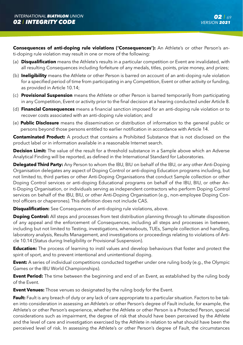**Consequences of anti-doping rule violations ('Consequences'):** An Athlete's or other Person's anti-doping rule violation may result in one or more of the following:

- (a) **Disqualification** means the Athlete's results in a particular competition or Event are invalidated, with all resulting Consequences including forfeiture of any medals, titles, points, prize money, and prizes;
- (b) **Ineligibility** means the Athlete or other Person is barred on account of an anti-doping rule violation for a specified period of time from participating in any Competition, Event or other activity or funding, as provided in Article 10.14;
- (c) **Provisional Suspension** means the Athlete or other Person is barred temporarily from participating in any Competition, Event or activity prior to the final decision at a hearing conducted under Article 8.
- (d) **Financial Consequences** means a financial sanction imposed for an anti-doping rule violation or to recover costs associated with an anti-doping rule violation; and
- (e) **Public Disclosure** means the dissemination or distribution of information to the general public or persons beyond those persons entitled to earlier notification in accordance with Article 14.

**Contaminated Product:** A product that contains a Prohibited Substance that is not disclosed on the product label or in information available in a reasonable Internet search.

**Decision Limit:** The value of the result for a threshold substance in a Sample above which an Adverse Analytical Finding will be reported, as defined in the International Standard for Laboratories.

**Delegated Third Party:** Any Person to whom the IBU, BIU on behalf of the IBU, or any other Anti-Doping Organisation delegates any aspect of Doping Control or anti-doping Education programs including, but not limited to, third parties or other Anti-Doping Organisations that conduct Sample collection or other Doping Control services or anti-doping Educational programs on behalf of the IBU, BIU, or other Anti-Doping Organisation, or individuals serving as independent contractors who perform Doping Control services on behalf of the IBU, BIU, or other Anti-Doping Organisation (e.g., non-employee Doping Control officers or chaperones). This definition does not include CAS.

**Disqualification:** See Consequences of anti-doping rule violations, above.

**Doping Control:** All steps and processes from test distribution planning through to ultimate disposition of any appeal and the enforcement of Consequences, including all steps and processes in between, including but not limited to Testing, investigations, whereabouts, TUEs, Sample collection and handling, laboratory analysis, Results Management, and investigations or proceedings relating to violations of Article 10.14 (Status during Ineligibility or Provisional Suspension).

**Education:** The process of learning to instil values and develop behaviours that foster and protect the spirit of sport, and to prevent intentional and unintentional doping.

**Event:** A series of individual competitions conducted together under one ruling body (e.g., the Olympic Games or the IBU World Championships).

**Event Period:** The time between the beginning and end of an Event, as established by the ruling body of the Event.

**Event Venues:** Those venues so designated by the ruling body for the Event.

**Fault:** Fault is any breach of duty or any lack of care appropriate to a particular situation. Factors to be taken into consideration in assessing an Athlete's or other Person's degree of Fault include, for example, the Athlete's or other Person's experience, whether the Athlete or other Person is a Protected Person, special considerations such as impairment, the degree of risk that should have been perceived by the Athlete and the level of care and investigation exercised by the Athlete in relation to what should have been the perceived level of risk. In assessing the Athlete's or other Person's degree of Fault, the circumstances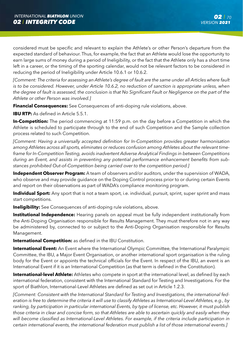considered must be specific and relevant to explain the Athlete's or other Person's departure from the expected standard of behaviour. Thus, for example, the fact that an Athlete would lose the opportunity to earn large sums of money during a period of Ineligibility, or the fact that the Athlete only has a short time left in a career, or the timing of the sporting calendar, would not be relevant factors to be considered in reducing the period of Ineligibility under Article 10.6.1 or 10.6.2.

*[Comment: The criteria for assessing an Athlete's degree of fault are the same under all Articles where fault is to be considered. However, under Article 10.6.2, no reduction of sanction is appropriate unless, when* the degree of fault is assessed, the conclusion is that No Significant Fault or Negligence on the part of the *Athlete or other Person was involved.]*

**Financial Consequences:** See Consequences of anti-doping rule violations, above.

**IBU RTP:** As defined in Article 5.5.1.

**In-Competition:** The period commencing at 11:59 p.m. on the day before a Competition in which the Athlete is scheduled to participate through to the end of such Competition and the Sample collection process related to such Competition.

*[Comment: Having a universally accepted definition for In-Competition provides greater harmonisation among Athletes across all sports, eliminates or reduces confusion among Athletes about the relevant timeframe for In-Competition Testing, avoids inadvertent Adverse Analytical Findings in between Competitions during an Event, and assists in preventing any potential performance enhancement benefits from substances prohibited Out-of-Competition being carried over to the competition period.]* 

**Independent Observer Program:** A team of observers and/or auditors, under the supervision of WADA, who observe and may provide guidance on the Doping Control process prior to or during certain Events and report on their observations as part of WADA's compliance monitoring program.

**Individual Sport:** Any sport that is not a team sport, i.e. individual, pursuit, sprint, super sprint and mass start competitions.

**Ineligibility:** See Consequences of anti-doping rule violations, above.

**Institutional Independence:** Hearing panels on appeal must be fully independent institutionally from the Anti-Doping Organisation responsible for Results Management. They must therefore not in any way be administered by, connected to or subject to the Anti-Doping Organisation responsible for Results Management.

**International Competition:** as defined in the IBU Constitution.

**International Event:** An Event where the International Olympic Committee, the International Paralympic Committee, the IBU, a Major Event Organisation, or another international sport organisation is the ruling body for the Event or appoints the technical officials for the Event. In respect of the IBU, an event is an International Event if it is an International Competition (as that term is defined in the Constitution).

**International-level Athlete:** Athletes who compete in sport at the international level, as defined by each international federation, consistent with the International Standard for Testing and Investigations. For the sport of Biathlon, International-Level Athletes are defined as set out in Article 1.2.3.

*[Comment: Consistent with the International Standard for Testing and Investigations, the international federation is free to determine the criteria it will use to classify Athletes as International-Level Athletes, e.g., by ranking, by participation in particular international Events, by type of license, etc. However, it must publish those criteria in clear and concise form, so that Athletes are able to ascertain quickly and easily when they will become classified as International-Level Athletes. For example, if the criteria include participation in certain international events, the international federation must publish a list of those international events.]*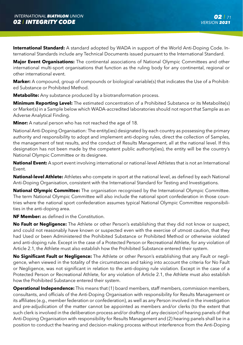**International Standard:** A standard adopted by WADA in support of the World Anti-Doping Code. International Standards include any Technical Documents issued pursuant to the International Standard.

**Major Event Organisations:** The continental associations of National Olympic Committees and other international multi-sport organisations that function as the ruling body for any continental, regional or other international event.

**Marker:** A compound, group of compounds or biological variable(s) that indicates the Use of a Prohibited Substance or Prohibited Method.

**Metabolite:** Any substance produced by a biotransformation process.

**Minimum Reporting Level:** The estimated concentration of a Prohibited Substance or its Metabolite(s) or Marker(s) in a Sample below which WADA-accredited laboratories should not report that Sample as an Adverse Analytical Finding.

**Minor:** A natural person who has not reached the age of 18.

National Anti-Doping Organisation: The entity(ies) designated by each country as possessing the primary authority and responsibility to adopt and implement anti-doping rules, direct the collection of Samples, the management of test results, and the conduct of Results Management, all at the national level. If this designation has not been made by the competent public authority(ies), the entity will be the country's National Olympic Committee or its designee.

**National Event:** A sport event involving international or national-level Athletes that is not an International Event.

**National-level Athlete:** Athletes who compete in sport at the national level, as defined by each National Anti-Doping Organisation, consistent with the International Standard for Testing and Investigations.

**National Olympic Committee:** The organisation recognised by the International Olympic Committee. The term National Olympic Committee will also include the national sport confederation in those countries where the national sport confederation assumes typical National Olympic Committee responsibilities in the anti-doping area.

**NF Member:** as defined in the Constitution.

**No Fault or Negligence:** The Athlete or other Person's establishing that they did not know or suspect, and could not reasonably have known or suspected even with the exercise of utmost caution, that they had Used or been Administered the Prohibited Substance or Prohibited Method or otherwise violated and anti-doping rule. Except in the case of a Protected Person or Recreational Athlete, for any violation of Article 2.1, the Athlete must also establish how the Prohibited Substance entered their system.

**No Significant Fault or Negligence:** The Athlete or other Person's establishing that any Fault or negligence, when viewed in the totality of the circumstances and taking into account the criteria for No Fault or Negligence, was not significant in relation to the anti-doping rule violation. Except in the case of a Protected Person or Recreational Athlete, for any violation of Article 2.1, the Athlete must also establish how the Prohibited Substance entered their system.

**Operational Independence:** This means that (1) board members, staff members, commission members, consultants, and officials of the Anti-Doping Organisation with responsibility for Results Management or its affiliates (e.g., member federation or confederation), as well as any Person involved in the investigation and pre-adjudication of the matter cannot be appointed as members and/or clerks (to the extent that such clerk is involved in the deliberation process and/or drafting of any decision) of hearing panels of that Anti-Doping Organisation with responsibility for Results Management and (2) hearing panels shall be in a position to conduct the hearing and decision-making process without interference from the Anti-Doping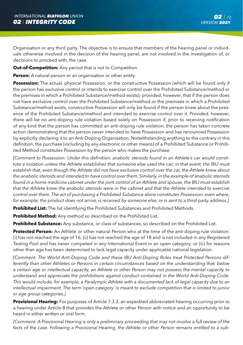Organisation or any third party. The objective is to ensure that members of the hearing panel or individuals otherwise involved in the decision of the hearing panel, are not involved in the investigation of, or decisions to proceed with, the case.

**Out-of-Competition:** Any period that is not In-Competition.

**Person:** A natural person or an organisation or other entity.

**Possession:** The actual, physical Possession, or the constructive Possession (which will be found only if the person has exclusive control or intends to exercise control over the Prohibited Substance/method or the premises in which a Prohibited Substance/method exists); provided, however, that if the person does not have exclusive control over the Prohibited Substance/method or the premises in which a Prohibited Substance/method exists, constructive Possession will only be found if the person knew about the presence of the Prohibited Substance/method and intended to exercise control over it. Provided, however, there will be no anti-doping rule violation based solely on Possession if, prior to receiving notification of any kind that the person has committed an anti-doping rule violation, the person has taken concrete action demonstrating that the person never intended to have Possession and has renounced Possession by explicitly declaring it to an Anti-Doping Organisation. Notwithstanding anything to the contrary in this definition, the purchase (including by any electronic or other means) of a Prohibited Substance or Prohibited Method constitutes Possession by the person who makes the purchase.

*[Comment to Possession: Under this definition, anabolic steroids found in an Athlete's car would constitute a violation unless the Athlete establishes that someone else used the car; in that event, the BIU must establish that, even though the Athlete did not have exclusive control over the car, the Athlete knew about the anabolic steroids and intended to have control over them. Similarly, in the example of anabolic steroids found in a home medicine cabinet under the joint control of an Athlete and spouse, the BIU must establish that the Athlete knew the anabolic steroids were in the cabinet and that the Athlete intended to exercise control over them. The act of purchasing a Prohibited Substance alone constitutes Possession, even where, for example, the product does not arrive, is received by someone else, or is sent to a third-party address.]*

**Prohibited List:** The list identifying the Prohibited Substances and Prohibited Methods.

**Prohibited Method:** Any method so described on the Prohibited List.

**Prohibited Substance:** Any substance, or class of substances, so described on the Prohibited List.

**Protected Person:** An Athlete or other natural Person who at the time of the anti-doping rule violation: (i) has not reached the age of 16; (ii) has not reached the age of 18 and is not included in any Registered Testing Pool and has never competed in any International Event in an open category; or (iii) for reasons other than age has been determined to lack legal capacity under applicable national legislation.

*[Comment: The World Anti-Doping Code and these IBU Anti-Doping Rules treat Protected Persons differently than other Athletes or Persons in certain circumstances based on the understanding that, below a certain age or intellectual capacity, an Athlete or other Person may not possess the mental capacity to understand and appreciate the prohibitions against conduct contained in the World Anti-Doping Code. This would include, for example, a Paralympic Athlete with a documented lack of legal capacity due to an intellectual impairment. The term 'open category' is meant to exclude competition that is limited to junior or age group categories.]*

**Provisional Hearing:** For purposes of Article 7.3.3, an expedited abbreviated hearing occurring prior to a hearing under Article 8 that provides the Athlete or other Person with notice and an opportunity to be heard in either written or oral form.

*[Comment: A Provisional Hearing is only a preliminary proceeding that may not involve a full review of the facts of the case. Following a Provisional Hearing, the Athlete or other Person remains entitled to a sub-*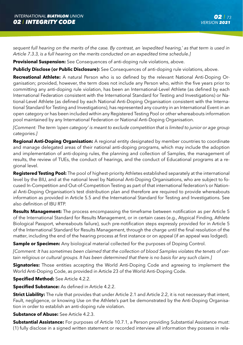*sequent full hearing on the merits of the case. By contrast, an 'expedited hearing,' as that term is used in Article 7.3.3, is a full hearing on the merits conducted on an expedited time schedule.]*

**Provisional Suspension:** See Consequences of anti-doping rule violations, above.

**Publicly Disclose (or Public Disclosure):** See Consequences of anti-doping rule violations, above.

**Recreational Athlete:** A natural Person who is so defined by the relevant National Anti-Doping Organisation; provided, however, the term does not include any Person who, within the five years prior to committing any anti-doping rule violation, has been an International-Level Athlete (as defined by each International Federation consistent with the International Standard for Testing and Investigations) or National-Level Athlete (as defined by each National Anti-Doping Organisation consistent with the International Standard for Testing and Investigations), has represented any country in an International Event in an open category or has been included within any Registered Testing Pool or other whereabouts information pool maintained by any International Federation or National Anti-Doping Organisation.

*[Comment: The term 'open category' is meant to exclude competition that is limited to junior or age group categories.]*

**Regional Anti-Doping Organisation:** A regional entity designated by member countries to coordinate and manage delegated areas of their national anti-doping programs, which may include the adoption and implementation of anti-doping rules, the planning and collection of Samples, the management of results, the review of TUEs, the conduct of hearings, and the conduct of Educational programs at a regional level.

**Registered Testing Pool:** The pool of highest-priority Athletes established separately at the international level by the BIU, and at the national level by National Anti-Doping Organisations, who are subject to focused In-Competition and Out-of-Competition Testing as part of that international federation's or National Anti-Doping Organisation's test distribution plan and therefore are required to provide whereabouts information as provided in Article 5.5 and the International Standard for Testing and Investigations. See also definition of IBU RTP.

**Results Management:** The process encompassing the timeframe between notification as per Article 5 of the International Standard for Results Management, or in certain cases (e.g., Atypical Finding, Athlete Biological Passport, whereabouts failure), such pre-notification steps expressly provided for in Article 5 of the International Standard for Results Management, through the charge until the final resolution of the matter, including the end of the hearing process at first instance or on appeal (if an appeal was lodged).

**Sample or Specimen:** Any biological material collected for the purposes of Doping Control.

*[Comment: It has sometimes been claimed that the collection of blood Samples violates the tenets of certain religious or cultural groups. It has been determined that there is no basis for any such claim.]*

**Signatories:** Those entities accepting the World Anti-Doping Code and agreeing to implement the World Anti-Doping Code, as provided in Article 23 of the World Anti-Doping Code.

**Specified Method:** See Article 4.2.2.

**Specified Substance:** As defined in Article 4.2.2.

**Strict Liability:** The rule that provides that under Article 2.1 and Article 2.2, it is not necessary that intent, Fault, negligence, or knowing Use on the Athlete's part be demonstrated by the Anti-Doping Organisation in order to establish an anti-doping rule violation.

## **Substance of Abuse:** See Article 4.2.3.

**Substantial Assistance:** For purposes of Article 10.7.1, a Person providing Substantial Assistance must: (1) fully disclose in a signed written statement or recorded interview all information they possess in rela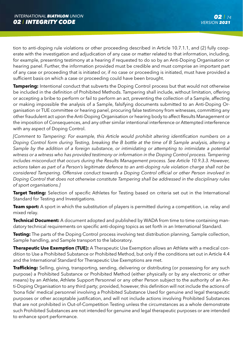tion to anti-doping rule violations or other proceeding described in Article 10.7.1.1, and (2) fully cooperate with the investigation and adjudication of any case or matter related to that information, including, for example, presenting testimony at a hearing if requested to do so by an Anti-Doping Organisation or hearing panel. Further, the information provided must be credible and must comprise an important part of any case or proceeding that is initiated or, if no case or proceeding is initiated, must have provided a sufficient basis on which a case or proceeding could have been brought.

**Tampering:** Intentional conduct that subverts the Doping Control process but that would not otherwise be included in the definition of Prohibited Methods. Tampering shall include, without limitation, offering or accepting a bribe to perform or fail to perform an act, preventing the collection of a Sample, affecting or making impossible the analysis of a Sample, falsifying documents submitted to an Anti-Doping Organisation or TUE committee or hearing panel, procuring false testimony from witnesses, committing any other fraudulent act upon the Anti-Doping Organisation or hearing body to affect Results Management or the imposition of Consequences, and any other similar intentional interference or Attempted interference with any aspect of Doping Control.

*[Comment to Tampering: For example, this Article would prohibit altering identification numbers on a Doping Control form during Testing, breaking the B bottle at the time of B Sample analysis, altering a*  Sample by the addition of a foreign substance, or intimidating or attempting to intimidate a potential *witness or a witness who has provided testimony or information in the Doping Control process. Tampering includes misconduct that occurs during the Results Management process. See Article 10.9.3.3. However, actions taken as part of a Person's legitimate defence to an anti-doping rule violation charge shall not be considered Tampering. Offensive conduct towards a Doping Control official or other Person involved in Doping Control that does not otherwise constitute Tampering shall be addressed in the disciplinary rules of sport organisations.]*

**Target Testing:** Selection of specific Athletes for Testing based on criteria set out in the International Standard for Testing and Investigations.

**Team sport:** A sport in which the substitution of players is permitted during a competition, i.e. relay and mixed relay.

**Technical Document:** A document adopted and published by WADA from time to time containing mandatory technical requirements on specific anti-doping topics as set forth in an International Standard.

**Testing:** The parts of the Doping Control process involving test distribution planning, Sample collection, Sample handling, and Sample transport to the laboratory.

**Therapeutic Use Exemption (TUE):** A Therapeutic Use Exemption allows an Athlete with a medical condition to Use a Prohibited Substance or Prohibited Method, but only if the conditions set out in Article 4.4 and the International Standard for Therapeutic Use Exemptions are met.

**Trafficking:** Selling, giving, transporting, sending, delivering or distributing (or possessing for any such purpose) a Prohibited Substance or Prohibited Method (either physically or by any electronic or other means) by an Athlete, Athlete Support Personnel or any other Person subject to the authority of an Anti-Doping Organisation to any third party; provided, however, this definition will not include the actions of 'bona fide' medical personnel involving a Prohibited Substance Used for genuine and legal therapeutic purposes or other acceptable justification, and will not include actions involving Prohibited Substances that are not prohibited in Out-of-Competition Testing unless the circumstances as a whole demonstrate such Prohibited Substances are not intended for genuine and legal therapeutic purposes or are intended to enhance sport performance.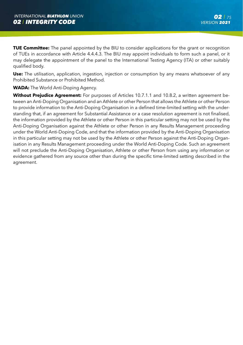**TUE Committee:** The panel appointed by the BIU to consider applications for the grant or recognition of TUEs in accordance with Article 4.4.4.3. The BIU may appoint individuals to form such a panel, or it may delegate the appointment of the panel to the International Testing Agency (ITA) or other suitably qualified body.

**Use:** The utilisation, application, ingestion, injection or consumption by any means whatsoever of any Prohibited Substance or Prohibited Method.

## **WADA:** The World Anti-Doping Agency.

**Without Prejudice Agreement:** For purposes of Articles 10.7.1.1 and 10.8.2, a written agreement between an Anti-Doping Organisation and an Athlete or other Person that allows the Athlete or other Person to provide information to the Anti-Doping Organisation in a defined time-limited setting with the understanding that, if an agreement for Substantial Assistance or a case resolution agreement is not finalised, the information provided by the Athlete or other Person in this particular setting may not be used by the Anti-Doping Organisation against the Athlete or other Person in any Results Management proceeding under the World Anti-Doping Code, and that the information provided by the Anti-Doping Organisation in this particular setting may not be used by the Athlete or other Person against the Anti-Doping Organisation in any Results Management proceeding under the World Anti-Doping Code. Such an agreement will not preclude the Anti-Doping Organisation, Athlete or other Person from using any information or evidence gathered from any source other than during the specific time-limited setting described in the agreement.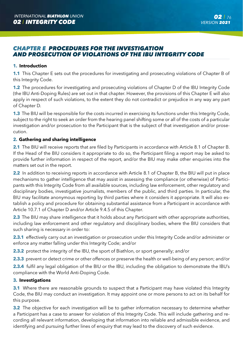# *CHAPTER E PROCEDURES FOR THE INVESTIGATION AND PROSECUTION OF VIOLATIONS OF THE IBU INTEGRITY CODE*

# **1. Introduction**

**1.1** This Chapter E sets out the procedures for investigating and prosecuting violations of Chapter B of this Integrity Code.

**1.2** The procedures for investigating and prosecuting violations of Chapter D of the IBU Integrity Code (the IBU Anti-Doping Rules) are set out in that chapter. However, the provisions of this Chapter E will also apply in respect of such violations, to the extent they do not contradict or prejudice in any way any part of Chapter D.

**1.3** The BIU will be responsible for the costs incurred in exercising its functions under this Integrity Code, subject to the right to seek an order from the hearing panel shifting some or all of the costs of a particular investigation and/or prosecution to the Participant that is the subject of that investigation and/or prosecution.

## **2. Gathering and sharing intelligence**

**2.1** The BIU will receive reports that are filed by Participants in accordance with Article 8.1 of Chapter B. If the Head of the BIU considers it appropriate to do so, the Participant filing a report may be asked to provide further information in respect of the report, and/or the BIU may make other enquiries into the matters set out in the report.

**2.2** In addition to receiving reports in accordance with Article 8.1 of Chapter B, the BIU will put in place mechanisms to gather intelligence that may assist in assessing the compliance (or otherwise) of Participants with this Integrity Code from all available sources, including law enforcement, other regulatory and disciplinary bodies, investigative journalists, members of the public, and third parties. In particular, the BIU may facilitate anonymous reporting by third parties where it considers it appropriate. It will also establish a policy and procedure for obtaining substantial assistance from a Participant in accordance with Article 10.7.1 of Chapter D and/or Article 9.4.5 of this Chapter.

**2.3** The BIU may share intelligence that it holds about any Participant with other appropriate authorities, including law enforcement and other regulatory and disciplinary bodies, where the BIU considers that such sharing is necessary in order to:

**2.3.1** effectively carry out an investigation or prosecution under this Integrity Code and/or administer or enforce any matter falling under this Integrity Code; and/or

**2.3.2** protect the integrity of the IBU, the sport of Biathlon, or sport generally; and/or

**2.3.3** prevent or detect crime or other offences or preserve the health or well-being of any person; and/or

**2.3.4** fulfil any legal obligation of the BIU or the IBU, including the obligation to demonstrate the IBU's compliance with the World Anti-Doping Code.

#### **3. Investigations**

**3.1** Where there are reasonable grounds to suspect that a Participant may have violated this Integrity Code, the BIU may conduct an investigation. It may appoint one or more persons to act on its behalf for this purpose.

**3.2** The objective for each investigation will be to gather information necessary to determine whether a Participant has a case to answer for violation of this Integrity Code. This will include gathering and recording all relevant information, developing that information into reliable and admissible evidence, and identifying and pursuing further lines of enquiry that may lead to the discovery of such evidence.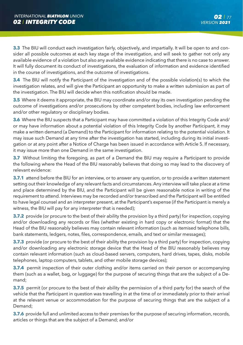**3.3** The BIU will conduct each investigation fairly, objectively, and impartially. It will be open to and consider all possible outcomes at each key stage of the investigation, and will seek to gather not only any available evidence of a violation but also any available evidence indicating that there is no case to answer. It will fully document its conduct of investigations, the evaluation of information and evidence identified in the course of investigations, and the outcome of investigations.

**3.4** The BIU will notify the Participant of the investigation and of the possible violation(s) to which the investigation relates, and will give the Participant an opportunity to make a written submission as part of the investigation. The BIU will decide when this notification should be made.

**3.5** Where it deems it appropriate, the BIU may coordinate and/or stay its own investigation pending the outcome of investigations and/or prosecutions by other competent bodies, including law enforcement and/or other regulatory or disciplinary bodies.

**3.6** Where the BIU suspects that a Participant may have committed a violation of this Integrity Code and/ or may have information about a potential violation of this Integrity Code by another Participant, it may make a written demand (a Demand) to the Participant for information relating to the potential violation. It may issue such Demand at any time after the investigation has started, including during its initial investigation or at any point after a Notice of Charge has been issued in accordance with Article 5. If necessary, it may issue more than one Demand in the same investigation.

**3.7** Without limiting the foregoing, as part of a Demand the BIU may require a Participant to provide the following where the Head of the BIU reasonably believes that doing so may lead to the discovery of relevant evidence:

**3.7.1** attend before the BIU for an interview, or to answer any question, or to provide a written statement setting out their knowledge of any relevant facts and circumstances. Any interview will take place at a time and place determined by the BIU, and the Participant will be given reasonable notice in writing of the requirement to attend. Interviews may be recorded and/or transcribed and the Participant will be entitled to have legal counsel and an interpreter present, at the Participant's expense (if the Participant is merely a witness, the BIU will pay for any interpreter that is needed);

**3.7.2** provide (or procure to the best of their ability the provision by a third party) for inspection, copying and/or downloading any records or files (whether existing in hard copy or electronic format) that the Head of the BIU reasonably believes may contain relevant information (such as itemised telephone bills, bank statements, ledgers, notes, files, correspondence, emails, and text or similar messages);

**3.7.3** provide (or procure to the best of their ability the provision by a third party) for inspection, copying and/or downloading any electronic storage device that the Head of the BIU reasonably believes may contain relevant information (such as cloud-based servers, computers, hard drives, tapes, disks, mobile telephones, laptop computers, tablets, and other mobile storage devices);

**3.7.4** permit inspection of their outer clothing and/or items carried on their person or accompanying them (such as a wallet, bag, or luggage) for the purpose of securing things that are the subject of a Demand;

**3.7.5** permit (or procure to the best of their ability the permission of a third party for) the search of the vehicle that the Participant in question was travelling in at the time of or immediately prior to their arrival at the relevant venue or accommodation for the purpose of securing things that are the subject of a Demand;

**3.7.6** provide full and unlimited access to their premises for the purpose of securing information, records, articles or things that are the subject of a Demand; and/or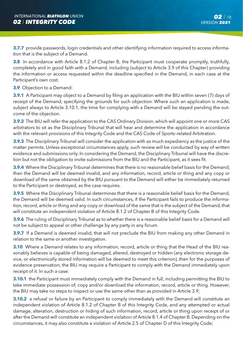**3.7.7** provide passwords, login credentials and other identifying information required to access information that is the subject of a Demand.

**3.8** In accordance with Article 8.1.2 of Chapter B, the Participant must cooperate promptly, truthfully, completely and in good faith with a Demand, including (subject to Article 3.9 of this Chapter) providing the information or access requested within the deadline specified in the Demand, in each case at the Participant's own cost.

**3.9** Objection to a Demand:

**3.9.1** A Participant may object to a Demand by filing an application with the BIU within seven (7) days of receipt of the Demand, specifying the grounds for such objection. Where such an application is made, subject always to Article 3.10.1, the time for complying with a Demand will be stayed pending the outcome of the objection.

**3.9.2** The BIU will refer the application to the CAS Ordinary Division, which will appoint one or more CAS arbitrators to sit as the Disciplinary Tribunal that will hear and determine the application in accordance with the relevant provisions of this Integrity Code and the CAS Code of Sports–related Arbitration.

**3.9.3** The Disciplinary Tribunal will consider the application with as much expediency as the justice of the matter permits. Unless exceptional circumstances apply, such review will be conducted by way of written evidence and submissions only. In considering the Demand, the Disciplinary Tribunal will have the discretion but not the obligation to invite submissions from the BIU and the Participant, as it sees fit.

**3.9.4** Where the Disciplinary Tribunal determines that there is no reasonable belief basis for the Demand, then the Demand will be deemed invalid, and any information, record, article or thing and any copy or download of the same obtained by the BIU pursuant to the Demand will either be immediately returned to the Participant or destroyed, as the case requires.

**3.9.5** Where the Disciplinary Tribunal determines that there is a reasonable belief basis for the Demand, the Demand will be deemed valid. In such circumstances, if the Participant fails to produce the information, record, article or thing and any copy or download of the same that is the subject of the Demand, that will constitute an independent violation of Article 8.1.2 of Chapter B of this Integrity Code.

**3.9.6** The ruling of Disciplinary Tribunal as to whether there is a reasonable belief basis for a Demand will not be subject to appeal or other challenge by any party in any forum.

**3.9.7** If a Demand is deemed invalid, that will not preclude the BIU from making any other Demand in relation to the same or another investigation.

**3.10** Where a Demand relates to any information, record, article or thing that the Head of the BIU reasonably believes is capable of being damaged, altered, destroyed or hidden (any electronic storage device, or electronically stored information will be deemed to meet this criterion), then for the purposes of evidence preservation, the BIU may require a Participant to comply with the Demand immediately upon receipt of it. In such a case:

**3.10.1** the Participant must immediately comply with the Demand in full, including permitting the BIU to take immediate possession of, copy and/or download the information, record, article or thing. However, the BIU may take no steps to inspect or use the same other than as provided in Article 3.9;

**3.10.2** a refusal or failure by an Participant to comply immediately with the Demand will constitute an independent violation of Article 8.1.2 of Chapter B of this Integrity Code, and any attempted or actual damage, alteration, destruction or hiding of such information, record, article or thing upon receipt of or after the Demand will constitute an independent violation of Article 8.1.4 of Chapter B. Depending on the circumstances, it may also constitute a violation of Article 2.5 of Chapter D of this Integrity Code;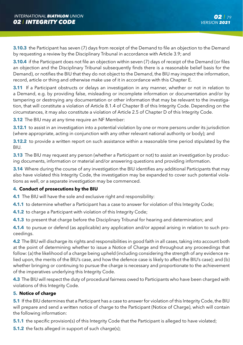**3.10.3** the Participant has seven (7) days from receipt of the Demand to file an objection to the Demand by requesting a review by the Disciplinary Tribunal in accordance with Article 3.9; and

**3.10.4** if the Participant does not file an objection within seven (7) days of receipt of the Demand (or files an objection and the Disciplinary Tribunal subsequently finds there is a reasonable belief basis for the Demand), or notifies the BIU that they do not object to the Demand, the BIU may inspect the information, record, article or thing and otherwise make use of it in accordance with this Chapter E.

**3.11** If a Participant obstructs or delays an investigation in any manner, whether or not in relation to a Demand, e.g. by providing false, misleading or incomplete information or documentation and/or by tampering or destroying any documentation or other information that may be relevant to the investigation, that will constitute a violation of Article 8.1.4 of Chapter B of this Integrity Code. Depending on the circumstances, it may also constitute a violation of Article 2.5 of Chapter D of this Integrity Code.

**3.12** The BIU may at any time require an NF Member:

**3.12.1** to assist in an investigation into a potential violation by one or more persons under its jurisdiction (where appropriate, acting in conjunction with any other relevant national authority or body); and

**3.12.2** to provide a written report on such assistance within a reasonable time period stipulated by the BIU.

**3.13** The BIU may request any person (whether a Participant or not) to assist an investigation by producing documents, information or material and/or answering questions and providing information.

**3.14** Where during the course of any investigation the BIU identifies any additional Participants that may also have violated this Integrity Code, the investigation may be expanded to cover such potential violations as well, or a separate investigation may be commenced.

## **4. Conduct of prosecutions by the BIU**

**4.1** The BIU will have the sole and exclusive right and responsibility:

**4.1.1** to determine whether a Participant has a case to answer for violation of this Integrity Code;

**4.1.2** to charge a Participant with violation of this Integrity Code;

**4.1.3** to present that charge before the Disciplinary Tribunal for hearing and determination; and

**4.1.4** to pursue or defend (as applicable) any application and/or appeal arising in relation to such proceedings.

**4.2** The BIU will discharge its rights and responsibilities in good faith in all cases, taking into account both at the point of determining whether to issue a Notice of Charge and throughout any proceedings that follow: (a) the likelihood of a charge being upheld (including considering the strength of any evidence relied upon, the merits of the BIU's case, and how the defence case is likely to affect the BIU's case); and (b) whether bringing or continuing to pursue the charge is necessary and proportionate to the achievement of the imperatives underlying this Integrity Code.

**4.3** The BIU will respect the duty of procedural fairness owed to Participants who have been charged with violations of this Integrity Code.

# **5. Notice of charge**

**5.1** If the BIU determines that a Participant has a case to answer for violation of this Integrity Code, the BIU will prepare and send a written notice of charge to the Participant (Notice of Charge), which will contain the following information:

**5.1.1** the specific provision(s) of this Integrity Code that the Participant is alleged to have violated;

**5.1.2** the facts alleged in support of such charge(s);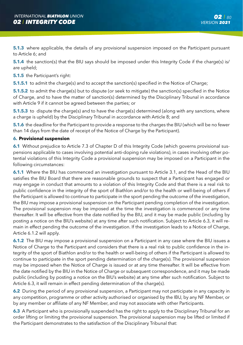**5.1.3** where applicable, the details of any provisional suspension imposed on the Participant pursuant to Article 6; and

**5.1.4** the sanction(s) that the BIU says should be imposed under this Integrity Code if the charge(s) is/ are upheld;

**5.1.5** the Participant's right:

**5.1.5.1** to admit the charge(s) and to accept the sanction(s) specified in the Notice of Charge;

**5.1.5.2** to admit the charge(s) but to dispute (or seek to mitigate) the sanction(s) specified in the Notice of Charge, and to have the matter of sanction(s) determined by the Disciplinary Tribunal in accordance with Article 9 if it cannot be agreed between the parties; or

**5.1.5.3** to dispute the charge(s) and to have the charge(s) determined (along with any sanctions, where a charge is upheld) by the Disciplinary Tribunal in accordance with Article 8; and

**5.1.6** the deadline for the Participant to provide a response to the charges the BIU (which will be no fewer than 14 days from the date of receipt of the Notice of Charge by the Participant).

#### **6. Provisional suspension**

**6.1** Without prejudice to Article 7.3 of Chapter D of this Integrity Code (which governs provisional suspensions applicable to cases involving potential anti-doping rule violations), in cases involving other potential violations of this Integrity Code a provisional suspension may be imposed on a Participant in the following circumstances:

**6.1.1** Where the BIU has commenced an investigation pursuant to Article 3.1, and the Head of the BIU satisfies the BIU Board that there are reasonable grounds to suspect that a Participant has engaged or may engage in conduct that amounts to a violation of this Integrity Code and that there is a real risk to public confidence in the integrity of the sport of Biathlon and/or to the health or well-being of others if the Participant is allowed to continue to participate in the sport pending the outcome of the investigation, the BIU may impose a provisional suspension on the Participant pending completion of the investigation. The provisional suspension may be imposed at the time the investigation is commenced or any time thereafter. It will be effective from the date notified by the BIU, and it may be made public (including by posting a notice on the BIU's website) at any time after such notification. Subject to Article 6.3, it will remain in effect pending the outcome of the investigation. If the investigation leads to a Notice of Charge, Article 6.1.2 will apply.

**6.1.2** The BIU may impose a provisional suspension on a Participant in any case where the BIU issues a Notice of Charge to the Participant and considers that there is a real risk to public confidence in the integrity of the sport of Biathlon and/or to the health or well-being of others if the Participant is allowed to continue to participate in the sport pending determination of the charge(s). The provisional suspension may be imposed when the Notice of Charge is issued or at any time thereafter. It will be effective from the date notified by the BIU in the Notice of Charge or subsequent correspondence, and it may be made public (including by posting a notice on the BIU's website) at any time after such notification. Subject to Article 6.3, it will remain in effect pending determination of the charge(s).

**6.2** During the period of any provisional suspension, a Participant may not participate in any capacity in any competition, programme or other activity authorised or organised by the IBU, by any NF Member, or by any member or affiliate of any NF Member, and may not associate with other Participants.

**6.3** A Participant who is provisionally suspended has the right to apply to the Disciplinary Tribunal for an order lifting or limiting the provisional suspension. The provisional suspension may be lifted or limited if the Participant demonstrates to the satisfaction of the Disciplinary Tribunal that: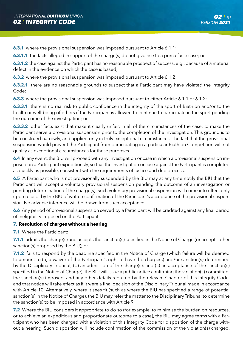**6.3.1** where the provisional suspension was imposed pursuant to Article 6.1.1:

**6.3.1.1** the facts alleged in support of the charge(s) do not give rise to a prima facie case; or

**6.3.1.2** the case against the Participant has no reasonable prospect of success, e.g., because of a material defect in the evidence on which the case is based;

**6.3.2** where the provisional suspension was imposed pursuant to Article 6.1.2:

**6.3.2.1** there are no reasonable grounds to suspect that a Participant may have violated the Integrity Code;

**6.3.3** where the provisional suspension was imposed pursuant to either Article 6.1.1 or 6.1.2:

**6.3.3.1** there is no real risk to public confidence in the integrity of the sport of Biathlon and/or to the health or well-being of others if the Participant is allowed to continue to participate in the sport pending the outcome of the investigation; or

**6.3.3.2** other facts exist that make it clearly unfair, in all of the circumstances of the case, to make the Participant serve a provisional suspension prior to the completion of the investigation. This ground is to be construed narrowly, and applied only in truly exceptional circumstances. The fact that the provisional suspension would prevent the Participant from participating in a particular Biathlon Competition will not qualify as exceptional circumstances for these purposes.

**6.4** In any event, the BIU will proceed with any investigation or case in which a provisional suspension imposed on a Participant expeditiously, so that the investigation or case against the Participant is completed as quickly as possible, consistent with the requirements of justice and due process.

**6.5** A Participant who is not provisionally suspended by the BIU may at any time notify the BIU that the Participant will accept a voluntary provisional suspension pending the outcome of an investigation or pending determination of the charge(s). Such voluntary provisional suspension will come into effect only upon receipt by the BIU of written confirmation of the Participant's acceptance of the provisional suspension. No adverse inference will be drawn from such acceptance.

**6.6** Any period of provisional suspension served by a Participant will be credited against any final period of ineligibility imposed on the Participant.

## **7. Resolution of charges without a hearing**

**7.1** Where the Participant:

**7.1.1** admits the charge(s) and accepts the sanction(s) specified in the Notice of Charge (or accepts other sanction(s) proposed by the BIU); or

**7.1.2** fails to respond by the deadline specified in the Notice of Charge (which failure will be deemed to amount to (a) a waiver of the Participant's right to have the charge(s) and/or sanction(s) determined by the Disciplinary Tribunal; (b) an admission of the charge(s); and (c) an acceptance of the sanction(s) specified in the Notice of Charge); the BIU will issue a public notice confirming the violation(s) committed, the sanction(s) imposed, and any other details required by the relevant Chapter of this Integrity Code, and that notice will take effect as if it were a final decision of the Disciplinary Tribunal made in accordance with Article 10. Alternatively, where it sees fit (such as where the BIU has specified a range of potential sanction(s) in the Notice of Charge), the BIU may refer the matter to the Disciplinary Tribunal to determine the sanction(s) to be imposed in accordance with Article 9.

**7.2** Where the BIU considers it appropriate to do so (for example, to minimise the burden on resources, or to achieve an expeditious and proportionate outcome to a case), the BIU may agree terms with a Participant who has been charged with a violation of this Integrity Code for disposition of the charge without a hearing. Such disposition will include confirmation of the commission of the violation(s) charged,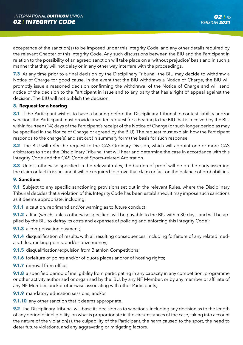acceptance of the sanction(s) to be imposed under this Integrity Code, and any other details required by the relevant Chapter of this Integrity Code. Any such discussions between the BIU and the Participant in relation to the possibility of an agreed sanction will take place on a 'without prejudice' basis and in such a manner that they will not delay or in any other way interfere with the proceedings.

**7.3** At any time prior to a final decision by the Disciplinary Tribunal, the BIU may decide to withdraw a Notice of Charge for good cause. In the event that the BIU withdraws a Notice of Charge, the BIU will promptly issue a reasoned decision confirming the withdrawal of the Notice of Charge and will send notice of the decision to the Participant in issue and to any party that has a right of appeal against the decision. The BIU will not publish the decision.

# **8. Request for a hearing**

**8.1** If the Participant wishes to have a hearing before the Disciplinary Tribunal to contest liability and/or sanction, the Participant must provide a written request for a hearing to the BIU that is received by the BIU within fourteen (14) days of the Participant's receipt of the Notice of Charge (or such longer period as may be specified in the Notice of Charge or agreed by the BIU). The request must explain how the Participant responds to the charge(s) and set out (in summary form) the basis for such response.

**8.2** The BIU will refer the request to the CAS Ordinary Division, which will appoint one or more CAS arbitrators to sit as the Disciplinary Tribunal that will hear and determine the case in accordance with this Integrity Code and the CAS Code of Sports–related Arbitration.

**8.3** Unless otherwise specified in the relevant rules, the burden of proof will be on the party asserting the claim or fact in issue, and it will be required to prove that claim or fact on the balance of probabilities.

# **9. Sanctions**

**9.1** Subject to any specific sanctioning provisions set out in the relevant Rules, where the Disciplinary Tribunal decides that a violation of this Integrity Code has been established, it may impose such sanctions as it deems appropriate, including:

**9.1.1** a caution, reprimand and/or warning as to future conduct:

**9.1.2** a fine (which, unless otherwise specified, will be payable to the BIU within 30 days, and will be applied by the BIU to defray its costs and expenses of policing and enforcing this Integrity Code);

**9.1.3** a compensation payment;

**9.1.4** disqualification of results, with all resulting consequences, including forfeiture of any related medals, titles, ranking points, and/or prize money;

**9.1.5** disqualification/expulsion from Biathlon Competitions:

**9.1.6** forfeiture of points and/or of quota places and/or of hosting rights;

**9.1.7** removal from office:

**9.1.8** a specified period of ineligibility from participating in any capacity in any competition, programme or other activity authorised or organised by the IBU, by any NF Member, or by any member or affiliate of any NF Member, and/or otherwise associating with other Participants;

**9.1.9** mandatory education sessions; and/or

**9.1.10** any other sanction that it deems appropriate.

**9.2** The Disciplinary Tribunal will base its decision as to sanctions, including any decision as to the length of any period of ineligibility, on what is proportionate in the circumstances of the case, taking into account the nature of the violation(s), the culpability of the Participant, the harm caused to the sport, the need to deter future violations, and any aggravating or mitigating factors.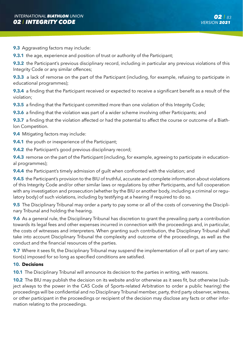**9.3** Aggravating factors may include:

**9.3.1** the age, experience and position of trust or authority of the Participant;

**9.3.2** the Participant's previous disciplinary record, including in particular any previous violations of this Integrity Code or any similar offences;

**9.3.3** a lack of remorse on the part of the Participant (including, for example, refusing to participate in educational programmes);

**9.3.4** a finding that the Participant received or expected to receive a significant benefit as a result of the violation;

**9.3.5** a finding that the Participant committed more than one violation of this Integrity Code;

**9.3.6** a finding that the violation was part of a wider scheme involving other Participants; and

**9.3.7** a finding that the violation affected or had the potential to affect the course or outcome of a Biathlon Competition.

**9.4** Mitigating factors may include:

**9.4.1** the youth or inexperience of the Participant;

**9.4.2** the Participant's good previous disciplinary record;

**9.4.3** remorse on the part of the Participant (including, for example, agreeing to participate in educational programmes);

**9.4.4** the Participant's timely admission of guilt when confronted with the violation; and

**9.4.5** the Participant's provision to the BIU of truthful, accurate and complete information about violations of this Integrity Code and/or other similar laws or regulations by other Participants, and full cooperation with any investigation and prosecution (whether by the BIU or another body, including a criminal or regulatory body) of such violations, including by testifying at a hearing if required to do so.

**9.5** The Disciplinary Tribunal may order a party to pay some or all of the costs of convening the Disciplinary Tribunal and holding the hearing.

**9.6** As a general rule, the Disciplinary Tribunal has discretion to grant the prevailing party a contribution towards its legal fees and other expenses incurred in connection with the proceedings and, in particular, the costs of witnesses and interpreters. When granting such contribution, the Disciplinary Tribunal shall take into account Disciplinary Tribunal the complexity and outcome of the proceedings, as well as the conduct and the financial resources of the parties.

**9.7** Where it sees fit, the Disciplinary Tribunal may suspend the implementation of all or part of any sanction(s) imposed for so long as specified conditions are satisfied.

#### **10. Decisions**

**10.1** The Disciplinary Tribunal will announce its decision to the parties in writing, with reasons.

**10.2** The BIU may publish the decision on its website and/or otherwise as it sees fit, but otherwise (subject always to the power in the CAS Code of Sports-related Arbitration to order a public hearing) the proceedings will be confidential and no Disciplinary Tribunal member, party, third party observer, witness, or other participant in the proceedings or recipient of the decision may disclose any facts or other information relating to the proceedings.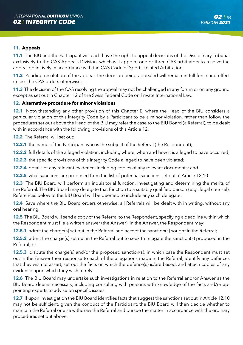# **11. Appeals**

**11.1** The BIU and the Participant will each have the right to appeal decisions of the Disciplinary Tribunal exclusively to the CAS Appeals Division, which will appoint one or three CAS arbitrators to resolve the appeal definitively in accordance with the CAS Code of Sports–related Arbitration.

**11.2** Pending resolution of the appeal, the decision being appealed will remain in full force and effect unless the CAS orders otherwise.

**11.3** The decision of the CAS resolving the appeal may not be challenged in any forum or on any ground except as set out in Chapter 12 of the Swiss Federal Code on Private International Law.

## **12. Alternative procedure for minor violations**

**12.1** Notwithstanding any other provision of this Chapter E, where the Head of the BIU considers a particular violation of this Integrity Code by a Participant to be a minor violation, rather than follow the procedures set out above the Head of the BIU may refer the case to the BIU Board (a Referral), to be dealt with in accordance with the following provisions of this Article 12.

**12.2** The Referral will set out:

**12.2.1** the name of the Participant who is the subject of the Referral (the Respondent);

**12.2.2** full details of the alleged violation, including where, when and how it is alleged to have occurred;

**12.2.3** the specific provisions of this Integrity Code alleged to have been violated;

**12.2.4** details of any relevant evidence, including copies of any relevant documents; and

**12.2.5** what sanctions are proposed from the list of potential sanctions set out at Article 12.10.

**12.3** The BIU Board will perform an inquisitorial function, investigating and determining the merits of the Referral. The BIU Board may delegate that function to a suitably qualified person (e.g., legal counsel). References below to the BIU Board will be deemed to include any such delegate.

**12.4** Save where the BIU Board orders otherwise, all Referrals will be dealt with in writing, without any oral hearing.

**12.5** The BIU Board will send a copy of the Referral to the Respondent, specifying a deadline within which the Respondent must file a written answer (the Answer). In the Answer, the Respondent may:

**12.5.1** admit the charge(s) set out in the Referral and accept the sanction(s) sought in the Referral;

**12.5.2** admit the charge(s) set out in the Referral but to seek to mitigate the sanction(s) proposed in the Referral; or

**12.5.3** dispute the charge(s) and/or the proposed sanction(s), in which case the Respondent must set out in the Answer their response to each of the allegations made in the Referral, identify any defences that they wish to assert, set out the facts on which the defence(s) is/are based, and attach copies of any evidence upon which they wish to rely.

**12.6** The BIU Board may undertake such investigations in relation to the Referral and/or Answer as the BIU Board deems necessary, including consulting with persons with knowledge of the facts and/or appointing experts to advise on specific issues.

**12.7** If upon investigation the BIU Board identifies facts that suggest the sanctions set out in Article 12.10 may not be sufficient, given the conduct of the Participant, the BIU Board will then decide whether to maintain the Referral or else withdraw the Referral and pursue the matter in accordance with the ordinary procedures set out above.